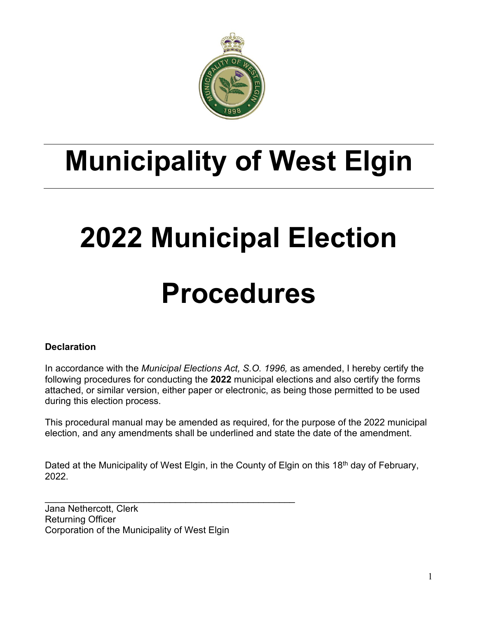

# **Municipality of West Elgin**

# **2022 Municipal Election**

# **Procedures**

## **Declaration**

In accordance with the *Municipal Elections Act, S.O. 1996,* as amended, I hereby certify the following procedures for conducting the **2022** municipal elections and also certify the forms attached, or similar version, either paper or electronic, as being those permitted to be used during this election process.

This procedural manual may be amended as required, for the purpose of the 2022 municipal election, and any amendments shall be underlined and state the date of the amendment.

Dated at the Municipality of West Elgin, in the County of Elgin on this 18<sup>th</sup> day of February, 2022.

Jana Nethercott, Clerk Returning Officer Corporation of the Municipality of West Elgin

\_\_\_\_\_\_\_\_\_\_\_\_\_\_\_\_\_\_\_\_\_\_\_\_\_\_\_\_\_\_\_\_\_\_\_\_\_\_\_\_\_\_\_\_\_\_\_\_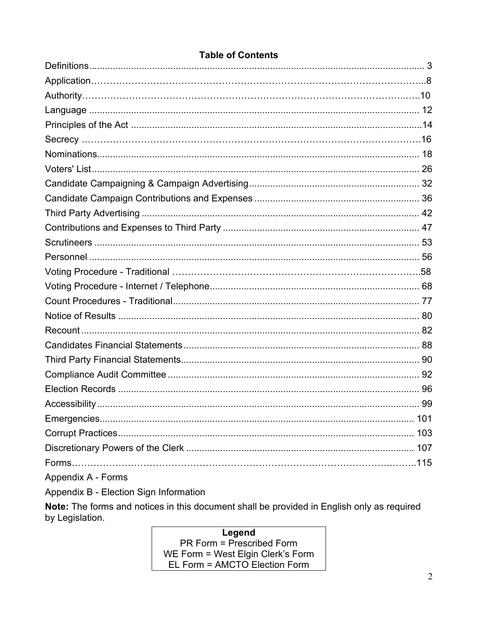| Appendix A - Forms |  |
|--------------------|--|

# **Table of Contents**

Appendix B - Election Sign Information

Note: The forms and notices in this document shall be provided in English only as required by Legislation.

> Legend  $PR$  Form = Prescribed Form WE Form = West Elgin Clerk's Form EL Form = AMCTO Election Form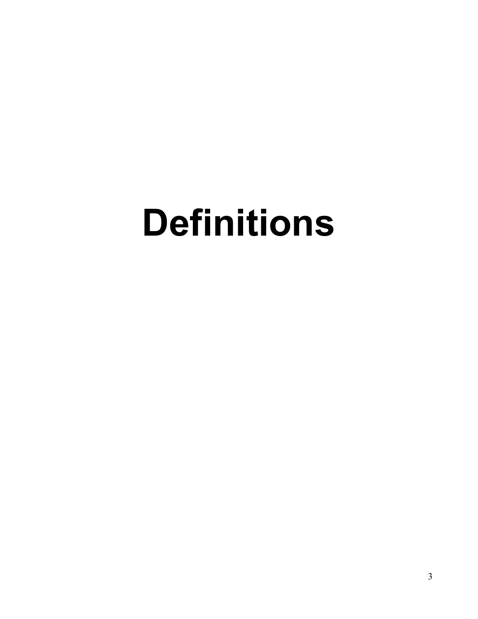# <span id="page-2-0"></span>**Definitions**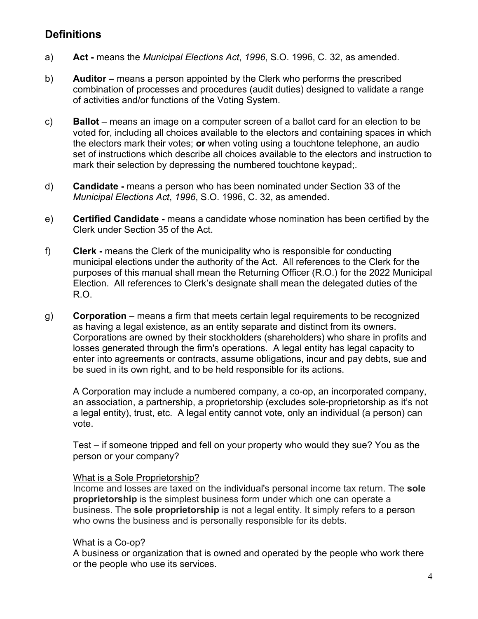# **Definitions**

- a) **Act -** means the *Municipal Elections Act*, *1996*, S.O. 1996, C. 32, as amended.
- b) **Auditor –** means a person appointed by the Clerk who performs the prescribed combination of processes and procedures (audit duties) designed to validate a range of activities and/or functions of the Voting System.
- c) **Ballot** means an image on a computer screen of a ballot card for an election to be voted for, including all choices available to the electors and containing spaces in which the electors mark their votes; **or** when voting using a touchtone telephone, an audio set of instructions which describe all choices available to the electors and instruction to mark their selection by depressing the numbered touchtone keypad;.
- d) **Candidate -** means a person who has been nominated under Section 33 of the *Municipal Elections Act*, *1996*, S.O. 1996, C. 32, as amended.
- e) **Certified Candidate -** means a candidate whose nomination has been certified by the Clerk under Section 35 of the Act.
- f) **Clerk -** means the Clerk of the municipality who is responsible for conducting municipal elections under the authority of the Act. All references to the Clerk for the purposes of this manual shall mean the Returning Officer (R.O.) for the 2022 Municipal Election. All references to Clerk's designate shall mean the delegated duties of the R.O.
- g) **Corporation** means a firm that meets certain legal requirements to be recognized as having a legal existence, as an entity separate and distinct from its owners. Corporations are owned by their stockholders (shareholders) who share in profits and losses generated through the firm's operations. A legal entity has legal capacity to enter into agreements or contracts, assume obligations, incur and pay debts, sue and be sued in its own right, and to be held responsible for its actions.

A Corporation may include a numbered company, a co-op, an incorporated company, an association, a partnership, a proprietorship (excludes sole-proprietorship as it's not a legal entity), trust, etc. A legal entity cannot vote, only an individual (a person) can vote.

Test – if someone tripped and fell on your property who would they sue? You as the person or your company?

#### What is a Sole Proprietorship?

Income and losses are taxed on the individual's personal income tax return. The **sole proprietorship** is the simplest business form under which one can operate a business. The **sole proprietorship** is not a legal entity. It simply refers to a person who owns the business and is personally responsible for its debts.

#### What is a Co-op?

A business or organization that is owned and operated by the people who work there or the people who use its services.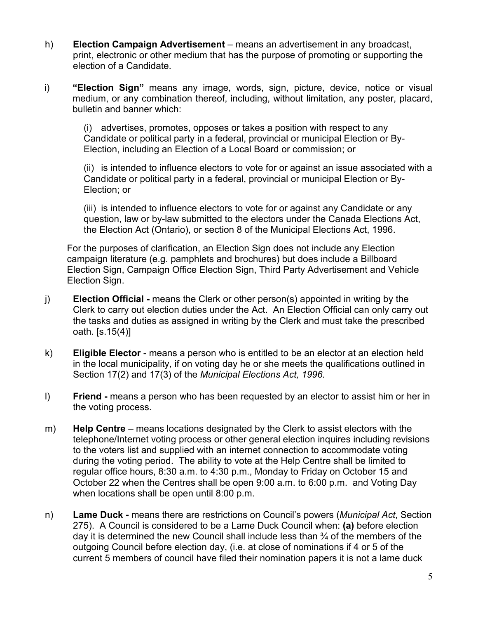- h) **Election Campaign Advertisement** means an advertisement in any broadcast, print, electronic or other medium that has the purpose of promoting or supporting the election of a Candidate.
- i) **"Election Sign"** means any image, words, sign, picture, device, notice or visual medium, or any combination thereof, including, without limitation, any poster, placard, bulletin and banner which:

(i) advertises, promotes, opposes or takes a position with respect to any Candidate or political party in a federal, provincial or municipal Election or By-Election, including an Election of a Local Board or commission; or

(ii) is intended to influence electors to vote for or against an issue associated with a Candidate or political party in a federal, provincial or municipal Election or By-Election; or

(iii) is intended to influence electors to vote for or against any Candidate or any question, law or by-law submitted to the electors under the Canada Elections Act, the Election Act (Ontario), or section 8 of the Municipal Elections Act, 1996.

For the purposes of clarification, an Election Sign does not include any Election campaign literature (e.g. pamphlets and brochures) but does include a Billboard Election Sign, Campaign Office Election Sign, Third Party Advertisement and Vehicle Election Sign.

- j) **Election Official -** means the Clerk or other person(s) appointed in writing by the Clerk to carry out election duties under the Act. An Election Official can only carry out the tasks and duties as assigned in writing by the Clerk and must take the prescribed oath. [s.15(4)]
- k) **Eligible Elector** means a person who is entitled to be an elector at an election held in the local municipality, if on voting day he or she meets the qualifications outlined in Section 17(2) and 17(3) of the *Municipal Elections Act, 1996.*
- l) **Friend -** means a person who has been requested by an elector to assist him or her in the voting process.
- m) **Help Centre** means locations designated by the Clerk to assist electors with the telephone/Internet voting process or other general election inquires including revisions to the voters list and supplied with an internet connection to accommodate voting during the voting period. The ability to vote at the Help Centre shall be limited to regular office hours, 8:30 a.m. to 4:30 p.m., Monday to Friday on October 15 and October 22 when the Centres shall be open 9:00 a.m. to 6:00 p.m. and Voting Day when locations shall be open until 8:00 p.m.
- n) **Lame Duck -** means there are restrictions on Council's powers (*Municipal Act*, Section 275). A Council is considered to be a Lame Duck Council when: **(a)** before election day it is determined the new Council shall include less than ¾ of the members of the outgoing Council before election day, (i.e. at close of nominations if 4 or 5 of the current 5 members of council have filed their nomination papers it is not a lame duck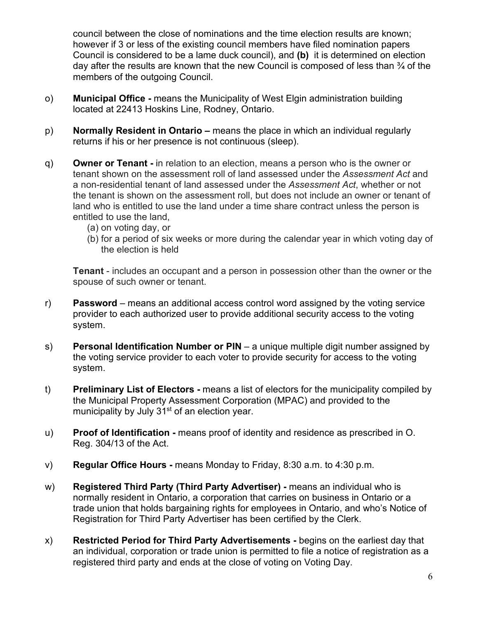council between the close of nominations and the time election results are known; however if 3 or less of the existing council members have filed nomination papers Council is considered to be a lame duck council), and **(b)** it is determined on election day after the results are known that the new Council is composed of less than ¾ of the members of the outgoing Council.

- o) **Municipal Office -** means the Municipality of West Elgin administration building located at 22413 Hoskins Line, Rodney, Ontario.
- p) **Normally Resident in Ontario –** means the place in which an individual regularly returns if his or her presence is not continuous (sleep).
- q) **Owner or Tenant -** in relation to an election, means a person who is the owner or tenant shown on the assessment roll of land assessed under the *Assessment Act* and a non-residential tenant of land assessed under the *Assessment Act*, whether or not the tenant is shown on the assessment roll, but does not include an owner or tenant of land who is entitled to use the land under a time share contract unless the person is entitled to use the land,
	- (a) on voting day, or
	- (b) for a period of six weeks or more during the calendar year in which voting day of the election is held

**Tenant** - includes an occupant and a person in possession other than the owner or the spouse of such owner or tenant.

- r) **Password** means an additional access control word assigned by the voting service provider to each authorized user to provide additional security access to the voting system.
- s) **Personal Identification Number or PIN** a unique multiple digit number assigned by the voting service provider to each voter to provide security for access to the voting system.
- t) **Preliminary List of Electors -** means a list of electors for the municipality compiled by the Municipal Property Assessment Corporation (MPAC) and provided to the municipality by July 31<sup>st</sup> of an election year.
- u) **Proof of Identification -** means proof of identity and residence as prescribed in O. Reg. 304/13 of the Act.
- v) **Regular Office Hours -** means Monday to Friday, 8:30 a.m. to 4:30 p.m.
- w) **Registered Third Party (Third Party Advertiser) -** means an individual who is normally resident in Ontario, a corporation that carries on business in Ontario or a trade union that holds bargaining rights for employees in Ontario, and who's Notice of Registration for Third Party Advertiser has been certified by the Clerk.
- x) **Restricted Period for Third Party Advertisements -** begins on the earliest day that an individual, corporation or trade union is permitted to file a notice of registration as a registered third party and ends at the close of voting on Voting Day.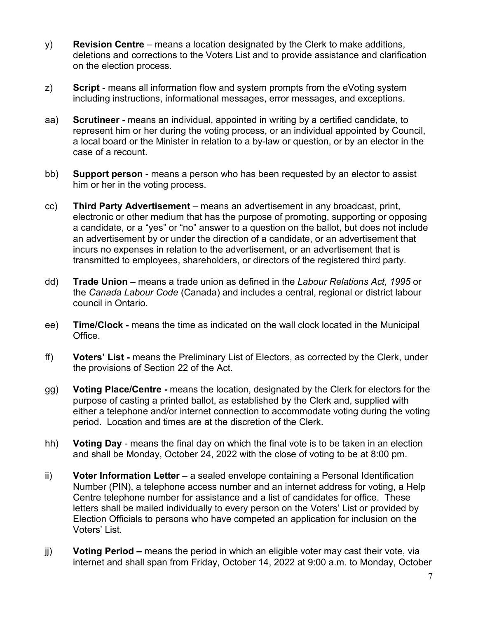- y) **Revision Centre** means a location designated by the Clerk to make additions, deletions and corrections to the Voters List and to provide assistance and clarification on the election process.
- z) **Script** means all information flow and system prompts from the eVoting system including instructions, informational messages, error messages, and exceptions.
- aa) **Scrutineer -** means an individual, appointed in writing by a certified candidate, to represent him or her during the voting process, or an individual appointed by Council, a local board or the Minister in relation to a by-law or question, or by an elector in the case of a recount.
- bb) **Support person** means a person who has been requested by an elector to assist him or her in the voting process.
- cc) **Third Party Advertisement** means an advertisement in any broadcast, print, electronic or other medium that has the purpose of promoting, supporting or opposing a candidate, or a "yes" or "no" answer to a question on the ballot, but does not include an advertisement by or under the direction of a candidate, or an advertisement that incurs no expenses in relation to the advertisement, or an advertisement that is transmitted to employees, shareholders, or directors of the registered third party.
- dd) **Trade Union –** means a trade union as defined in the *Labour Relations Act, 1995* or the *Canada Labour Code* (Canada) and includes a central, regional or district labour council in Ontario.
- ee) **Time/Clock -** means the time as indicated on the wall clock located in the Municipal Office.
- ff) **Voters' List -** means the Preliminary List of Electors, as corrected by the Clerk, under the provisions of Section 22 of the Act.
- gg) **Voting Place/Centre -** means the location, designated by the Clerk for electors for the purpose of casting a printed ballot, as established by the Clerk and, supplied with either a telephone and/or internet connection to accommodate voting during the voting period. Location and times are at the discretion of the Clerk.
- hh) **Voting Day** means the final day on which the final vote is to be taken in an election and shall be Monday, October 24, 2022 with the close of voting to be at 8:00 pm.
- ii) **Voter Information Letter –** a sealed envelope containing a Personal Identification Number (PIN), a telephone access number and an internet address for voting, a Help Centre telephone number for assistance and a list of candidates for office. These letters shall be mailed individually to every person on the Voters' List or provided by Election Officials to persons who have competed an application for inclusion on the Voters' List.
- jj) **Voting Period –** means the period in which an eligible voter may cast their vote, via internet and shall span from Friday, October 14, 2022 at 9:00 a.m. to Monday, October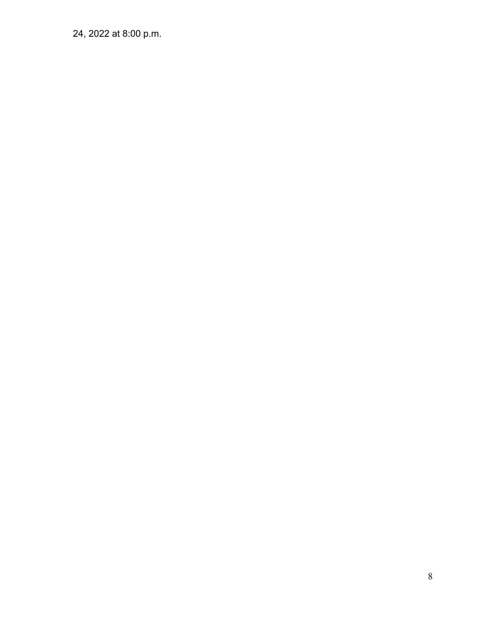24, 2022 at 8:00 p.m.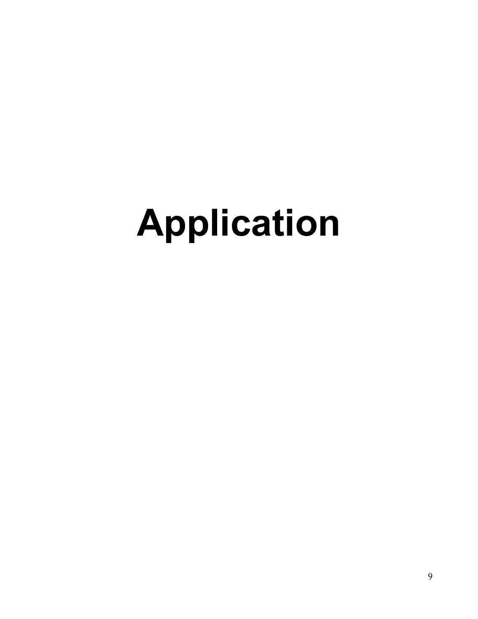# **Application**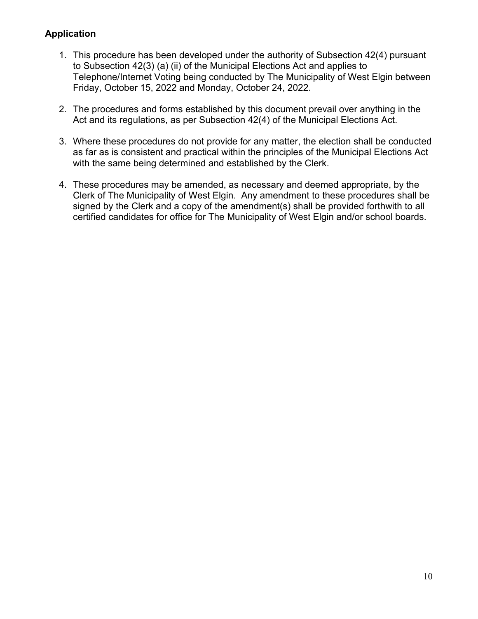## **Application**

- 1. This procedure has been developed under the authority of Subsection 42(4) pursuant to Subsection 42(3) (a) (ii) of the Municipal Elections Act and applies to Telephone/Internet Voting being conducted by The Municipality of West Elgin between Friday, October 15, 2022 and Monday, October 24, 2022.
- 2. The procedures and forms established by this document prevail over anything in the Act and its regulations, as per Subsection 42(4) of the Municipal Elections Act.
- 3. Where these procedures do not provide for any matter, the election shall be conducted as far as is consistent and practical within the principles of the Municipal Elections Act with the same being determined and established by the Clerk.
- 4. These procedures may be amended, as necessary and deemed appropriate, by the Clerk of The Municipality of West Elgin. Any amendment to these procedures shall be signed by the Clerk and a copy of the amendment(s) shall be provided forthwith to all certified candidates for office for The Municipality of West Elgin and/or school boards.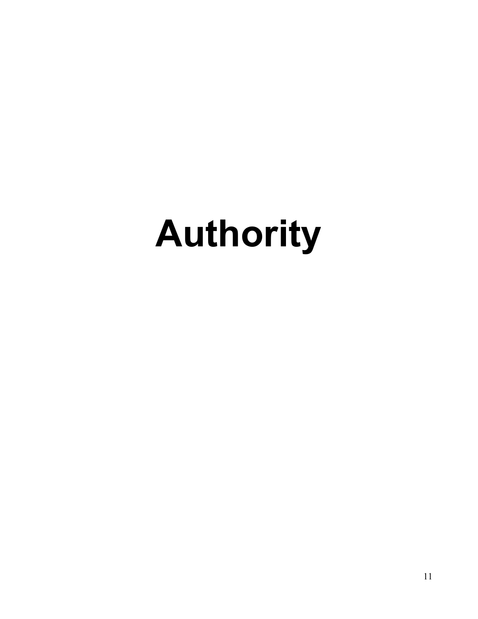# **Authority**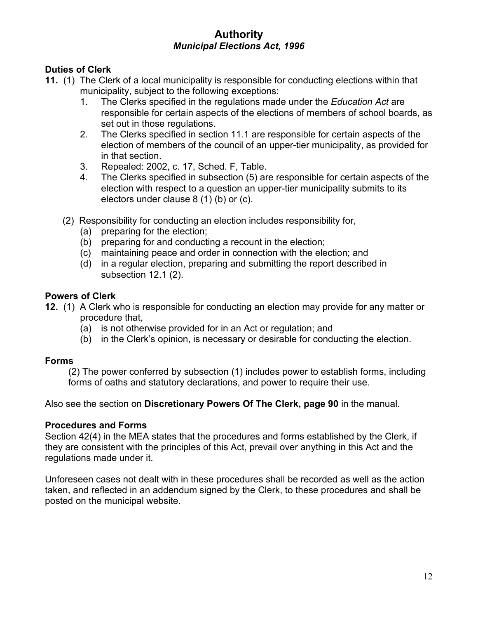# **Authority**  *Municipal Elections Act, 1996*

#### **Duties of Clerk**

- **[11.](http://www.e-laws.gov.on.ca/html/statutes/french/elaws_statutes_96m32_f.htm#s11s1)** [\(1\)](http://www.e-laws.gov.on.ca/html/statutes/french/elaws_statutes_96m32_f.htm#s11s1) The Clerk of a local municipality is responsible for conducting elections within that municipality, subject to the following exceptions:
	- 1. The Clerks specified in the regulations made under the *Education Act* are responsible for certain aspects of the elections of members of school boards, as set out in those regulations.
	- 2. The Clerks specified in section 11.1 are responsible for certain aspects of the election of members of the council of an upper-tier municipality, as provided for in that section.
	- 3. Repealed: 2002, c. 17, Sched. F, Table.
	- 4. The Clerks specified in subsection (5) are responsible for certain aspects of the election with respect to a question an upper-tier municipality submits to its electors under clause 8 (1) (b) or (c).
	- [\(2\)](http://www.e-laws.gov.on.ca/html/statutes/french/elaws_statutes_96m32_f.htm#s11s2) Responsibility for conducting an election includes responsibility for,
		- (a) preparing for the election;
		- (b) preparing for and conducting a recount in the election;
		- (c) maintaining peace and order in connection with the election; and
		- (d) in a regular election, preparing and submitting the report described in subsection 12.1 (2).

#### **Powers of Clerk**

- **[12.](http://www.e-laws.gov.on.ca/html/statutes/french/elaws_statutes_96m32_f.htm#s12s1)** [\(1\)](http://www.e-laws.gov.on.ca/html/statutes/french/elaws_statutes_96m32_f.htm#s12s1) A Clerk who is responsible for conducting an election may provide for any matter or procedure that,
	- (a) is not otherwise provided for in an Act or regulation; and
	- (b) in the Clerk's opinion, is necessary or desirable for conducting the election.

#### **Forms**

(2) The power conferred by subsection (1) includes power to establish forms, including forms of oaths and statutory declarations, and power to require their use.

Also see the section on **Discretionary Powers Of The Clerk, page 90** in the manual.

#### **Procedures and Forms**

Section 42(4) in the MEA states that the procedures and forms established by the Clerk, if they are consistent with the principles of this Act, prevail over anything in this Act and the regulations made under it.

Unforeseen cases not dealt with in these procedures shall be recorded as well as the action taken, and reflected in an addendum signed by the Clerk, to these procedures and shall be posted on the municipal website.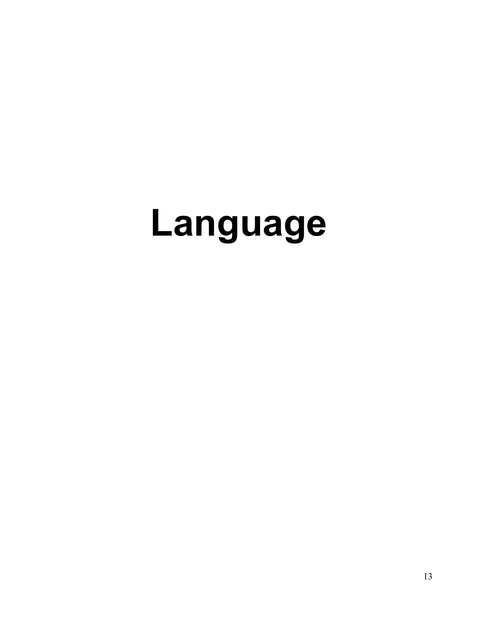# **Language**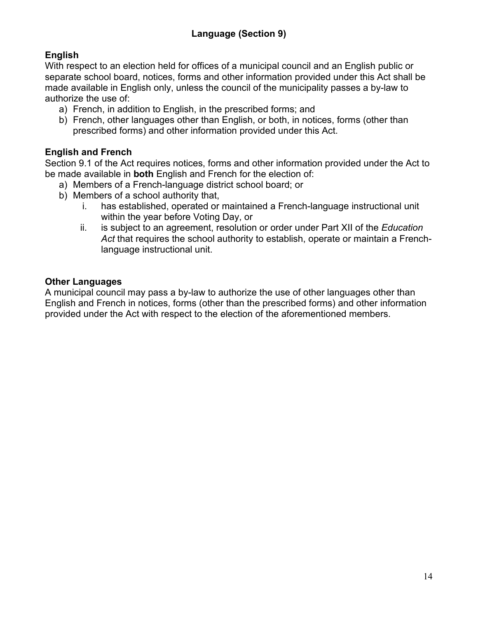# **English**

With respect to an election held for offices of a municipal council and an English public or separate school board, notices, forms and other information provided under this Act shall be made available in English only, unless the council of the municipality passes a by-law to authorize the use of:

- a) French, in addition to English, in the prescribed forms; and
- b) French, other languages other than English, or both, in notices, forms (other than prescribed forms) and other information provided under this Act.

#### **English and French**

Section 9.1 of the Act requires notices, forms and other information provided under the Act to be made available in **both** English and French for the election of:

- a) Members of a French-language district school board; or
- b) Members of a school authority that,
	- i. has established, operated or maintained a French-language instructional unit within the year before Voting Day, or
	- ii. is subject to an agreement, resolution or order under Part XII of the *Education Act* that requires the school authority to establish, operate or maintain a Frenchlanguage instructional unit.

#### **Other Languages**

A municipal council may pass a by-law to authorize the use of other languages other than English and French in notices, forms (other than the prescribed forms) and other information provided under the Act with respect to the election of the aforementioned members.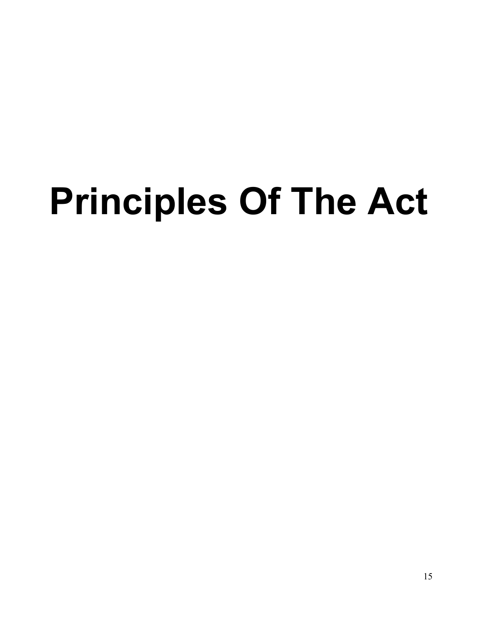# **Principles Of The Act**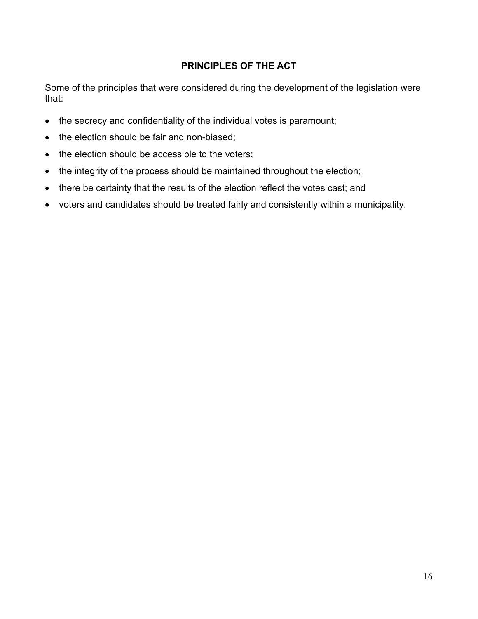## **PRINCIPLES OF THE ACT**

Some of the principles that were considered during the development of the legislation were that:

- the secrecy and confidentiality of the individual votes is paramount;
- the election should be fair and non-biased;
- the election should be accessible to the voters;
- the integrity of the process should be maintained throughout the election;
- there be certainty that the results of the election reflect the votes cast; and
- voters and candidates should be treated fairly and consistently within a municipality.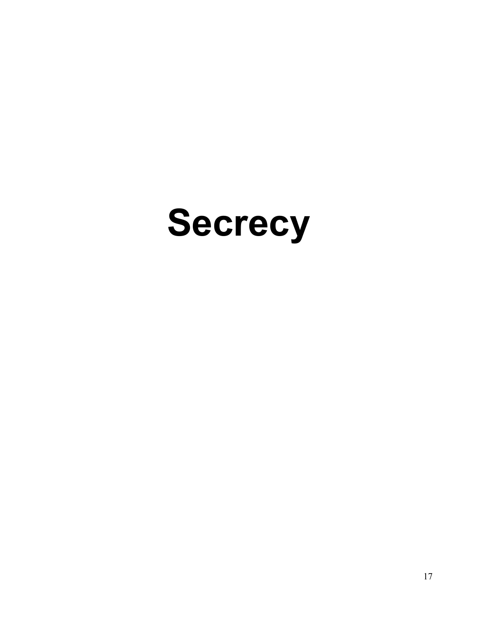# **Secrecy**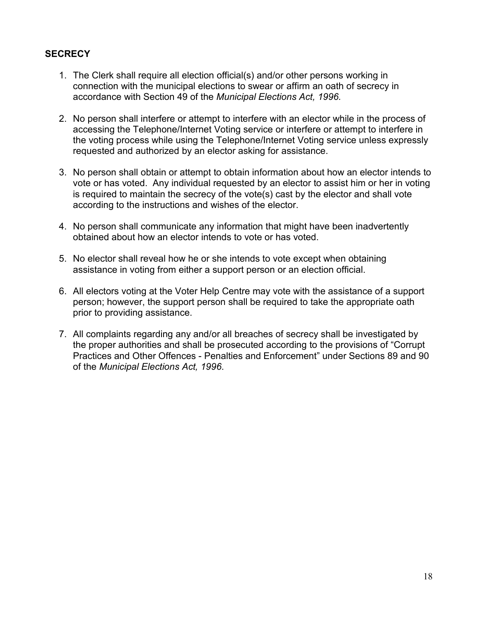#### **SECRECY**

- 1. The Clerk shall require all election official(s) and/or other persons working in connection with the municipal elections to swear or affirm an oath of secrecy in accordance with Section 49 of the *Municipal Elections Act, 1996.*
- 2. No person shall interfere or attempt to interfere with an elector while in the process of accessing the Telephone/Internet Voting service or interfere or attempt to interfere in the voting process while using the Telephone/Internet Voting service unless expressly requested and authorized by an elector asking for assistance.
- 3. No person shall obtain or attempt to obtain information about how an elector intends to vote or has voted. Any individual requested by an elector to assist him or her in voting is required to maintain the secrecy of the vote(s) cast by the elector and shall vote according to the instructions and wishes of the elector.
- 4. No person shall communicate any information that might have been inadvertently obtained about how an elector intends to vote or has voted.
- 5. No elector shall reveal how he or she intends to vote except when obtaining assistance in voting from either a support person or an election official.
- 6. All electors voting at the Voter Help Centre may vote with the assistance of a support person; however, the support person shall be required to take the appropriate oath prior to providing assistance.
- 7. All complaints regarding any and/or all breaches of secrecy shall be investigated by the proper authorities and shall be prosecuted according to the provisions of "Corrupt Practices and Other Offences - Penalties and Enforcement" under Sections 89 and 90 of the *Municipal Elections Act, 1996*.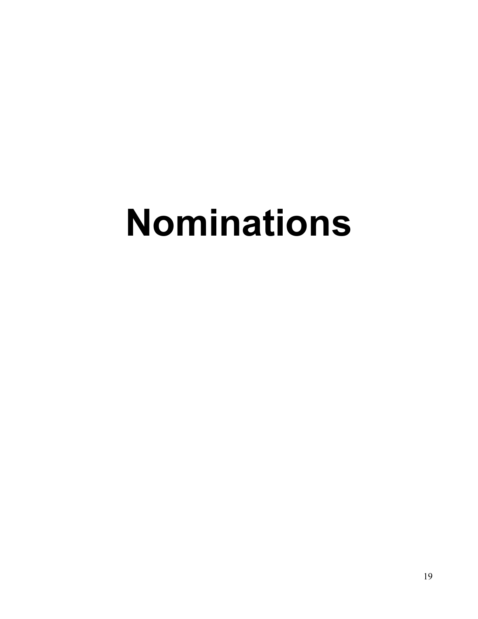# **Nominations**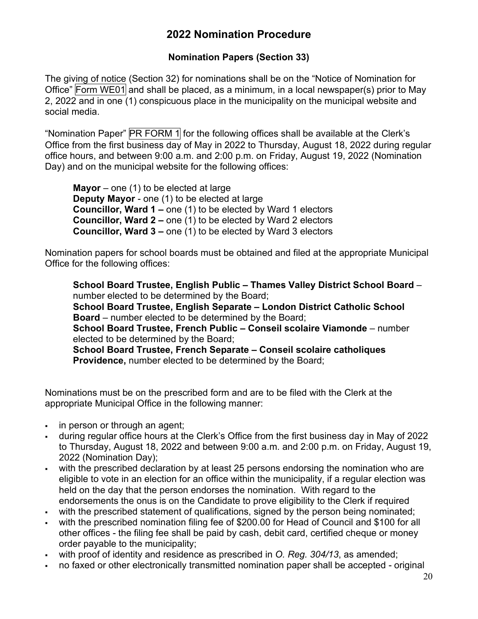# **2022 Nomination Procedure**

## **Nomination Papers (Section 33)**

The giving of notice (Section 32) for nominations shall be on the "Notice of Nomination for Office" Form WE01 and shall be placed, as a minimum, in a local newspaper(s) prior to May 2, 2022 and in one (1) conspicuous place in the municipality on the municipal website and social media.

"Nomination Paper" PR FORM 1 for the following offices shall be available at the Clerk's Office from the first business day of May in 2022 to Thursday, August 18, 2022 during regular office hours, and between 9:00 a.m. and 2:00 p.m. on Friday, August 19, 2022 (Nomination Day) and on the municipal website for the following offices:

**Mayor** – one (1) to be elected at large **Deputy Mayor** - one (1) to be elected at large **Councillor, Ward 1 –** one (1) to be elected by Ward 1 electors **Councillor, Ward 2 –** one (1) to be elected by Ward 2 electors **Councillor, Ward 3 –** one (1) to be elected by Ward 3 electors

Nomination papers for school boards must be obtained and filed at the appropriate Municipal Office for the following offices:

**School Board Trustee, English Public – Thames Valley District School Board** – number elected to be determined by the Board; **School Board Trustee, English Separate – London District Catholic School Board** – number elected to be determined by the Board; **School Board Trustee, French Public – Conseil scolaire Viamonde** – number elected to be determined by the Board; **School Board Trustee, French Separate – Conseil scolaire catholiques Providence,** number elected to be determined by the Board;

Nominations must be on the prescribed form and are to be filed with the Clerk at the appropriate Municipal Office in the following manner:

- in person or through an agent:
- during regular office hours at the Clerk's Office from the first business day in May of 2022 to Thursday, August 18, 2022 and between 9:00 a.m. and 2:00 p.m. on Friday, August 19, 2022 (Nomination Day);
- with the prescribed declaration by at least 25 persons endorsing the nomination who are eligible to vote in an election for an office within the municipality, if a regular election was held on the day that the person endorses the nomination. With regard to the endorsements the onus is on the Candidate to prove eligibility to the Clerk if required
- with the prescribed statement of qualifications, signed by the person being nominated:
- with the prescribed nomination filing fee of \$200.00 for Head of Council and \$100 for all other offices - the filing fee shall be paid by cash, debit card, certified cheque or money order payable to the municipality;
- with proof of identity and residence as prescribed in *O. Reg. 304/13*, as amended;
- no faxed or other electronically transmitted nomination paper shall be accepted original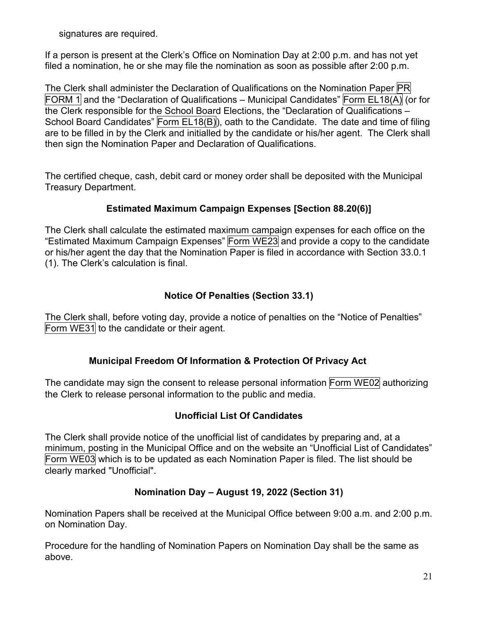signatures are required.

If a person is present at the Clerk's Office on Nomination Day at 2:00 p.m. and has not yet filed a nomination, he or she may file the nomination as soon as possible after 2:00 p.m.

The Clerk shall administer the Declaration of Qualifications on the Nomination Paper PR FORM 1 and the "Declaration of Qualifications – Municipal Candidates" Form EL18(A) (or for the Clerk responsible for the School Board Elections, the "Declaration of Qualifications – School Board Candidates" Form EL18(B), oath to the Candidate. The date and time of filing are to be filled in by the Clerk and initialled by the candidate or his/her agent. The Clerk shall then sign the Nomination Paper and Declaration of Qualifications.

The certified cheque, cash, debit card or money order shall be deposited with the Municipal Treasury Department.

#### **Estimated Maximum Campaign Expenses [Section 88.20(6)]**

The Clerk shall calculate the estimated maximum campaign expenses for each office on the "Estimated Maximum Campaign Expenses" Form WE23 and provide a copy to the candidate or his/her agent the day that the Nomination Paper is filed in accordance with Section 33.0.1 (1). The Clerk's calculation is final.

#### **Notice Of Penalties (Section 33.1)**

The Clerk shall, before voting day, provide a notice of penalties on the "Notice of Penalties" Form WE31 to the candidate or their agent.

#### **Municipal Freedom Of Information & Protection Of Privacy Act**

The candidate may sign the consent to release personal information Form WE02 authorizing the Clerk to release personal information to the public and media.

#### **Unofficial List Of Candidates**

The Clerk shall provide notice of the unofficial list of candidates by preparing and, at a minimum, posting in the Municipal Office and on the website an "Unofficial List of Candidates" Form WE03 which is to be updated as each Nomination Paper is filed. The list should be clearly marked "Unofficial".

#### **Nomination Day – August 19, 2022 (Section 31)**

Nomination Papers shall be received at the Municipal Office between 9:00 a.m. and 2:00 p.m. on Nomination Day.

Procedure for the handling of Nomination Papers on Nomination Day shall be the same as above.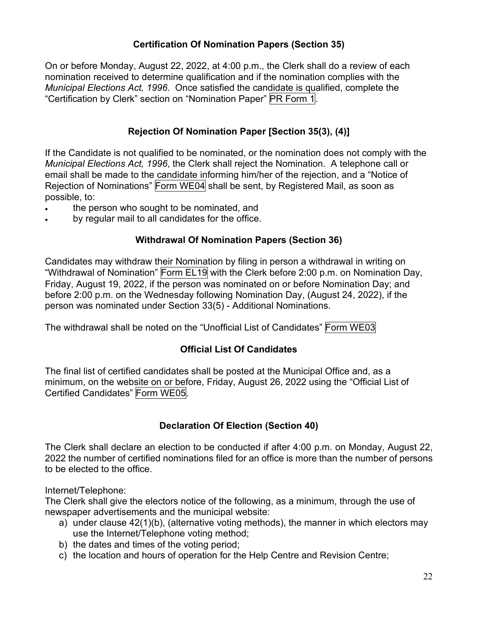#### **Certification Of Nomination Papers (Section 35)**

On or before Monday, August 22, 2022, at 4:00 p.m., the Clerk shall do a review of each nomination received to determine qualification and if the nomination complies with the *Municipal Elections Act, 1996*. Once satisfied the candidate is qualified, complete the "Certification by Clerk" section on "Nomination Paper" PR Form 1.

## **Rejection Of Nomination Paper [Section 35(3), (4)]**

If the Candidate is not qualified to be nominated, or the nomination does not comply with the *Municipal Elections Act, 1996*, the Clerk shall reject the Nomination. A telephone call or email shall be made to the candidate informing him/her of the rejection, and a "Notice of Rejection of Nominations" Form WE04 shall be sent, by Registered Mail, as soon as possible, to:

- the person who sought to be nominated, and
- by regular mail to all candidates for the office.

#### **Withdrawal Of Nomination Papers (Section 36)**

Candidates may withdraw their Nomination by filing in person a withdrawal in writing on "Withdrawal of Nomination" Form EL19 with the Clerk before 2:00 p.m. on Nomination Day, Friday, August 19, 2022, if the person was nominated on or before Nomination Day; and before 2:00 p.m. on the Wednesday following Nomination Day, (August 24, 2022), if the person was nominated under Section 33(5) - Additional Nominations.

The withdrawal shall be noted on the "Unofficial List of Candidates" Form WE03

## **Official List Of Candidates**

The final list of certified candidates shall be posted at the Municipal Office and, as a minimum, on the website on or before, Friday, August 26, 2022 using the "Official List of Certified Candidates" Form WE05.

#### **Declaration Of Election (Section 40)**

The Clerk shall declare an election to be conducted if after 4:00 p.m. on Monday, August 22, 2022 the number of certified nominations filed for an office is more than the number of persons to be elected to the office.

Internet/Telephone:

The Clerk shall give the electors notice of the following, as a minimum, through the use of newspaper advertisements and the municipal website:

- a) under clause 42(1)(b), (alternative voting methods), the manner in which electors may use the Internet/Telephone voting method;
- b) the dates and times of the voting period;
- c) the location and hours of operation for the Help Centre and Revision Centre;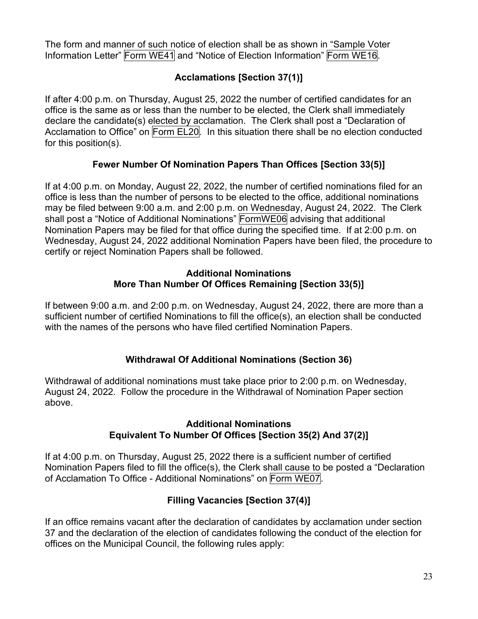The form and manner of such notice of election shall be as shown in "Sample Voter Information Letter" Form WE41 and "Notice of Election Information" Form WE16.

# **Acclamations [Section 37(1)]**

If after 4:00 p.m. on Thursday, August 25, 2022 the number of certified candidates for an office is the same as or less than the number to be elected, the Clerk shall immediately declare the candidate(s) elected by acclamation. The Clerk shall post a "Declaration of Acclamation to Office" on Form EL20. In this situation there shall be no election conducted for this position(s).

#### **Fewer Number Of Nomination Papers Than Offices [Section 33(5)]**

If at 4:00 p.m. on Monday, August 22, 2022, the number of certified nominations filed for an office is less than the number of persons to be elected to the office, additional nominations may be filed between 9:00 a.m. and 2:00 p.m. on Wednesday, August 24, 2022. The Clerk shall post a "Notice of Additional Nominations" FormWE06 advising that additional Nomination Papers may be filed for that office during the specified time. If at 2:00 p.m. on Wednesday, August 24, 2022 additional Nomination Papers have been filed, the procedure to certify or reject Nomination Papers shall be followed.

#### **Additional Nominations More Than Number Of Offices Remaining [Section 33(5)]**

If between 9:00 a.m. and 2:00 p.m. on Wednesday, August 24, 2022, there are more than a sufficient number of certified Nominations to fill the office(s), an election shall be conducted with the names of the persons who have filed certified Nomination Papers.

## **Withdrawal Of Additional Nominations (Section 36)**

Withdrawal of additional nominations must take place prior to 2:00 p.m. on Wednesday, August 24, 2022. Follow the procedure in the Withdrawal of Nomination Paper section above.

#### **Additional Nominations Equivalent To Number Of Offices [Section 35(2) And 37(2)]**

If at 4:00 p.m. on Thursday, August 25, 2022 there is a sufficient number of certified Nomination Papers filed to fill the office(s), the Clerk shall cause to be posted a "Declaration of Acclamation To Office - Additional Nominations" on Form WE07.

## **Filling Vacancies [Section 37(4)]**

If an office remains vacant after the declaration of candidates by acclamation under section 37 and the declaration of the election of candidates following the conduct of the election for offices on the Municipal Council, the following rules apply: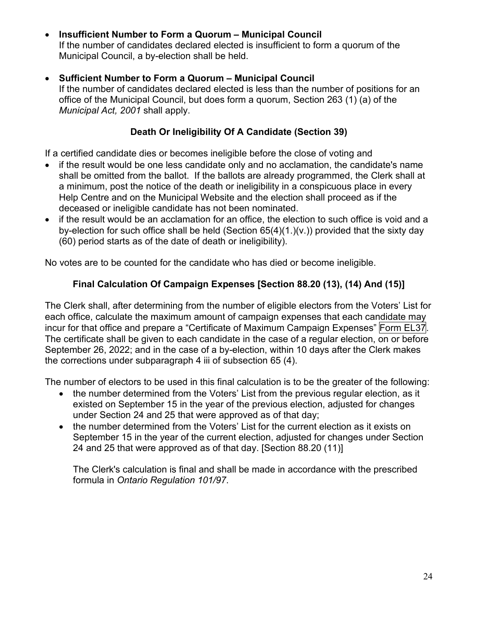# • **Insufficient Number to Form a Quorum – Municipal Council**

If the number of candidates declared elected is insufficient to form a quorum of the Municipal Council, a by-election shall be held.

#### • **Sufficient Number to Form a Quorum – Municipal Council**

If the number of candidates declared elected is less than the number of positions for an office of the Municipal Council, but does form a quorum, Section 263 (1) (a) of the *Municipal Act, 2001* shall apply.

## **Death Or Ineligibility Of A Candidate (Section 39)**

If a certified candidate dies or becomes ineligible before the close of voting and

- if the result would be one less candidate only and no acclamation, the candidate's name shall be omitted from the ballot. If the ballots are already programmed, the Clerk shall at a minimum, post the notice of the death or ineligibility in a conspicuous place in every Help Centre and on the Municipal Website and the election shall proceed as if the deceased or ineligible candidate has not been nominated.
- if the result would be an acclamation for an office, the election to such office is void and a by-election for such office shall be held (Section 65(4)(1.)(v.)) provided that the sixty day (60) period starts as of the date of death or ineligibility).

No votes are to be counted for the candidate who has died or become ineligible.

#### **Final Calculation Of Campaign Expenses [Section 88.20 (13), (14) And (15)]**

The Clerk shall, after determining from the number of eligible electors from the Voters' List for each office, calculate the maximum amount of campaign expenses that each candidate may incur for that office and prepare a "Certificate of Maximum Campaign Expenses" Form EL37. The certificate shall be given to each candidate in the case of a regular election, on or before September 26, 2022; and in the case of a by-election, within 10 days after the Clerk makes the corrections under subparagraph 4 iii of subsection 65 (4).

The number of electors to be used in this final calculation is to be the greater of the following:

- the number determined from the Voters' List from the previous regular election, as it existed on September 15 in the year of the previous election, adjusted for changes under Section 24 and 25 that were approved as of that day;
- the number determined from the Voters' List for the current election as it exists on September 15 in the year of the current election, adjusted for changes under Section 24 and 25 that were approved as of that day. [Section 88.20 (11)]

The Clerk's calculation is final and shall be made in accordance with the prescribed formula in *Ontario Regulation 101/97*.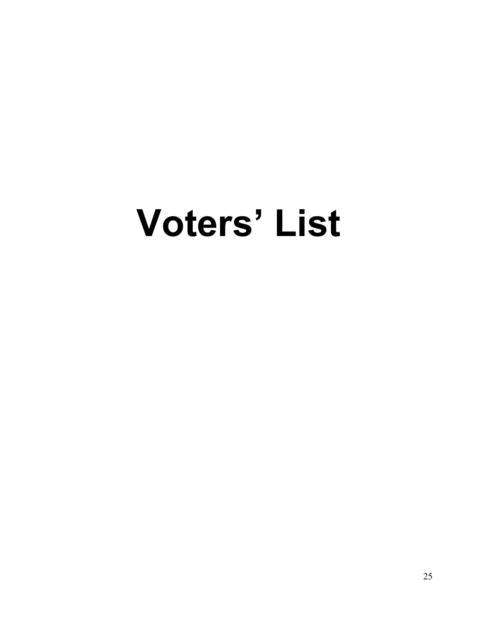# **Voters' List**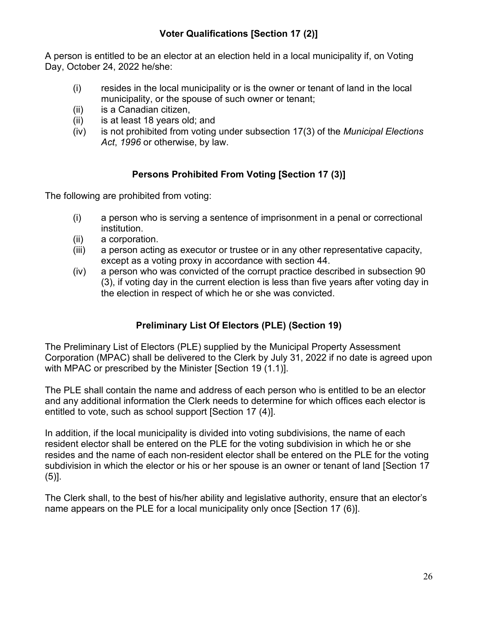A person is entitled to be an elector at an election held in a local municipality if, on Voting Day, October 24, 2022 he/she:

- (i) resides in the local municipality or is the owner or tenant of land in the local municipality, or the spouse of such owner or tenant;
- (ii) is a Canadian citizen,
- (ii) is at least 18 years old; and
- (iv) is not prohibited from voting under subsection 17(3) of the *Municipal Elections Act*, *1996* or otherwise, by law.

# **Persons Prohibited From Voting [Section 17 (3)]**

The following are prohibited from voting:

- (i) a person who is serving a sentence of imprisonment in a penal or correctional institution.
- (ii) a corporation.
- (iii) a person acting as executor or trustee or in any other representative capacity, except as a voting proxy in accordance with section 44.
- (iv) a person who was convicted of the corrupt practice described in subsection 90 (3), if voting day in the current election is less than five years after voting day in the election in respect of which he or she was convicted.

# **Preliminary List Of Electors (PLE) (Section 19)**

The Preliminary List of Electors (PLE) supplied by the Municipal Property Assessment Corporation (MPAC) shall be delivered to the Clerk by July 31, 2022 if no date is agreed upon with MPAC or prescribed by the Minister [Section 19 (1.1)].

The PLE shall contain the name and address of each person who is entitled to be an elector and any additional information the Clerk needs to determine for which offices each elector is entitled to vote, such as school support [Section 17 (4)].

In addition, if the local municipality is divided into voting subdivisions, the name of each resident elector shall be entered on the PLE for the voting subdivision in which he or she resides and the name of each non-resident elector shall be entered on the PLE for the voting subdivision in which the elector or his or her spouse is an owner or tenant of land [Section 17 (5)].

The Clerk shall, to the best of his/her ability and legislative authority, ensure that an elector's name appears on the PLE for a local municipality only once [Section 17 (6)].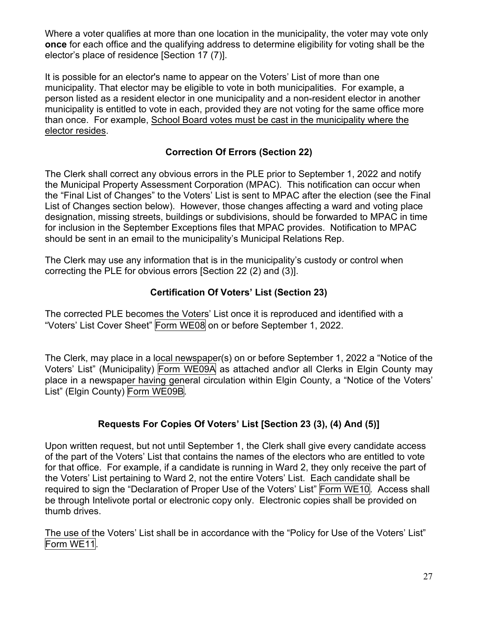Where a voter qualifies at more than one location in the municipality, the voter may vote only **once** for each office and the qualifying address to determine eligibility for voting shall be the elector's place of residence [Section 17 (7)].

It is possible for an elector's name to appear on the Voters' List of more than one municipality. That elector may be eligible to vote in both municipalities. For example, a person listed as a resident elector in one municipality and a non-resident elector in another municipality is entitled to vote in each, provided they are not voting for the same office more than once. For example, School Board votes must be cast in the municipality where the elector resides.

# **Correction Of Errors (Section 22)**

The Clerk shall correct any obvious errors in the PLE prior to September 1, 2022 and notify the Municipal Property Assessment Corporation (MPAC). This notification can occur when the "Final List of Changes" to the Voters' List is sent to MPAC after the election (see the Final List of Changes section below). However, those changes affecting a ward and voting place designation, missing streets, buildings or subdivisions, should be forwarded to MPAC in time for inclusion in the September Exceptions files that MPAC provides. Notification to MPAC should be sent in an email to the municipality's Municipal Relations Rep.

The Clerk may use any information that is in the municipality's custody or control when correcting the PLE for obvious errors [Section 22 (2) and (3)].

## **Certification Of Voters' List (Section 23)**

The corrected PLE becomes the Voters' List once it is reproduced and identified with a "Voters' List Cover Sheet" Form WE08 on or before September 1, 2022.

The Clerk, may place in a local newspaper(s) on or before September 1, 2022 a "Notice of the Voters' List" (Municipality) Form WE09A as attached and\or all Clerks in Elgin County may place in a newspaper having general circulation within Elgin County, a "Notice of the Voters' List" (Elgin County) Form WE09B.

# **Requests For Copies Of Voters' List [Section 23 (3), (4) And (5)]**

Upon written request, but not until September 1, the Clerk shall give every candidate access of the part of the Voters' List that contains the names of the electors who are entitled to vote for that office. For example, if a candidate is running in Ward 2, they only receive the part of the Voters' List pertaining to Ward 2, not the entire Voters' List. Each candidate shall be required to sign the "Declaration of Proper Use of the Voters' List" Form WE10. Access shall be through Intelivote portal or electronic copy only. Electronic copies shall be provided on thumb drives.

The use of the Voters' List shall be in accordance with the "Policy for Use of the Voters' List" Form WE11.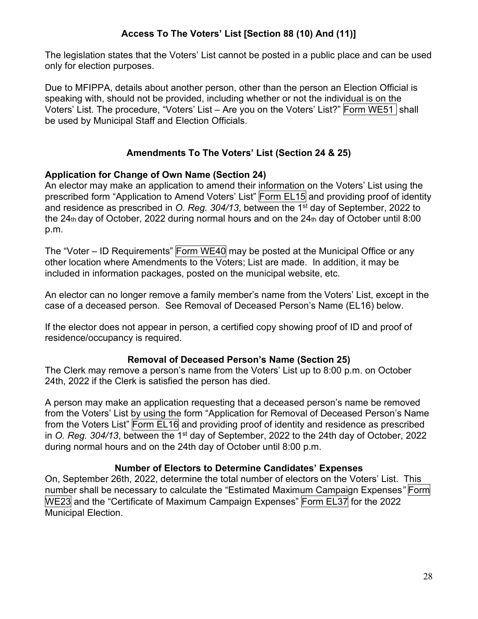# **Access To The Voters' List [Section 88 (10) And (11)]**

The legislation states that the Voters' List cannot be posted in a public place and can be used only for election purposes.

Due to MFIPPA, details about another person, other than the person an Election Official is speaking with, should not be provided, including whether or not the individual is on the Voters' List. The procedure, "Voters' List – Are you on the Voters' List?" Form WE51 shall be used by Municipal Staff and Election Officials.

#### **Amendments To The Voters' List (Section 24 & 25)**

#### **Application for Change of Own Name (Section 24)**

An elector may make an application to amend their information on the Voters' List using the prescribed form "Application to Amend Voters' List" Form EL15 and providing proof of identity and residence as prescribed in *O. Reg. 304/13*, between the 1st day of September, 2022 to the 24th day of October, 2022 during normal hours and on the 24th day of October until 8:00 p.m.

The "Voter – ID Requirements" Form WE40 may be posted at the Municipal Office or any other location where Amendments to the Voters; List are made. In addition, it may be included in information packages, posted on the municipal website, etc.

An elector can no longer remove a family member's name from the Voters' List, except in the case of a deceased person. See Removal of Deceased Person's Name (EL16) below.

If the elector does not appear in person, a certified copy showing proof of ID and proof of residence/occupancy is required.

#### **Removal of Deceased Person's Name (Section 25)**

The Clerk may remove a person's name from the Voters' List up to 8:00 p.m. on October 24th, 2022 if the Clerk is satisfied the person has died.

A person may make an application requesting that a deceased person's name be removed from the Voters' List by using the form "Application for Removal of Deceased Person's Name from the Voters List" Form EL16 and providing proof of identity and residence as prescribed in *O. Reg. 304/13*, between the 1<sup>st</sup> day of September, 2022 to the 24th day of October, 2022 during normal hours and on the 24th day of October until 8:00 p.m.

#### **Number of Electors to Determine Candidates' Expenses**

On, September 26th, 2022, determine the total number of electors on the Voters' List. This number shall be necessary to calculate the "Estimated Maximum Campaign Expenses*"* Form WE23 and the "Certificate of Maximum Campaign Expenses" Form EL37 for the 2022 Municipal Election.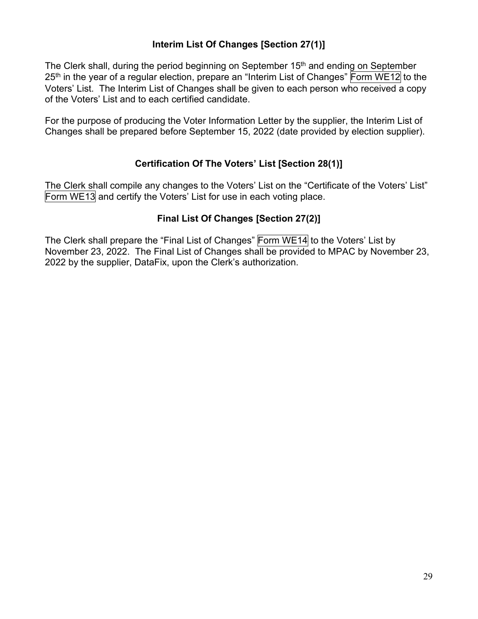#### **Interim List Of Changes [Section 27(1)]**

The Clerk shall, during the period beginning on September 15<sup>th</sup> and ending on September 25<sup>th</sup> in the year of a regular election, prepare an "Interim List of Changes" Form WE12 to the Voters' List. The Interim List of Changes shall be given to each person who received a copy of the Voters' List and to each certified candidate.

For the purpose of producing the Voter Information Letter by the supplier, the Interim List of Changes shall be prepared before September 15, 2022 (date provided by election supplier).

#### **Certification Of The Voters' List [Section 28(1)]**

The Clerk shall compile any changes to the Voters' List on the "Certificate of the Voters' List" Form WE13 and certify the Voters' List for use in each voting place.

#### **Final List Of Changes [Section 27(2)]**

The Clerk shall prepare the "Final List of Changes" Form WE14 to the Voters' List by November 23, 2022. The Final List of Changes shall be provided to MPAC by November 23, 2022 by the supplier, DataFix, upon the Clerk's authorization.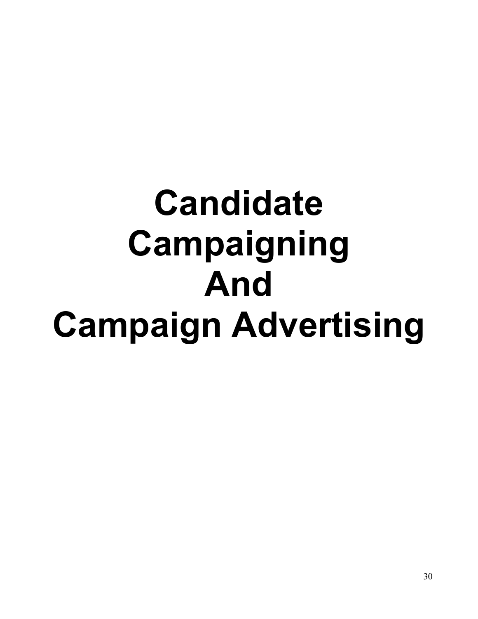# **Candidate Campaigning And Campaign Advertising**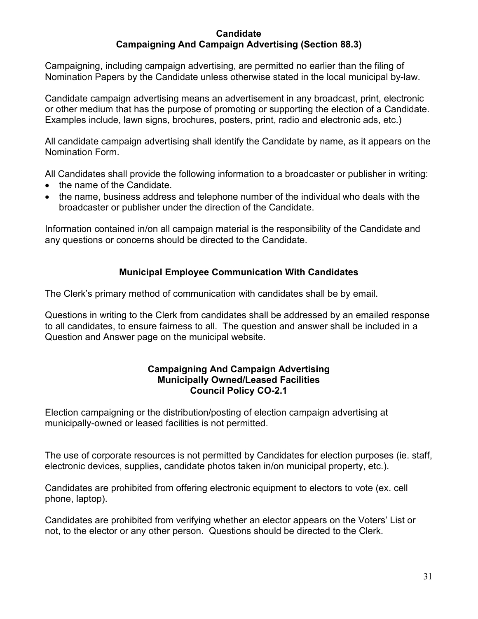#### **Candidate Campaigning And Campaign Advertising (Section 88.3)**

Campaigning, including campaign advertising, are permitted no earlier than the filing of Nomination Papers by the Candidate unless otherwise stated in the local municipal by-law.

Candidate campaign advertising means an advertisement in any broadcast, print, electronic or other medium that has the purpose of promoting or supporting the election of a Candidate. Examples include, lawn signs, brochures, posters, print, radio and electronic ads, etc.)

All candidate campaign advertising shall identify the Candidate by name, as it appears on the Nomination Form.

All Candidates shall provide the following information to a broadcaster or publisher in writing:

- the name of the Candidate.
- the name, business address and telephone number of the individual who deals with the broadcaster or publisher under the direction of the Candidate.

Information contained in/on all campaign material is the responsibility of the Candidate and any questions or concerns should be directed to the Candidate.

#### **Municipal Employee Communication With Candidates**

The Clerk's primary method of communication with candidates shall be by email.

Questions in writing to the Clerk from candidates shall be addressed by an emailed response to all candidates, to ensure fairness to all. The question and answer shall be included in a Question and Answer page on the municipal website.

#### **Campaigning And Campaign Advertising Municipally Owned/Leased Facilities Council Policy CO-2.1**

Election campaigning or the distribution/posting of election campaign advertising at municipally-owned or leased facilities is not permitted.

The use of corporate resources is not permitted by Candidates for election purposes (ie. staff, electronic devices, supplies, candidate photos taken in/on municipal property, etc.).

Candidates are prohibited from offering electronic equipment to electors to vote (ex. cell phone, laptop).

Candidates are prohibited from verifying whether an elector appears on the Voters' List or not, to the elector or any other person. Questions should be directed to the Clerk.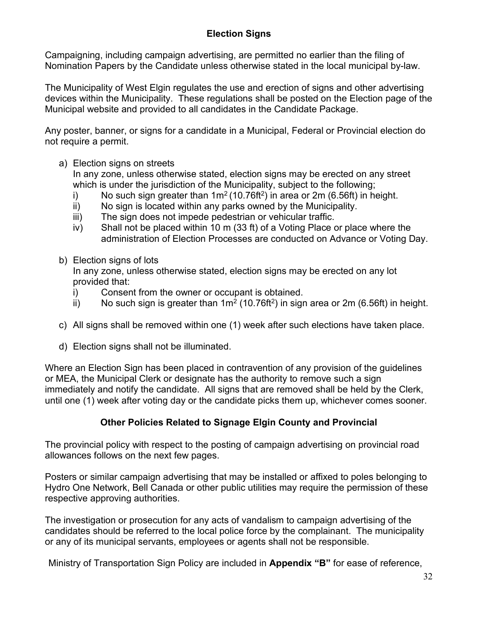#### **Election Signs**

Campaigning, including campaign advertising, are permitted no earlier than the filing of Nomination Papers by the Candidate unless otherwise stated in the local municipal by-law.

The Municipality of West Elgin regulates the use and erection of signs and other advertising devices within the Municipality. These regulations shall be posted on the Election page of the Municipal website and provided to all candidates in the Candidate Package.

Any poster, banner, or signs for a candidate in a Municipal, Federal or Provincial election do not require a permit.

a) Election signs on streets

In any zone, unless otherwise stated, election signs may be erected on any street which is under the jurisdiction of the Municipality, subject to the following;

- i) No such sign greater than  $1m^2(10.76ft^2)$  in area or 2m (6.56ft) in height.
- ii) No sign is located within any parks owned by the Municipality.
- iii) The sign does not impede pedestrian or vehicular traffic.
- iv) Shall not be placed within 10 m (33 ft) of a Voting Place or place where the administration of Election Processes are conducted on Advance or Voting Day.
- b) Election signs of lots

In any zone, unless otherwise stated, election signs may be erected on any lot provided that:

- i) Consent from the owner or occupant is obtained.
- ii) No such sign is greater than  $1m^2$  (10.76ft<sup>2</sup>) in sign area or 2m (6.56ft) in height.
- c) All signs shall be removed within one (1) week after such elections have taken place.
- d) Election signs shall not be illuminated.

Where an Election Sign has been placed in contravention of any provision of the guidelines or MEA, the Municipal Clerk or designate has the authority to remove such a sign immediately and notify the candidate. All signs that are removed shall be held by the Clerk, until one (1) week after voting day or the candidate picks them up, whichever comes sooner.

#### **Other Policies Related to Signage Elgin County and Provincial**

The provincial policy with respect to the posting of campaign advertising on provincial road allowances follows on the next few pages.

Posters or similar campaign advertising that may be installed or affixed to poles belonging to Hydro One Network, Bell Canada or other public utilities may require the permission of these respective approving authorities.

The investigation or prosecution for any acts of vandalism to campaign advertising of the candidates should be referred to the local police force by the complainant. The municipality or any of its municipal servants, employees or agents shall not be responsible.

Ministry of Transportation Sign Policy are included in **Appendix "B"** for ease of reference,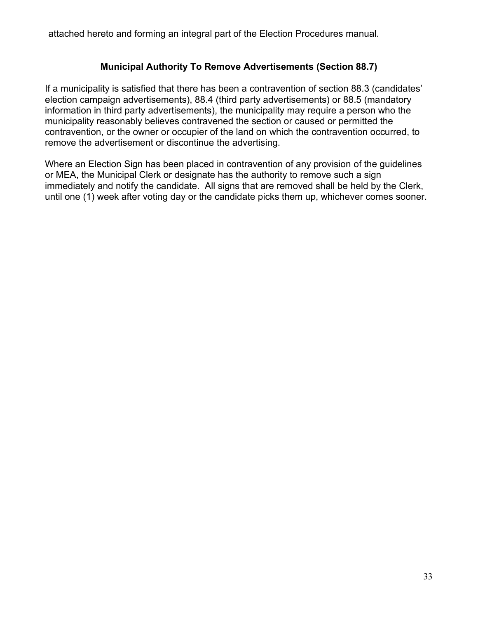attached hereto and forming an integral part of the Election Procedures manual.

#### **Municipal Authority To Remove Advertisements (Section 88.7)**

If a municipality is satisfied that there has been a contravention of section 88.3 (candidates' election campaign advertisements), 88.4 (third party advertisements) or 88.5 (mandatory information in third party advertisements), the municipality may require a person who the municipality reasonably believes contravened the section or caused or permitted the contravention, or the owner or occupier of the land on which the contravention occurred, to remove the advertisement or discontinue the advertising.

Where an Election Sign has been placed in contravention of any provision of the guidelines or MEA, the Municipal Clerk or designate has the authority to remove such a sign immediately and notify the candidate. All signs that are removed shall be held by the Clerk, until one (1) week after voting day or the candidate picks them up, whichever comes sooner.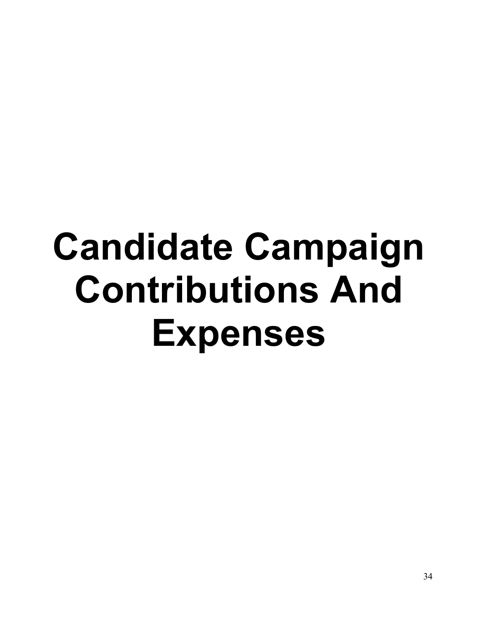# **Candidate Campaign Contributions And Expenses**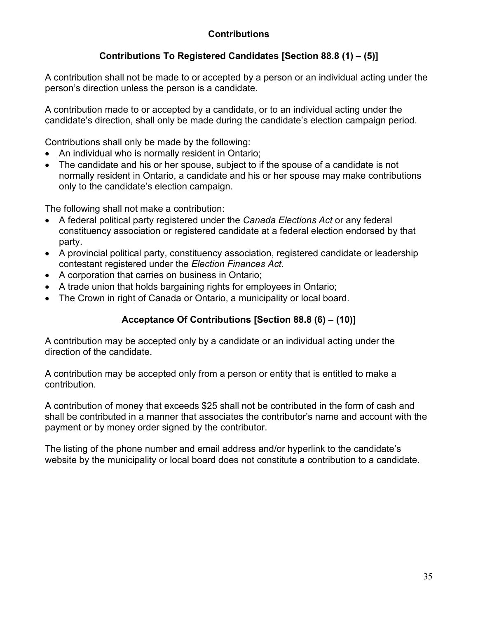# **Contributions**

# **Contributions To Registered Candidates [Section 88.8 (1) – (5)]**

A contribution shall not be made to or accepted by a person or an individual acting under the person's direction unless the person is a candidate.

A contribution made to or accepted by a candidate, or to an individual acting under the candidate's direction, shall only be made during the candidate's election campaign period.

Contributions shall only be made by the following:

- An individual who is normally resident in Ontario;
- The candidate and his or her spouse, subject to if the spouse of a candidate is not normally resident in Ontario, a candidate and his or her spouse may make contributions only to the candidate's election campaign.

The following shall not make a contribution:

- A federal political party registered under the *Canada Elections Act* or any federal constituency association or registered candidate at a federal election endorsed by that party.
- A provincial political party, constituency association, registered candidate or leadership contestant registered under the *Election Finances Act*.
- A corporation that carries on business in Ontario;
- A trade union that holds bargaining rights for employees in Ontario;
- The Crown in right of Canada or Ontario, a municipality or local board.

# **Acceptance Of Contributions [Section 88.8 (6) – (10)]**

A contribution may be accepted only by a candidate or an individual acting under the direction of the candidate.

A contribution may be accepted only from a person or entity that is entitled to make a contribution.

A contribution of money that exceeds \$25 shall not be contributed in the form of cash and shall be contributed in a manner that associates the contributor's name and account with the payment or by money order signed by the contributor.

The listing of the phone number and email address and/or hyperlink to the candidate's website by the municipality or local board does not constitute a contribution to a candidate.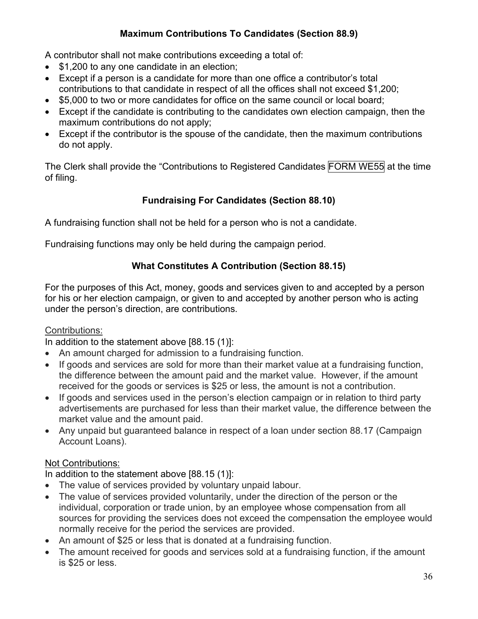# **Maximum Contributions To Candidates (Section 88.9)**

A contributor shall not make contributions exceeding a total of:

- \$1,200 to any one candidate in an election:
- Except if a person is a candidate for more than one office a contributor's total contributions to that candidate in respect of all the offices shall not exceed \$1,200;
- \$5,000 to two or more candidates for office on the same council or local board;
- Except if the candidate is contributing to the candidates own election campaign, then the maximum contributions do not apply;
- Except if the contributor is the spouse of the candidate, then the maximum contributions do not apply.

The Clerk shall provide the "Contributions to Registered Candidates FORM WE55 at the time of filing.

## **Fundraising For Candidates (Section 88.10)**

A fundraising function shall not be held for a person who is not a candidate.

Fundraising functions may only be held during the campaign period.

#### **What Constitutes A Contribution (Section 88.15)**

For the purposes of this Act, money, goods and services given to and accepted by a person for his or her election campaign, or given to and accepted by another person who is acting under the person's direction, are contributions.

#### Contributions:

In addition to the statement above [88.15 (1)]:

- An amount charged for admission to a fundraising function.
- If goods and services are sold for more than their market value at a fundraising function, the difference between the amount paid and the market value. However, if the amount received for the goods or services is \$25 or less, the amount is not a contribution.
- If goods and services used in the person's election campaign or in relation to third party advertisements are purchased for less than their market value, the difference between the market value and the amount paid.
- Any unpaid but guaranteed balance in respect of a loan under section 88.17 (Campaign Account Loans).

#### Not Contributions:

In addition to the statement above [88.15 (1)]:

- The value of services provided by voluntary unpaid labour.
- The value of services provided voluntarily, under the direction of the person or the individual, corporation or trade union, by an employee whose compensation from all sources for providing the services does not exceed the compensation the employee would normally receive for the period the services are provided.
- An amount of \$25 or less that is donated at a fundraising function.
- The amount received for goods and services sold at a fundraising function, if the amount is \$25 or less.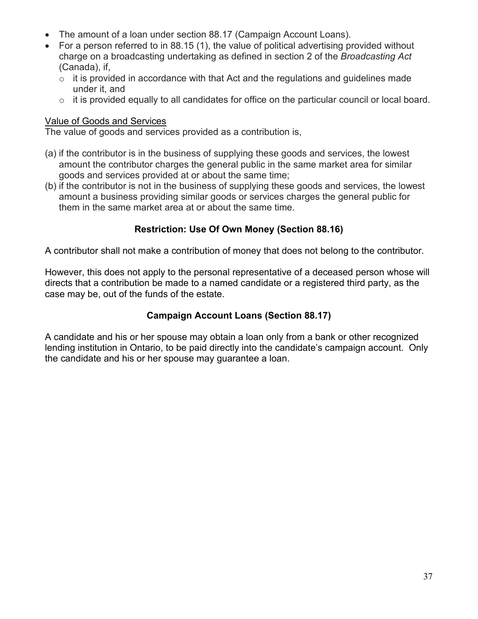- The amount of a loan under section 88.17 (Campaign Account Loans).
- For a person referred to in 88.15 (1), the value of political advertising provided without charge on a broadcasting undertaking as defined in section 2 of the *Broadcasting Act* (Canada), if,
	- $\circ$  it is provided in accordance with that Act and the regulations and guidelines made under it, and
	- $\circ$  it is provided equally to all candidates for office on the particular council or local board.

#### Value of Goods and Services

The value of goods and services provided as a contribution is,

- (a) if the contributor is in the business of supplying these goods and services, the lowest amount the contributor charges the general public in the same market area for similar goods and services provided at or about the same time;
- (b) if the contributor is not in the business of supplying these goods and services, the lowest amount a business providing similar goods or services charges the general public for them in the same market area at or about the same time.

## **Restriction: Use Of Own Money (Section 88.16)**

A contributor shall not make a contribution of money that does not belong to the contributor.

However, this does not apply to the personal representative of a deceased person whose will directs that a contribution be made to a named candidate or a registered third party, as the case may be, out of the funds of the estate.

## **Campaign Account Loans (Section 88.17)**

A candidate and his or her spouse may obtain a loan only from a bank or other recognized lending institution in Ontario, to be paid directly into the candidate's campaign account. Only the candidate and his or her spouse may guarantee a loan.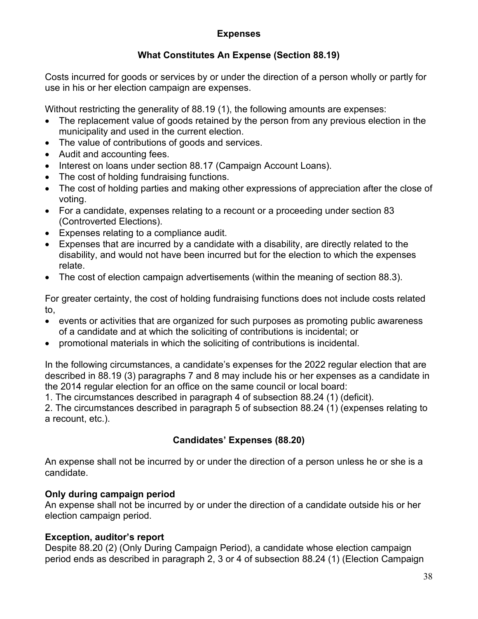## **Expenses**

## **What Constitutes An Expense (Section 88.19)**

Costs incurred for goods or services by or under the direction of a person wholly or partly for use in his or her election campaign are expenses.

Without restricting the generality of 88.19 (1), the following amounts are expenses:

- The replacement value of goods retained by the person from any previous election in the municipality and used in the current election.
- The value of contributions of goods and services.
- Audit and accounting fees.
- Interest on loans under section 88.17 (Campaign Account Loans).
- The cost of holding fundraising functions.
- The cost of holding parties and making other expressions of appreciation after the close of voting.
- For a candidate, expenses relating to a recount or a proceeding under section 83 (Controverted Elections).
- Expenses relating to a compliance audit.
- Expenses that are incurred by a candidate with a disability, are directly related to the disability, and would not have been incurred but for the election to which the expenses relate.
- The cost of election campaign advertisements (within the meaning of section 88.3).

For greater certainty, the cost of holding fundraising functions does not include costs related to,

- events or activities that are organized for such purposes as promoting public awareness of a candidate and at which the soliciting of contributions is incidental; or
- promotional materials in which the soliciting of contributions is incidental.

In the following circumstances, a candidate's expenses for the 2022 regular election that are described in 88.19 (3) paragraphs 7 and 8 may include his or her expenses as a candidate in the 2014 regular election for an office on the same council or local board:

1. The circumstances described in paragraph 4 of subsection 88.24 (1) (deficit).

2. The circumstances described in paragraph 5 of subsection 88.24 (1) (expenses relating to a recount, etc.).

## **Candidates' Expenses (88.20)**

An expense shall not be incurred by or under the direction of a person unless he or she is a candidate.

## **Only during campaign period**

An expense shall not be incurred by or under the direction of a candidate outside his or her election campaign period.

## **Exception, auditor's report**

Despite 88.20 (2) (Only During Campaign Period), a candidate whose election campaign period ends as described in paragraph 2, 3 or 4 of subsection 88.24 (1) (Election Campaign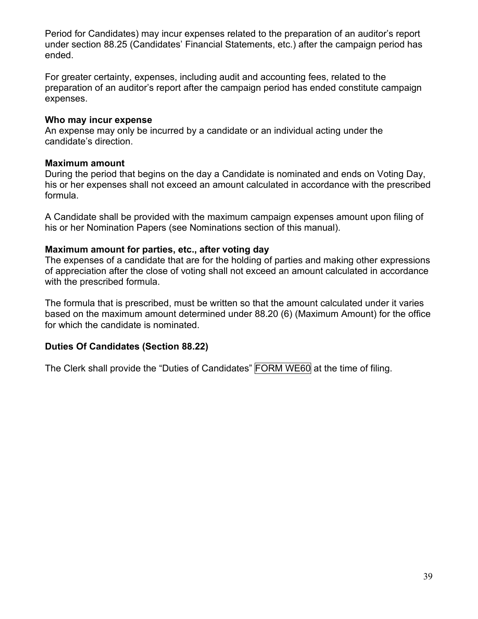Period for Candidates) may incur expenses related to the preparation of an auditor's report under section 88.25 (Candidates' Financial Statements, etc.) after the campaign period has ended.

For greater certainty, expenses, including audit and accounting fees, related to the preparation of an auditor's report after the campaign period has ended constitute campaign expenses.

#### **Who may incur expense**

An expense may only be incurred by a candidate or an individual acting under the candidate's direction.

#### **Maximum amount**

During the period that begins on the day a Candidate is nominated and ends on Voting Day, his or her expenses shall not exceed an amount calculated in accordance with the prescribed formula.

A Candidate shall be provided with the maximum campaign expenses amount upon filing of his or her Nomination Papers (see Nominations section of this manual).

#### **Maximum amount for parties, etc., after voting day**

The expenses of a candidate that are for the holding of parties and making other expressions of appreciation after the close of voting shall not exceed an amount calculated in accordance with the prescribed formula.

The formula that is prescribed, must be written so that the amount calculated under it varies based on the maximum amount determined under 88.20 (6) (Maximum Amount) for the office for which the candidate is nominated.

## **Duties Of Candidates (Section 88.22)**

The Clerk shall provide the "Duties of Candidates" FORM WE60 at the time of filing.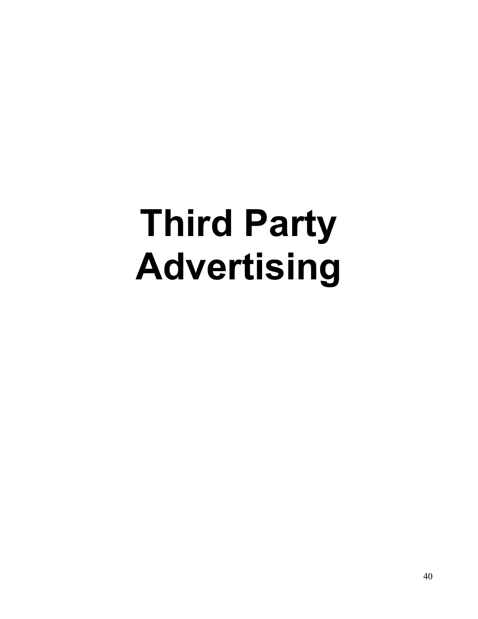# **Third Party Advertising**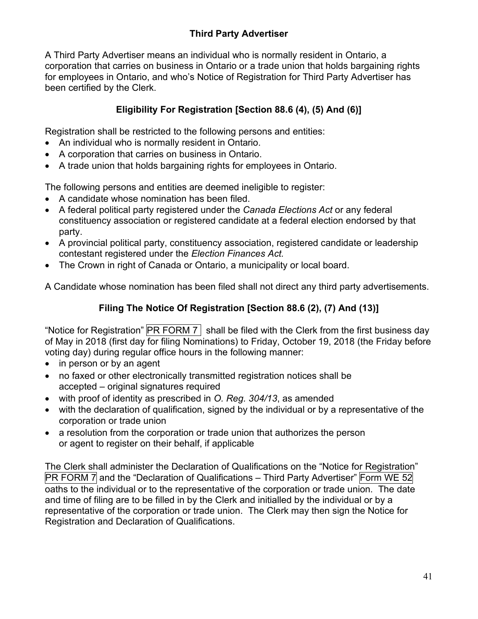A Third Party Advertiser means an individual who is normally resident in Ontario, a corporation that carries on business in Ontario or a trade union that holds bargaining rights for employees in Ontario, and who's Notice of Registration for Third Party Advertiser has been certified by the Clerk.

## **Eligibility For Registration [Section 88.6 (4), (5) And (6)]**

Registration shall be restricted to the following persons and entities:

- An individual who is normally resident in Ontario.
- A corporation that carries on business in Ontario.
- A trade union that holds bargaining rights for employees in Ontario.

The following persons and entities are deemed ineligible to register:

- A candidate whose nomination has been filed.
- A federal political party registered under the *Canada Elections Act* or any federal constituency association or registered candidate at a federal election endorsed by that party.
- A provincial political party, constituency association, registered candidate or leadership contestant registered under the *Election Finances Act.*
- The Crown in right of Canada or Ontario, a municipality or local board.

A Candidate whose nomination has been filed shall not direct any third party advertisements.

## **Filing The Notice Of Registration [Section 88.6 (2), (7) And (13)]**

"Notice for Registration"  $\boxed{\text{PR FORM 7}}$  shall be filed with the Clerk from the first business day of May in 2018 (first day for filing Nominations) to Friday, October 19, 2018 (the Friday before voting day) during regular office hours in the following manner:

- in person or by an agent
- no faxed or other electronically transmitted registration notices shall be accepted – original signatures required
- with proof of identity as prescribed in *O. Reg. 304/13*, as amended
- with the declaration of qualification, signed by the individual or by a representative of the corporation or trade union
- a resolution from the corporation or trade union that authorizes the person or agent to register on their behalf, if applicable

The Clerk shall administer the Declaration of Qualifications on the "Notice for Registration"  $PR$  FORM 7 and the "Declaration of Qualifications – Third Party Advertiser" Form WE 52 oaths to the individual or to the representative of the corporation or trade union. The date and time of filing are to be filled in by the Clerk and initialled by the individual or by a representative of the corporation or trade union. The Clerk may then sign the Notice for Registration and Declaration of Qualifications.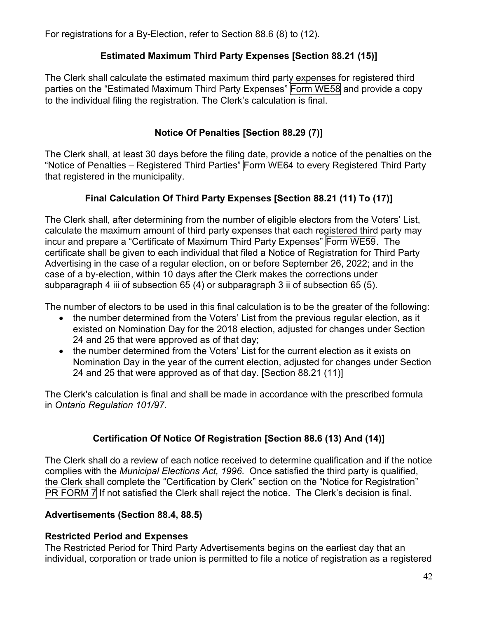For registrations for a By-Election, refer to Section 88.6 (8) to (12).

## **Estimated Maximum Third Party Expenses [Section 88.21 (15)]**

The Clerk shall calculate the estimated maximum third party expenses for registered third parties on the "Estimated Maximum Third Party Expenses" Form WE58 and provide a copy to the individual filing the registration. The Clerk's calculation is final.

## **Notice Of Penalties [Section 88.29 (7)]**

The Clerk shall, at least 30 days before the filing date, provide a notice of the penalties on the "Notice of Penalties – Registered Third Parties" Form WE64 to every Registered Third Party that registered in the municipality.

## **Final Calculation Of Third Party Expenses [Section 88.21 (11) To (17)]**

The Clerk shall, after determining from the number of eligible electors from the Voters' List, calculate the maximum amount of third party expenses that each registered third party may incur and prepare a "Certificate of Maximum Third Party Expenses" Form WE59. The certificate shall be given to each individual that filed a Notice of Registration for Third Party Advertising in the case of a regular election, on or before September 26, 2022; and in the case of a by-election, within 10 days after the Clerk makes the corrections under subparagraph 4 iii of subsection 65 (4) or subparagraph 3 ii of subsection 65 (5).

The number of electors to be used in this final calculation is to be the greater of the following:

- the number determined from the Voters' List from the previous regular election, as it existed on Nomination Day for the 2018 election, adjusted for changes under Section 24 and 25 that were approved as of that day;
- the number determined from the Voters' List for the current election as it exists on Nomination Day in the year of the current election, adjusted for changes under Section 24 and 25 that were approved as of that day. [Section 88.21 (11)]

The Clerk's calculation is final and shall be made in accordance with the prescribed formula in *Ontario Regulation 101/97*.

## **Certification Of Notice Of Registration [Section 88.6 (13) And (14)]**

The Clerk shall do a review of each notice received to determine qualification and if the notice complies with the *Municipal Elections Act, 1996*. Once satisfied the third party is qualified, the Clerk shall complete the "Certification by Clerk" section on the "Notice for Registration" PR FORM 7 If not satisfied the Clerk shall reject the notice. The Clerk's decision is final.

## **Advertisements (Section 88.4, 88.5)**

## **Restricted Period and Expenses**

The Restricted Period for Third Party Advertisements begins on the earliest day that an individual, corporation or trade union is permitted to file a notice of registration as a registered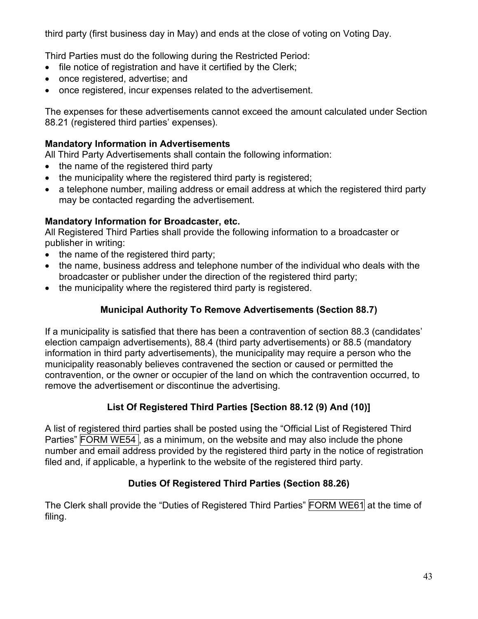third party (first business day in May) and ends at the close of voting on Voting Day.

Third Parties must do the following during the Restricted Period:

- file notice of registration and have it certified by the Clerk:
- once registered, advertise: and
- once registered, incur expenses related to the advertisement.

The expenses for these advertisements cannot exceed the amount calculated under Section 88.21 (registered third parties' expenses).

## **Mandatory Information in Advertisements**

All Third Party Advertisements shall contain the following information:

- the name of the registered third party
- the municipality where the registered third party is registered;
- a telephone number, mailing address or email address at which the registered third party may be contacted regarding the advertisement.

## **Mandatory Information for Broadcaster, etc.**

All Registered Third Parties shall provide the following information to a broadcaster or publisher in writing:

- the name of the registered third party;
- the name, business address and telephone number of the individual who deals with the broadcaster or publisher under the direction of the registered third party;
- the municipality where the registered third party is registered.

## **Municipal Authority To Remove Advertisements (Section 88.7)**

If a municipality is satisfied that there has been a contravention of section 88.3 (candidates' election campaign advertisements), 88.4 (third party advertisements) or 88.5 (mandatory information in third party advertisements), the municipality may require a person who the municipality reasonably believes contravened the section or caused or permitted the contravention, or the owner or occupier of the land on which the contravention occurred, to remove the advertisement or discontinue the advertising.

## **List Of Registered Third Parties [Section 88.12 (9) And (10)]**

A list of registered third parties shall be posted using the "Official List of Registered Third Parties" FORM WE54, as a minimum, on the website and may also include the phone number and email address provided by the registered third party in the notice of registration filed and, if applicable, a hyperlink to the website of the registered third party.

## **Duties Of Registered Third Parties (Section 88.26)**

The Clerk shall provide the "Duties of Registered Third Parties" FORM WE61 at the time of filing.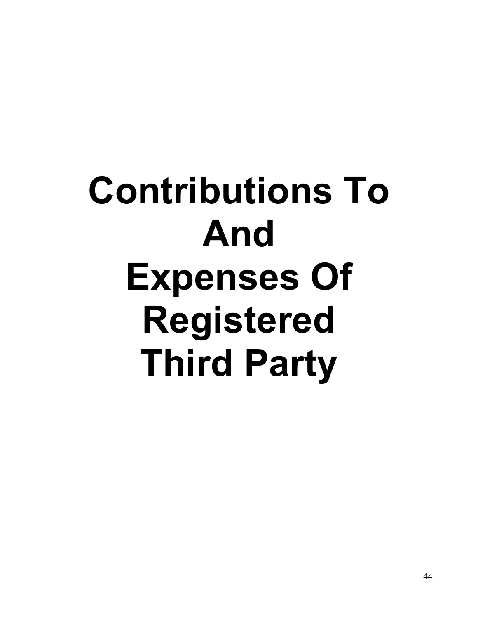# **Contributions To And Expenses Of Registered Third Party**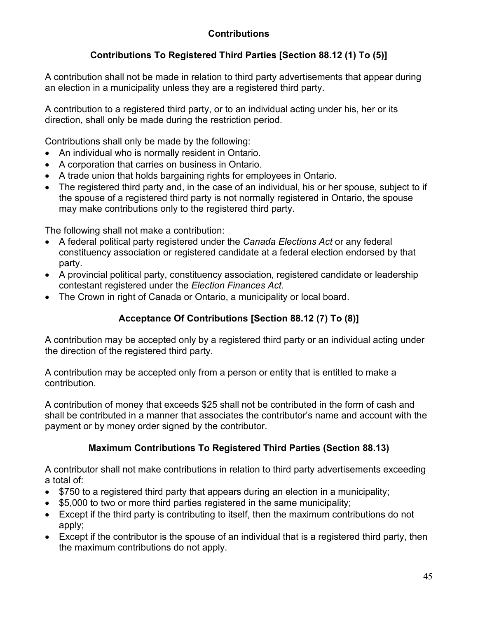## **Contributions**

## **Contributions To Registered Third Parties [Section 88.12 (1) To (5)]**

A contribution shall not be made in relation to third party advertisements that appear during an election in a municipality unless they are a registered third party.

A contribution to a registered third party, or to an individual acting under his, her or its direction, shall only be made during the restriction period.

Contributions shall only be made by the following:

- An individual who is normally resident in Ontario.
- A corporation that carries on business in Ontario.
- A trade union that holds bargaining rights for employees in Ontario.
- The registered third party and, in the case of an individual, his or her spouse, subject to if the spouse of a registered third party is not normally registered in Ontario, the spouse may make contributions only to the registered third party.

The following shall not make a contribution:

- A federal political party registered under the *Canada Elections Act* or any federal constituency association or registered candidate at a federal election endorsed by that party.
- A provincial political party, constituency association, registered candidate or leadership contestant registered under the *Election Finances Act*.
- The Crown in right of Canada or Ontario, a municipality or local board.

## **Acceptance Of Contributions [Section 88.12 (7) To (8)]**

A contribution may be accepted only by a registered third party or an individual acting under the direction of the registered third party.

A contribution may be accepted only from a person or entity that is entitled to make a contribution.

A contribution of money that exceeds \$25 shall not be contributed in the form of cash and shall be contributed in a manner that associates the contributor's name and account with the payment or by money order signed by the contributor.

## **Maximum Contributions To Registered Third Parties (Section 88.13)**

A contributor shall not make contributions in relation to third party advertisements exceeding a total of:

- \$750 to a registered third party that appears during an election in a municipality;
- \$5,000 to two or more third parties registered in the same municipality;
- Except if the third party is contributing to itself, then the maximum contributions do not apply;
- Except if the contributor is the spouse of an individual that is a registered third party, then the maximum contributions do not apply.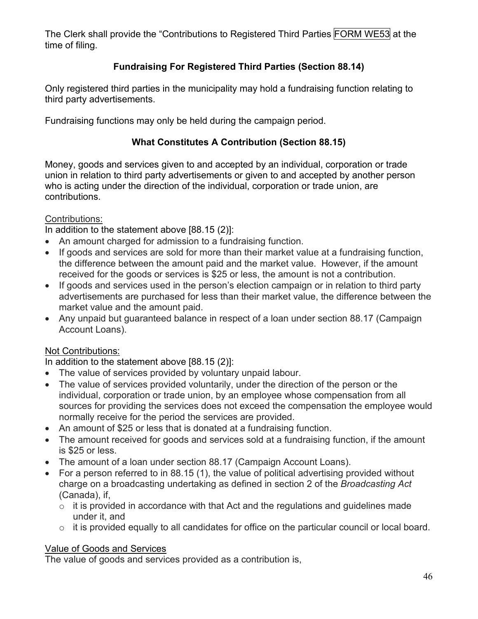The Clerk shall provide the "Contributions to Registered Third Parties FORM WE53 at the time of filing.

## **Fundraising For Registered Third Parties (Section 88.14)**

Only registered third parties in the municipality may hold a fundraising function relating to third party advertisements.

Fundraising functions may only be held during the campaign period.

## **What Constitutes A Contribution (Section 88.15)**

Money, goods and services given to and accepted by an individual, corporation or trade union in relation to third party advertisements or given to and accepted by another person who is acting under the direction of the individual, corporation or trade union, are contributions.

## Contributions:

In addition to the statement above [88.15 (2)]:

- An amount charged for admission to a fundraising function.
- If goods and services are sold for more than their market value at a fundraising function, the difference between the amount paid and the market value. However, if the amount received for the goods or services is \$25 or less, the amount is not a contribution.
- If goods and services used in the person's election campaign or in relation to third party advertisements are purchased for less than their market value, the difference between the market value and the amount paid.
- Any unpaid but guaranteed balance in respect of a loan under section 88.17 (Campaign Account Loans).

## Not Contributions:

In addition to the statement above [88.15 (2)]:

- The value of services provided by voluntary unpaid labour.
- The value of services provided voluntarily, under the direction of the person or the individual, corporation or trade union, by an employee whose compensation from all sources for providing the services does not exceed the compensation the employee would normally receive for the period the services are provided.
- An amount of \$25 or less that is donated at a fundraising function.
- The amount received for goods and services sold at a fundraising function, if the amount is \$25 or less.
- The amount of a loan under section 88.17 (Campaign Account Loans).
- For a person referred to in 88.15 (1), the value of political advertising provided without charge on a broadcasting undertaking as defined in section 2 of the *Broadcasting Act* (Canada), if,
	- $\circ$  it is provided in accordance with that Act and the regulations and guidelines made under it, and
	- o it is provided equally to all candidates for office on the particular council or local board.

#### Value of Goods and Services

The value of goods and services provided as a contribution is,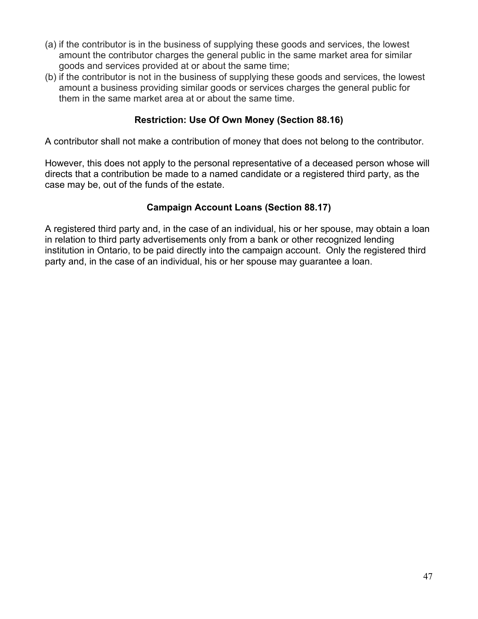- (a) if the contributor is in the business of supplying these goods and services, the lowest amount the contributor charges the general public in the same market area for similar goods and services provided at or about the same time;
- (b) if the contributor is not in the business of supplying these goods and services, the lowest amount a business providing similar goods or services charges the general public for them in the same market area at or about the same time.

#### **Restriction: Use Of Own Money (Section 88.16)**

A contributor shall not make a contribution of money that does not belong to the contributor.

However, this does not apply to the personal representative of a deceased person whose will directs that a contribution be made to a named candidate or a registered third party, as the case may be, out of the funds of the estate.

## **Campaign Account Loans (Section 88.17)**

A registered third party and, in the case of an individual, his or her spouse, may obtain a loan in relation to third party advertisements only from a bank or other recognized lending institution in Ontario, to be paid directly into the campaign account. Only the registered third party and, in the case of an individual, his or her spouse may guarantee a loan.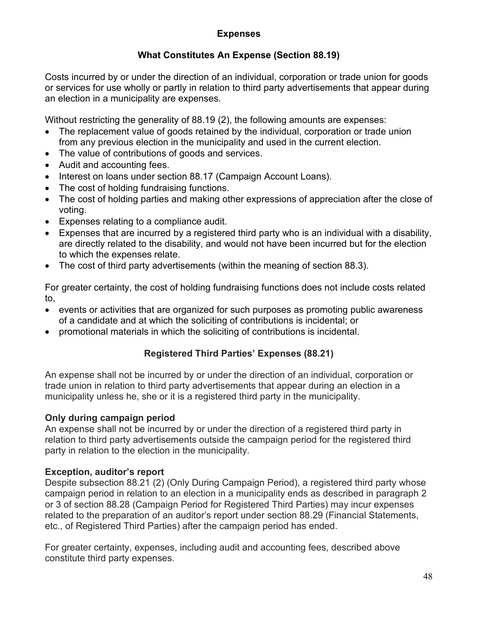## **Expenses**

## **What Constitutes An Expense (Section 88.19)**

Costs incurred by or under the direction of an individual, corporation or trade union for goods or services for use wholly or partly in relation to third party advertisements that appear during an election in a municipality are expenses.

Without restricting the generality of 88.19 (2), the following amounts are expenses:

- The replacement value of goods retained by the individual, corporation or trade union from any previous election in the municipality and used in the current election.
- The value of contributions of goods and services.
- Audit and accounting fees.
- Interest on loans under section 88.17 (Campaign Account Loans).
- The cost of holding fundraising functions.
- The cost of holding parties and making other expressions of appreciation after the close of voting.
- Expenses relating to a compliance audit.
- Expenses that are incurred by a registered third party who is an individual with a disability, are directly related to the disability, and would not have been incurred but for the election to which the expenses relate.
- The cost of third party advertisements (within the meaning of section 88.3).

For greater certainty, the cost of holding fundraising functions does not include costs related to,

- events or activities that are organized for such purposes as promoting public awareness of a candidate and at which the soliciting of contributions is incidental; or
- promotional materials in which the soliciting of contributions is incidental.

## **Registered Third Parties' Expenses (88.21)**

An expense shall not be incurred by or under the direction of an individual, corporation or trade union in relation to third party advertisements that appear during an election in a municipality unless he, she or it is a registered third party in the municipality.

#### **Only during campaign period**

An expense shall not be incurred by or under the direction of a registered third party in relation to third party advertisements outside the campaign period for the registered third party in relation to the election in the municipality.

#### **Exception, auditor's report**

Despite subsection 88.21 (2) (Only During Campaign Period), a registered third party whose campaign period in relation to an election in a municipality ends as described in paragraph 2 or 3 of section 88.28 (Campaign Period for Registered Third Parties) may incur expenses related to the preparation of an auditor's report under section 88.29 (Financial Statements, etc., of Registered Third Parties) after the campaign period has ended.

For greater certainty, expenses, including audit and accounting fees, described above constitute third party expenses.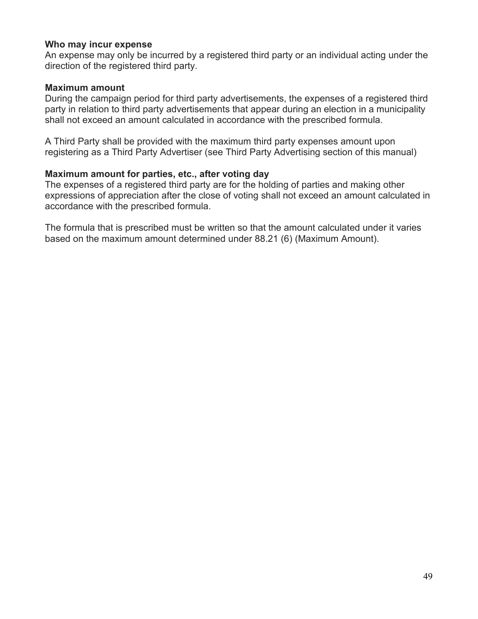#### **Who may incur expense**

An expense may only be incurred by a registered third party or an individual acting under the direction of the registered third party.

#### **Maximum amount**

During the campaign period for third party advertisements, the expenses of a registered third party in relation to third party advertisements that appear during an election in a municipality shall not exceed an amount calculated in accordance with the prescribed formula.

A Third Party shall be provided with the maximum third party expenses amount upon registering as a Third Party Advertiser (see Third Party Advertising section of this manual)

#### **Maximum amount for parties, etc., after voting day**

The expenses of a registered third party are for the holding of parties and making other expressions of appreciation after the close of voting shall not exceed an amount calculated in accordance with the prescribed formula.

The formula that is prescribed must be written so that the amount calculated under it varies based on the maximum amount determined under 88.21 (6) (Maximum Amount).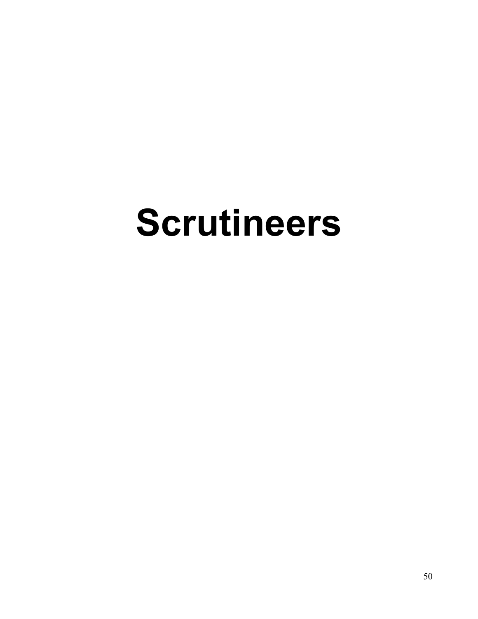# **Scrutineers**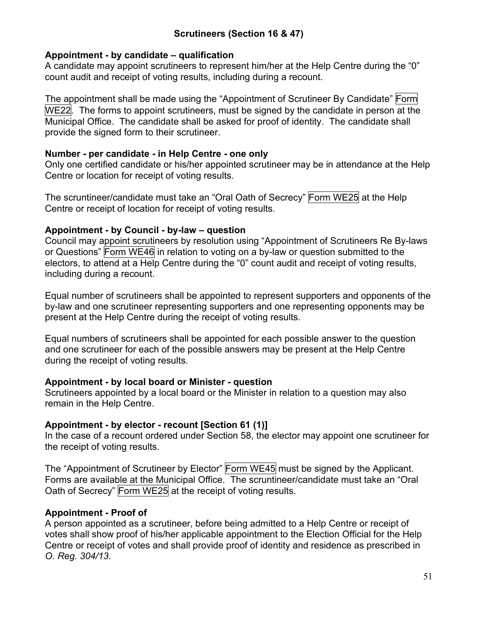## **Scrutineers (Section 16 & 47)**

#### **Appointment - by candidate – qualification**

A candidate may appoint scrutineers to represent him/her at the Help Centre during the "0" count audit and receipt of voting results, including during a recount.

The appointment shall be made using the "Appointment of Scrutineer By Candidate" Form WE22. The forms to appoint scrutineers, must be signed by the candidate in person at the Municipal Office. The candidate shall be asked for proof of identity. The candidate shall provide the signed form to their scrutineer.

#### **Number - per candidate - in Help Centre - one only**

Only one certified candidate or his/her appointed scrutineer may be in attendance at the Help Centre or location for receipt of voting results.

The scruntineer/candidate must take an "Oral Oath of Secrecy" Form WE25 at the Help Centre or receipt of location for receipt of voting results.

#### **Appointment - by Council - by-law – question**

Council may appoint scrutineers by resolution using "Appointment of Scrutineers Re By-laws or Questions" Form WE46 in relation to voting on a by-law or question submitted to the electors, to attend at a Help Centre during the "0" count audit and receipt of voting results, including during a recount.

Equal number of scrutineers shall be appointed to represent supporters and opponents of the by-law and one scrutineer representing supporters and one representing opponents may be present at the Help Centre during the receipt of voting results.

Equal numbers of scrutineers shall be appointed for each possible answer to the question and one scrutineer for each of the possible answers may be present at the Help Centre during the receipt of voting results.

#### **Appointment - by local board or Minister - question**

Scrutineers appointed by a local board or the Minister in relation to a question may also remain in the Help Centre.

#### **Appointment - by elector - recount [Section 61 (1)]**

In the case of a recount ordered under Section 58, the elector may appoint one scrutineer for the receipt of voting results.

The "Appointment of Scrutineer by Elector" Form WE45 must be signed by the Applicant. Forms are available at the Municipal Office. The scruntineer/candidate must take an "Oral Oath of Secrecy" Form WE25 at the receipt of voting results.

#### **Appointment - Proof of**

A person appointed as a scrutineer, before being admitted to a Help Centre or receipt of votes shall show proof of his/her applicable appointment to the Election Official for the Help Centre or receipt of votes and shall provide proof of identity and residence as prescribed in *O. Reg. 304/13*.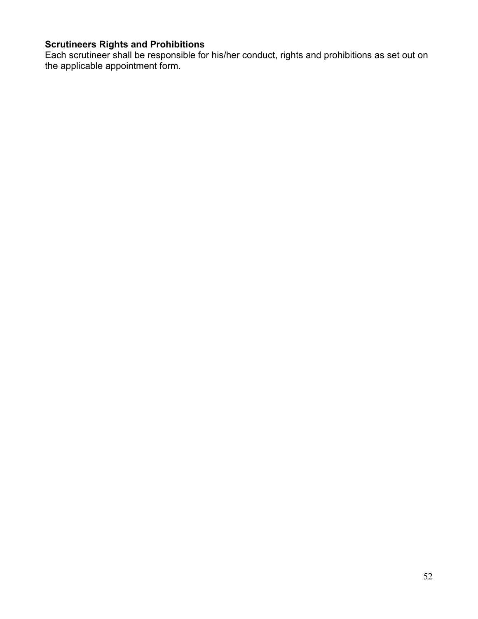#### **Scrutineers Rights and Prohibitions**

Each scrutineer shall be responsible for his/her conduct, rights and prohibitions as set out on the applicable appointment form.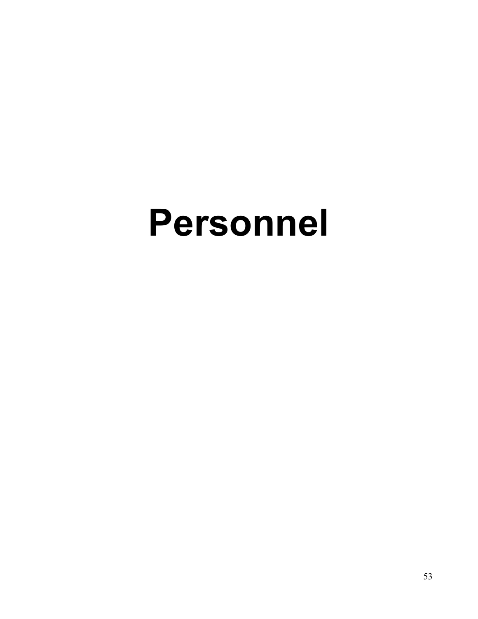## **Personnel**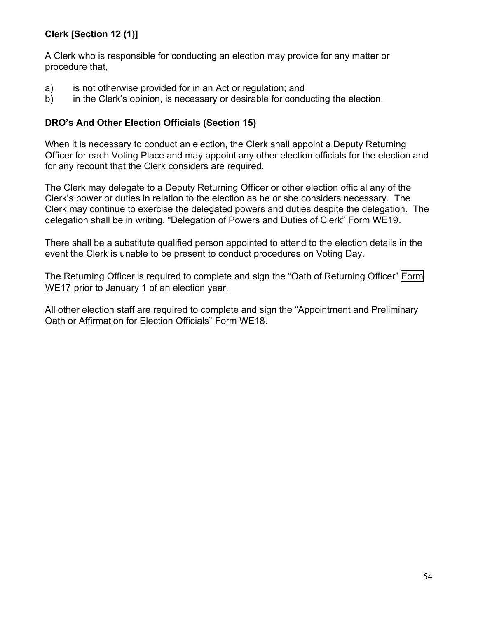## **Clerk [Section 12 (1)]**

A Clerk who is responsible for conducting an election may provide for any matter or procedure that,

- a) is not otherwise provided for in an Act or regulation; and
- b) in the Clerk's opinion, is necessary or desirable for conducting the election.

## **DRO's And Other Election Officials (Section 15)**

When it is necessary to conduct an election, the Clerk shall appoint a Deputy Returning Officer for each Voting Place and may appoint any other election officials for the election and for any recount that the Clerk considers are required.

The Clerk may delegate to a Deputy Returning Officer or other election official any of the Clerk's power or duties in relation to the election as he or she considers necessary. The Clerk may continue to exercise the delegated powers and duties despite the delegation. The delegation shall be in writing, "Delegation of Powers and Duties of Clerk" Form WE19.

There shall be a substitute qualified person appointed to attend to the election details in the event the Clerk is unable to be present to conduct procedures on Voting Day.

The Returning Officer is required to complete and sign the "Oath of Returning Officer" Form WE17 prior to January 1 of an election year.

All other election staff are required to complete and sign the "Appointment and Preliminary Oath or Affirmation for Election Officials" Form WE18.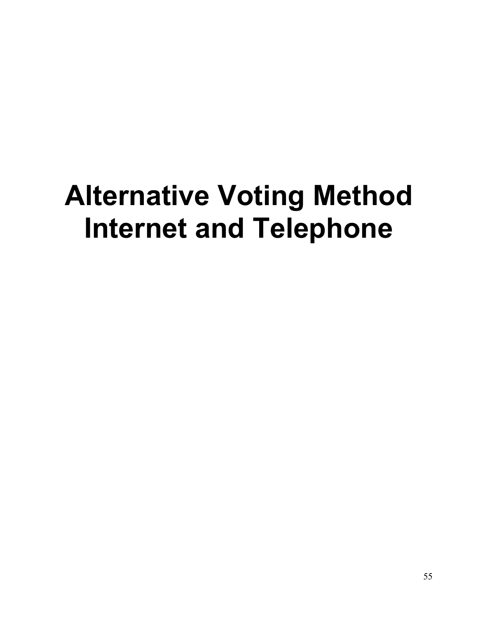## **Alternative Voting Method Internet and Telephone**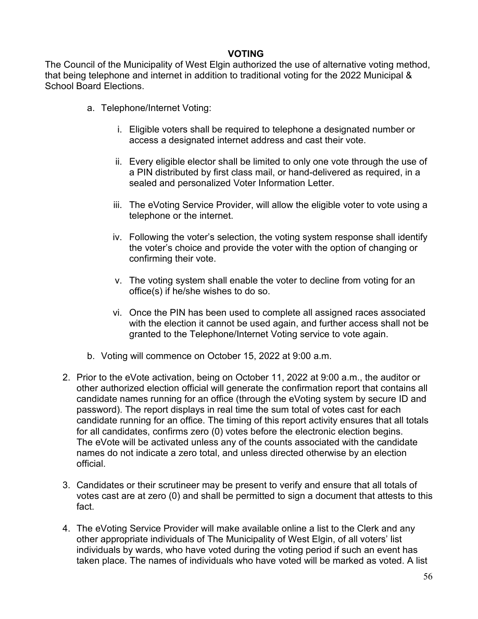#### **VOTING**

The Council of the Municipality of West Elgin authorized the use of alternative voting method, that being telephone and internet in addition to traditional voting for the 2022 Municipal & School Board Elections.

- a. Telephone/Internet Voting:
	- i. Eligible voters shall be required to telephone a designated number or access a designated internet address and cast their vote.
	- ii. Every eligible elector shall be limited to only one vote through the use of a PIN distributed by first class mail, or hand-delivered as required, in a sealed and personalized Voter Information Letter.
	- iii. The eVoting Service Provider, will allow the eligible voter to vote using a telephone or the internet.
	- iv. Following the voter's selection, the voting system response shall identify the voter's choice and provide the voter with the option of changing or confirming their vote.
	- v. The voting system shall enable the voter to decline from voting for an office(s) if he/she wishes to do so.
	- vi. Once the PIN has been used to complete all assigned races associated with the election it cannot be used again, and further access shall not be granted to the Telephone/Internet Voting service to vote again.
- b. Voting will commence on October 15, 2022 at 9:00 a.m.
- 2. Prior to the eVote activation, being on October 11, 2022 at 9:00 a.m., the auditor or other authorized election official will generate the confirmation report that contains all candidate names running for an office (through the eVoting system by secure ID and password). The report displays in real time the sum total of votes cast for each candidate running for an office. The timing of this report activity ensures that all totals for all candidates, confirms zero (0) votes before the electronic election begins. The eVote will be activated unless any of the counts associated with the candidate names do not indicate a zero total, and unless directed otherwise by an election official.
- 3. Candidates or their scrutineer may be present to verify and ensure that all totals of votes cast are at zero (0) and shall be permitted to sign a document that attests to this fact.
- 4. The eVoting Service Provider will make available online a list to the Clerk and any other appropriate individuals of The Municipality of West Elgin, of all voters' list individuals by wards, who have voted during the voting period if such an event has taken place. The names of individuals who have voted will be marked as voted. A list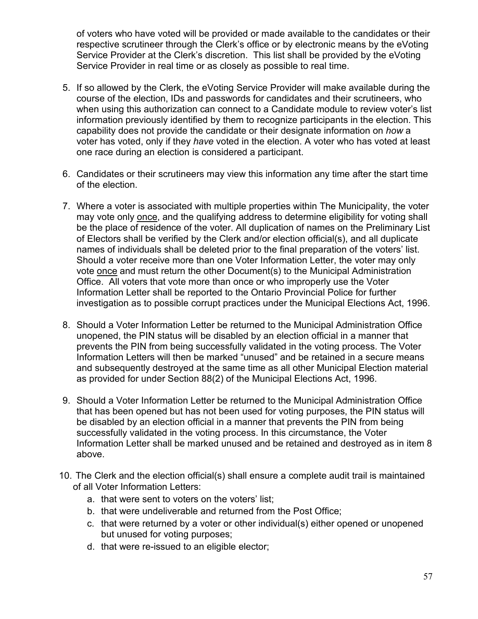of voters who have voted will be provided or made available to the candidates or their respective scrutineer through the Clerk's office or by electronic means by the eVoting Service Provider at the Clerk's discretion. This list shall be provided by the eVoting Service Provider in real time or as closely as possible to real time.

- 5. If so allowed by the Clerk, the eVoting Service Provider will make available during the course of the election, IDs and passwords for candidates and their scrutineers, who when using this authorization can connect to a Candidate module to review voter's list information previously identified by them to recognize participants in the election. This capability does not provide the candidate or their designate information on *how* a voter has voted, only if they *have* voted in the election. A voter who has voted at least one race during an election is considered a participant.
- 6. Candidates or their scrutineers may view this information any time after the start time of the election.
- 7. Where a voter is associated with multiple properties within The Municipality, the voter may vote only once, and the qualifying address to determine eligibility for voting shall be the place of residence of the voter. All duplication of names on the Preliminary List of Electors shall be verified by the Clerk and/or election official(s), and all duplicate names of individuals shall be deleted prior to the final preparation of the voters' list. Should a voter receive more than one Voter Information Letter, the voter may only vote once and must return the other Document(s) to the Municipal Administration Office. All voters that vote more than once or who improperly use the Voter Information Letter shall be reported to the Ontario Provincial Police for further investigation as to possible corrupt practices under the Municipal Elections Act, 1996.
- 8. Should a Voter Information Letter be returned to the Municipal Administration Office unopened, the PIN status will be disabled by an election official in a manner that prevents the PIN from being successfully validated in the voting process. The Voter Information Letters will then be marked "unused" and be retained in a secure means and subsequently destroyed at the same time as all other Municipal Election material as provided for under Section 88(2) of the Municipal Elections Act, 1996.
- 9. Should a Voter Information Letter be returned to the Municipal Administration Office that has been opened but has not been used for voting purposes, the PIN status will be disabled by an election official in a manner that prevents the PIN from being successfully validated in the voting process. In this circumstance, the Voter Information Letter shall be marked unused and be retained and destroyed as in item 8 above.
- 10. The Clerk and the election official(s) shall ensure a complete audit trail is maintained of all Voter Information Letters:
	- a. that were sent to voters on the voters' list;
	- b. that were undeliverable and returned from the Post Office;
	- c. that were returned by a voter or other individual(s) either opened or unopened but unused for voting purposes;
	- d. that were re-issued to an eligible elector;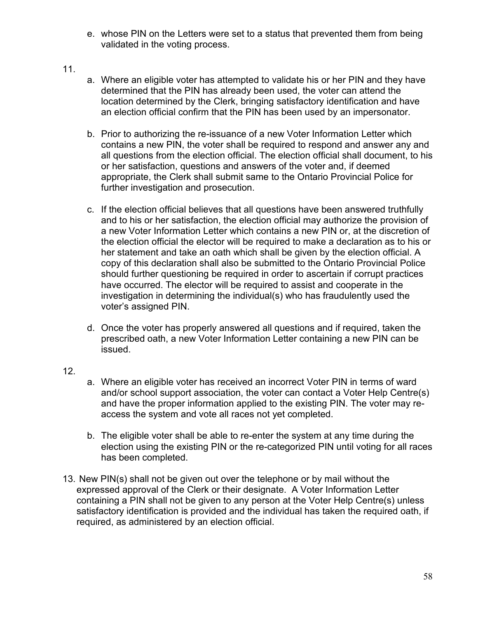- e. whose PIN on the Letters were set to a status that prevented them from being validated in the voting process.
- 11.
- a. Where an eligible voter has attempted to validate his or her PIN and they have determined that the PIN has already been used, the voter can attend the location determined by the Clerk, bringing satisfactory identification and have an election official confirm that the PIN has been used by an impersonator.
- b. Prior to authorizing the re-issuance of a new Voter Information Letter which contains a new PIN, the voter shall be required to respond and answer any and all questions from the election official. The election official shall document, to his or her satisfaction, questions and answers of the voter and, if deemed appropriate, the Clerk shall submit same to the Ontario Provincial Police for further investigation and prosecution.
- c. If the election official believes that all questions have been answered truthfully and to his or her satisfaction, the election official may authorize the provision of a new Voter Information Letter which contains a new PIN or, at the discretion of the election official the elector will be required to make a declaration as to his or her statement and take an oath which shall be given by the election official. A copy of this declaration shall also be submitted to the Ontario Provincial Police should further questioning be required in order to ascertain if corrupt practices have occurred. The elector will be required to assist and cooperate in the investigation in determining the individual(s) who has fraudulently used the voter's assigned PIN.
- d. Once the voter has properly answered all questions and if required, taken the prescribed oath, a new Voter Information Letter containing a new PIN can be issued.
- 12.
- a. Where an eligible voter has received an incorrect Voter PIN in terms of ward and/or school support association, the voter can contact a Voter Help Centre(s) and have the proper information applied to the existing PIN. The voter may reaccess the system and vote all races not yet completed.
- b. The eligible voter shall be able to re-enter the system at any time during the election using the existing PIN or the re-categorized PIN until voting for all races has been completed.
- 13. New PIN(s) shall not be given out over the telephone or by mail without the expressed approval of the Clerk or their designate. A Voter Information Letter containing a PIN shall not be given to any person at the Voter Help Centre(s) unless satisfactory identification is provided and the individual has taken the required oath, if required, as administered by an election official.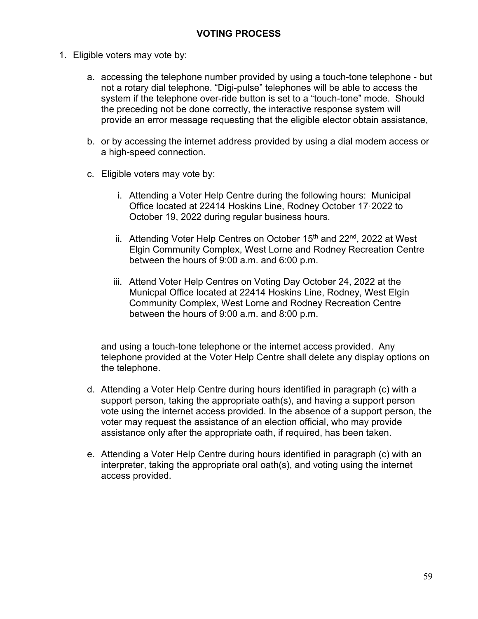- 1. Eligible voters may vote by:
	- a. accessing the telephone number provided by using a touch-tone telephone but not a rotary dial telephone. "Digi-pulse" telephones will be able to access the system if the telephone over-ride button is set to a "touch-tone" mode. Should the preceding not be done correctly, the interactive response system will provide an error message requesting that the eligible elector obtain assistance,
	- b. or by accessing the internet address provided by using a dial modem access or a high-speed connection.
	- c. Eligible voters may vote by:
		- i. Attending a Voter Help Centre during the following hours: Municipal Office located at 22414 Hoskins Line, Rodney October 17, 2022 to October 19, 2022 during regular business hours.
		- ii. Attending Voter Help Centres on October  $15<sup>th</sup>$  and  $22<sup>nd</sup>$ , 2022 at West Elgin Community Complex, West Lorne and Rodney Recreation Centre between the hours of 9:00 a.m. and 6:00 p.m.
		- iii. Attend Voter Help Centres on Voting Day October 24, 2022 at the Municpal Office located at 22414 Hoskins Line, Rodney, West Elgin Community Complex, West Lorne and Rodney Recreation Centre between the hours of 9:00 a.m. and 8:00 p.m.

and using a touch-tone telephone or the internet access provided. Any telephone provided at the Voter Help Centre shall delete any display options on the telephone.

- d. Attending a Voter Help Centre during hours identified in paragraph (c) with a support person, taking the appropriate oath(s), and having a support person vote using the internet access provided. In the absence of a support person, the voter may request the assistance of an election official, who may provide assistance only after the appropriate oath, if required, has been taken.
- e. Attending a Voter Help Centre during hours identified in paragraph (c) with an interpreter, taking the appropriate oral oath(s), and voting using the internet access provided.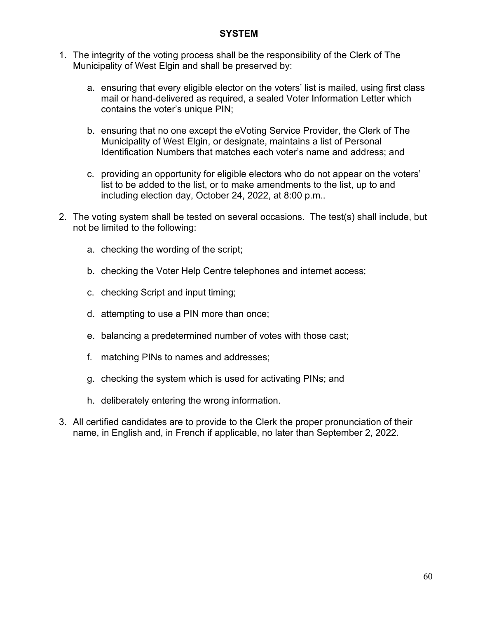#### **SYSTEM**

- 1. The integrity of the voting process shall be the responsibility of the Clerk of The Municipality of West Elgin and shall be preserved by:
	- a. ensuring that every eligible elector on the voters' list is mailed, using first class mail or hand-delivered as required, a sealed Voter Information Letter which contains the voter's unique PIN;
	- b. ensuring that no one except the eVoting Service Provider, the Clerk of The Municipality of West Elgin, or designate, maintains a list of Personal Identification Numbers that matches each voter's name and address; and
	- c. providing an opportunity for eligible electors who do not appear on the voters' list to be added to the list, or to make amendments to the list, up to and including election day, October 24, 2022, at 8:00 p.m..
- 2. The voting system shall be tested on several occasions. The test(s) shall include, but not be limited to the following:
	- a. checking the wording of the script;
	- b. checking the Voter Help Centre telephones and internet access;
	- c. checking Script and input timing;
	- d. attempting to use a PIN more than once;
	- e. balancing a predetermined number of votes with those cast;
	- f. matching PINs to names and addresses;
	- g. checking the system which is used for activating PINs; and
	- h. deliberately entering the wrong information.
- 3. All certified candidates are to provide to the Clerk the proper pronunciation of their name, in English and, in French if applicable, no later than September 2, 2022.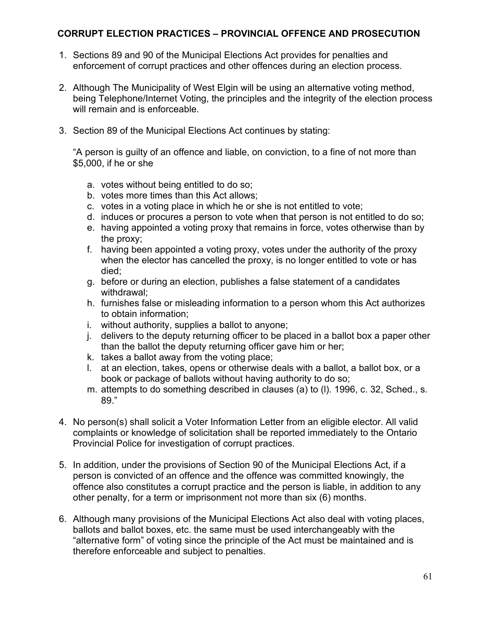#### **CORRUPT ELECTION PRACTICES – PROVINCIAL OFFENCE AND PROSECUTION**

- 1. Sections 89 and 90 of the Municipal Elections Act provides for penalties and enforcement of corrupt practices and other offences during an election process.
- 2. Although The Municipality of West Elgin will be using an alternative voting method, being Telephone/Internet Voting, the principles and the integrity of the election process will remain and is enforceable.
- 3. Section 89 of the Municipal Elections Act continues by stating:

"A person is guilty of an offence and liable, on conviction, to a fine of not more than \$5,000, if he or she

- a. votes without being entitled to do so;
- b. votes more times than this Act allows;
- c. votes in a voting place in which he or she is not entitled to vote;
- d. induces or procures a person to vote when that person is not entitled to do so;
- e. having appointed a voting proxy that remains in force, votes otherwise than by the proxy;
- f. having been appointed a voting proxy, votes under the authority of the proxy when the elector has cancelled the proxy, is no longer entitled to vote or has died;
- g. before or during an election, publishes a false statement of a candidates withdrawal;
- h. furnishes false or misleading information to a person whom this Act authorizes to obtain information;
- i. without authority, supplies a ballot to anyone;
- j. delivers to the deputy returning officer to be placed in a ballot box a paper other than the ballot the deputy returning officer gave him or her;
- k. takes a ballot away from the voting place;
- l. at an election, takes, opens or otherwise deals with a ballot, a ballot box, or a book or package of ballots without having authority to do so;
- m. attempts to do something described in clauses (a) to (l). 1996, c. 32, Sched., s. 89."
- 4. No person(s) shall solicit a Voter Information Letter from an eligible elector. All valid complaints or knowledge of solicitation shall be reported immediately to the Ontario Provincial Police for investigation of corrupt practices.
- 5. In addition, under the provisions of Section 90 of the Municipal Elections Act, if a person is convicted of an offence and the offence was committed knowingly, the offence also constitutes a corrupt practice and the person is liable, in addition to any other penalty, for a term or imprisonment not more than six (6) months.
- 6. Although many provisions of the Municipal Elections Act also deal with voting places, ballots and ballot boxes, etc. the same must be used interchangeably with the "alternative form" of voting since the principle of the Act must be maintained and is therefore enforceable and subject to penalties.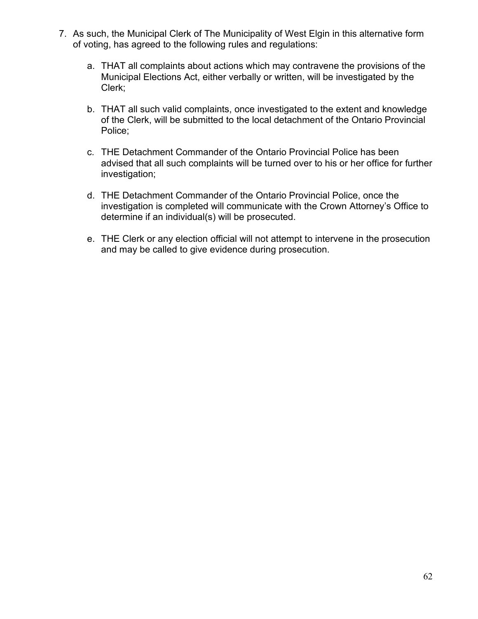- 7. As such, the Municipal Clerk of The Municipality of West Elgin in this alternative form of voting, has agreed to the following rules and regulations:
	- a. THAT all complaints about actions which may contravene the provisions of the Municipal Elections Act, either verbally or written, will be investigated by the Clerk;
	- b. THAT all such valid complaints, once investigated to the extent and knowledge of the Clerk, will be submitted to the local detachment of the Ontario Provincial Police;
	- c. THE Detachment Commander of the Ontario Provincial Police has been advised that all such complaints will be turned over to his or her office for further investigation;
	- d. THE Detachment Commander of the Ontario Provincial Police, once the investigation is completed will communicate with the Crown Attorney's Office to determine if an individual(s) will be prosecuted.
	- e. THE Clerk or any election official will not attempt to intervene in the prosecution and may be called to give evidence during prosecution.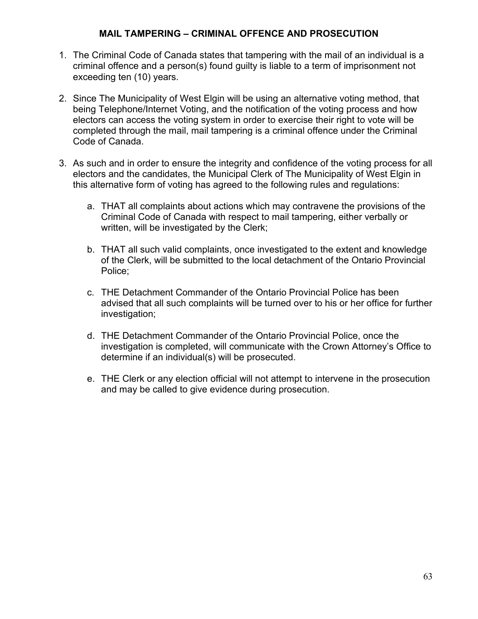#### **MAIL TAMPERING – CRIMINAL OFFENCE AND PROSECUTION**

- 1. The Criminal Code of Canada states that tampering with the mail of an individual is a criminal offence and a person(s) found guilty is liable to a term of imprisonment not exceeding ten (10) years.
- 2. Since The Municipality of West Elgin will be using an alternative voting method, that being Telephone/Internet Voting, and the notification of the voting process and how electors can access the voting system in order to exercise their right to vote will be completed through the mail, mail tampering is a criminal offence under the Criminal Code of Canada.
- 3. As such and in order to ensure the integrity and confidence of the voting process for all electors and the candidates, the Municipal Clerk of The Municipality of West Elgin in this alternative form of voting has agreed to the following rules and regulations:
	- a. THAT all complaints about actions which may contravene the provisions of the Criminal Code of Canada with respect to mail tampering, either verbally or written, will be investigated by the Clerk;
	- b. THAT all such valid complaints, once investigated to the extent and knowledge of the Clerk, will be submitted to the local detachment of the Ontario Provincial Police;
	- c. THE Detachment Commander of the Ontario Provincial Police has been advised that all such complaints will be turned over to his or her office for further investigation;
	- d. THE Detachment Commander of the Ontario Provincial Police, once the investigation is completed, will communicate with the Crown Attorney's Office to determine if an individual(s) will be prosecuted.
	- e. THE Clerk or any election official will not attempt to intervene in the prosecution and may be called to give evidence during prosecution.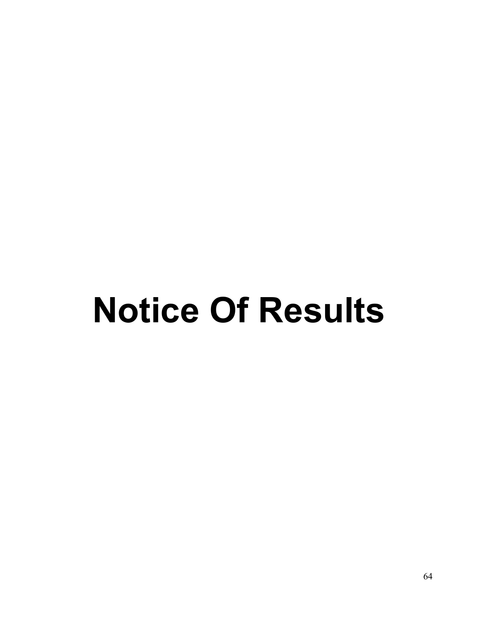# **Notice Of Results**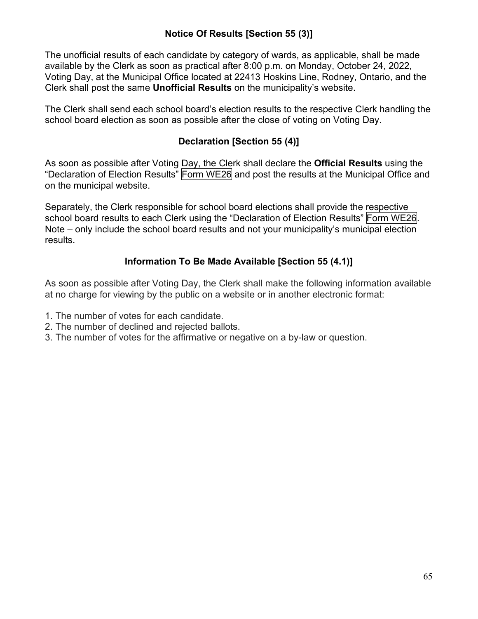## **Notice Of Results [Section 55 (3)]**

The unofficial results of each candidate by category of wards, as applicable, shall be made available by the Clerk as soon as practical after 8:00 p.m. on Monday, October 24, 2022, Voting Day, at the Municipal Office located at 22413 Hoskins Line, Rodney, Ontario, and the Clerk shall post the same **Unofficial Results** on the municipality's website.

The Clerk shall send each school board's election results to the respective Clerk handling the school board election as soon as possible after the close of voting on Voting Day.

## **Declaration [Section 55 (4)]**

As soon as possible after Voting Day, the Clerk shall declare the **Official Results** using the "Declaration of Election Results" Form WE26 and post the results at the Municipal Office and on the municipal website.

Separately, the Clerk responsible for school board elections shall provide the respective school board results to each Clerk using the "Declaration of Election Results" Form WE26. Note – only include the school board results and not your municipality's municipal election results.

## **Information To Be Made Available [Section 55 (4.1)]**

As soon as possible after Voting Day, the Clerk shall make the following information available at no charge for viewing by the public on a website or in another electronic format:

- 1. The number of votes for each candidate.
- 2. The number of declined and rejected ballots.
- 3. The number of votes for the affirmative or negative on a by-law or question.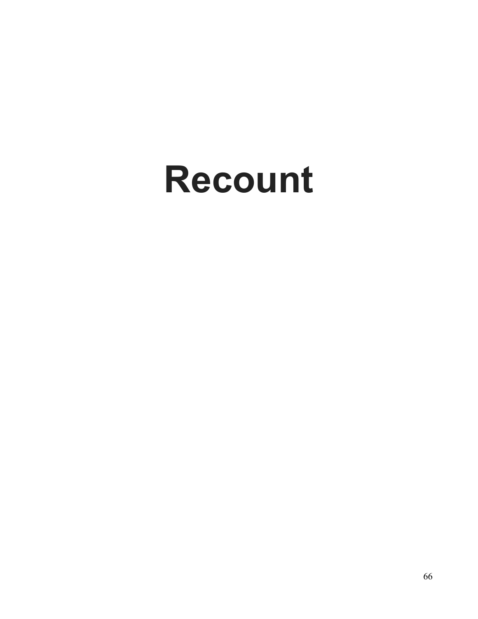## **Recount**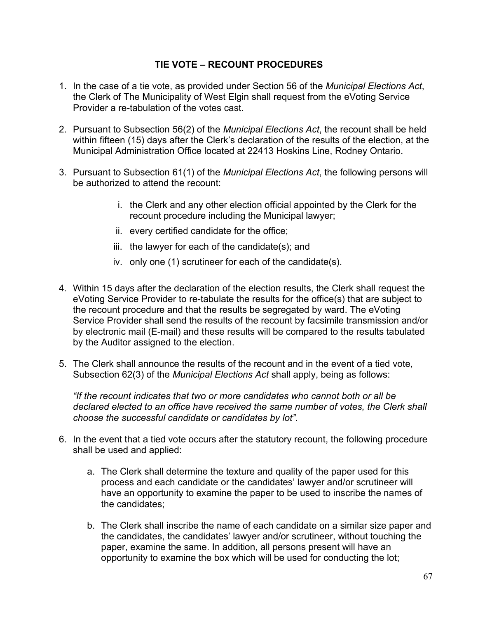#### **TIE VOTE – RECOUNT PROCEDURES**

- 1. In the case of a tie vote, as provided under Section 56 of the *Municipal Elections Act*, the Clerk of The Municipality of West Elgin shall request from the eVoting Service Provider a re-tabulation of the votes cast.
- 2. Pursuant to Subsection 56(2) of the *Municipal Elections Act*, the recount shall be held within fifteen (15) days after the Clerk's declaration of the results of the election, at the Municipal Administration Office located at 22413 Hoskins Line, Rodney Ontario.
- 3. Pursuant to Subsection 61(1) of the *Municipal Elections Act*, the following persons will be authorized to attend the recount:
	- i. the Clerk and any other election official appointed by the Clerk for the recount procedure including the Municipal lawyer;
	- ii. every certified candidate for the office;
	- iii. the lawyer for each of the candidate(s); and
	- iv. only one (1) scrutineer for each of the candidate(s).
- 4. Within 15 days after the declaration of the election results, the Clerk shall request the eVoting Service Provider to re-tabulate the results for the office(s) that are subject to the recount procedure and that the results be segregated by ward. The eVoting Service Provider shall send the results of the recount by facsimile transmission and/or by electronic mail (E-mail) and these results will be compared to the results tabulated by the Auditor assigned to the election.
- 5. The Clerk shall announce the results of the recount and in the event of a tied vote, Subsection 62(3) of the *Municipal Elections Act* shall apply, being as follows:

*"If the recount indicates that two or more candidates who cannot both or all be declared elected to an office have received the same number of votes, the Clerk shall choose the successful candidate or candidates by lot".*

- 6. In the event that a tied vote occurs after the statutory recount, the following procedure shall be used and applied:
	- a. The Clerk shall determine the texture and quality of the paper used for this process and each candidate or the candidates' lawyer and/or scrutineer will have an opportunity to examine the paper to be used to inscribe the names of the candidates;
	- b. The Clerk shall inscribe the name of each candidate on a similar size paper and the candidates, the candidates' lawyer and/or scrutineer, without touching the paper, examine the same. In addition, all persons present will have an opportunity to examine the box which will be used for conducting the lot;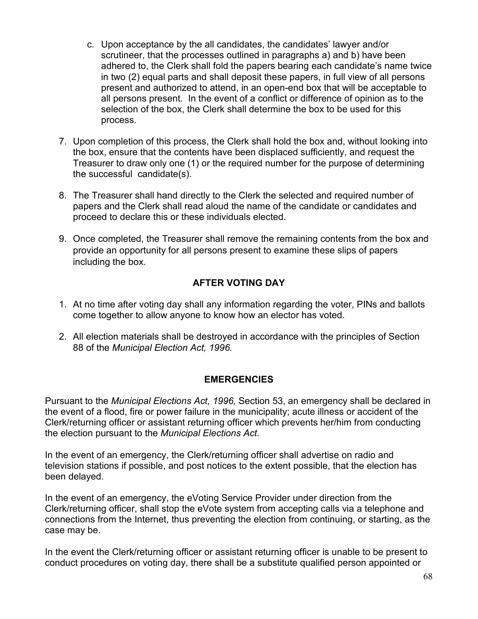- c. Upon acceptance by the all candidates, the candidates' lawyer and/or scrutineer, that the processes outlined in paragraphs a) and b) have been adhered to, the Clerk shall fold the papers bearing each candidate's name twice in two (2) equal parts and shall deposit these papers, in full view of all persons present and authorized to attend, in an open-end box that will be acceptable to all persons present. In the event of a conflict or difference of opinion as to the selection of the box, the Clerk shall determine the box to be used for this process.
- 7. Upon completion of this process, the Clerk shall hold the box and, without looking into the box, ensure that the contents have been displaced sufficiently, and request the Treasurer to draw only one (1) or the required number for the purpose of determining the successful candidate(s).
- 8. The Treasurer shall hand directly to the Clerk the selected and required number of papers and the Clerk shall read aloud the name of the candidate or candidates and proceed to declare this or these individuals elected.
- 9. Once completed, the Treasurer shall remove the remaining contents from the box and provide an opportunity for all persons present to examine these slips of papers including the box.

## **AFTER VOTING DAY**

- 1. At no time after voting day shall any information regarding the voter, PINs and ballots come together to allow anyone to know how an elector has voted.
- 2. All election materials shall be destroyed in accordance with the principles of Section 88 of the *Municipal Election Act, 1996.*

#### **EMERGENCIES**

Pursuant to the *Municipal Elections Act, 1996,* Section 53, an emergency shall be declared in the event of a flood, fire or power failure in the municipality; acute illness or accident of the Clerk/returning officer or assistant returning officer which prevents her/him from conducting the election pursuant to the *Municipal Elections Act.*

In the event of an emergency, the Clerk/returning officer shall advertise on radio and television stations if possible, and post notices to the extent possible, that the election has been delayed.

In the event of an emergency, the eVoting Service Provider under direction from the Clerk/returning officer, shall stop the eVote system from accepting calls via a telephone and connections from the Internet, thus preventing the election from continuing, or starting, as the case may be.

In the event the Clerk/returning officer or assistant returning officer is unable to be present to conduct procedures on voting day, there shall be a substitute qualified person appointed or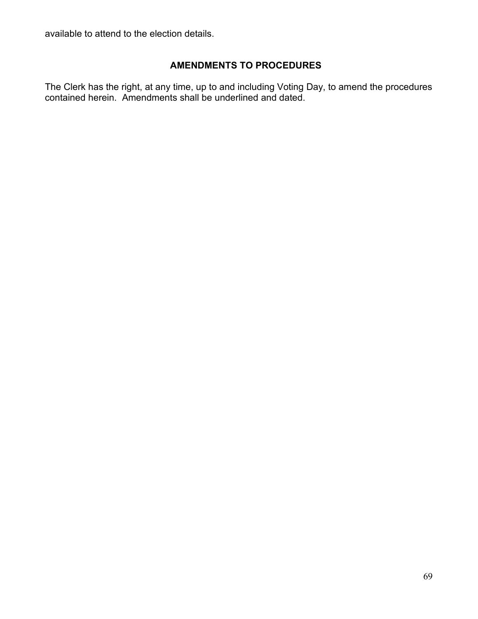available to attend to the election details.

#### **AMENDMENTS TO PROCEDURES**

The Clerk has the right, at any time, up to and including Voting Day, to amend the procedures contained herein. Amendments shall be underlined and dated.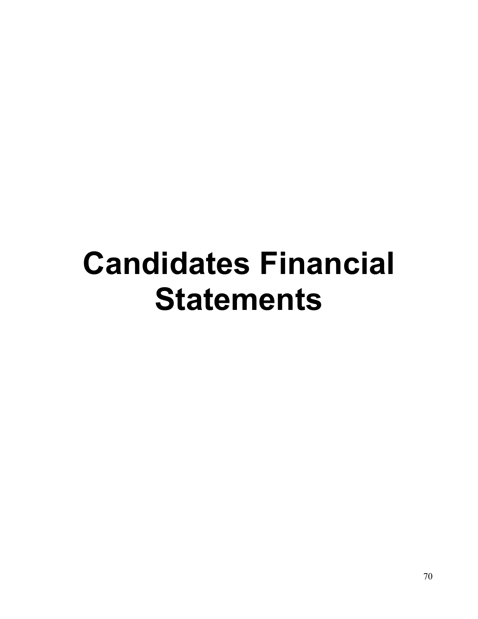## **Candidates Financial Statements**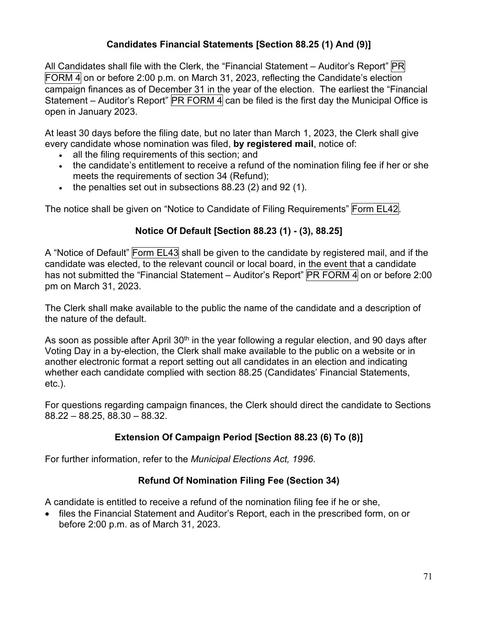## **Candidates Financial Statements [Section 88.25 (1) And (9)]**

All Candidates shall file with the Clerk, the "Financial Statement – Auditor's Report" PR FORM  $\overline{4}$  on or before 2:00 p.m. on March 31, 2023, reflecting the Candidate's election campaign finances as of December 31 in the year of the election. The earliest the "Financial Statement – Auditor's Report"  $\overline{PR}$  FORM 4 can be filed is the first day the Municipal Office is open in January 2023.

At least 30 days before the filing date, but no later than March 1, 2023, the Clerk shall give every candidate whose nomination was filed, **by registered mail**, notice of:

- all the filing requirements of this section; and
- the candidate's entitlement to receive a refund of the nomination filing fee if her or she meets the requirements of section 34 (Refund);
- the penalties set out in subsections 88.23 (2) and 92 (1).

The notice shall be given on "Notice to Candidate of Filing Requirements" Form EL42.

## **Notice Of Default [Section 88.23 (1) - (3), 88.25]**

A "Notice of Default" Form EL43 shall be given to the candidate by registered mail, and if the candidate was elected, to the relevant council or local board, in the event that a candidate has not submitted the "Financial Statement – Auditor's Report" PR FORM 4 on or before 2:00 pm on March 31, 2023.

The Clerk shall make available to the public the name of the candidate and a description of the nature of the default.

As soon as possible after April 30<sup>th</sup> in the year following a regular election, and 90 days after Voting Day in a by-election, the Clerk shall make available to the public on a website or in another electronic format a report setting out all candidates in an election and indicating whether each candidate complied with section 88.25 (Candidates' Financial Statements, etc.).

For questions regarding campaign finances, the Clerk should direct the candidate to Sections 88.22 – 88.25, 88.30 – 88.32.

## **Extension Of Campaign Period [Section 88.23 (6) To (8)]**

For further information, refer to the *Municipal Elections Act, 1996*.

## **Refund Of Nomination Filing Fee (Section 34)**

A candidate is entitled to receive a refund of the nomination filing fee if he or she,

• files the Financial Statement and Auditor's Report, each in the prescribed form, on or before 2:00 p.m. as of March 31, 2023.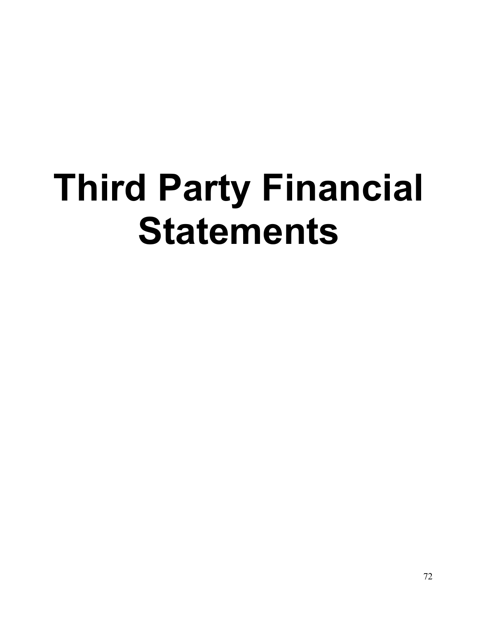# **Third Party Financial Statements**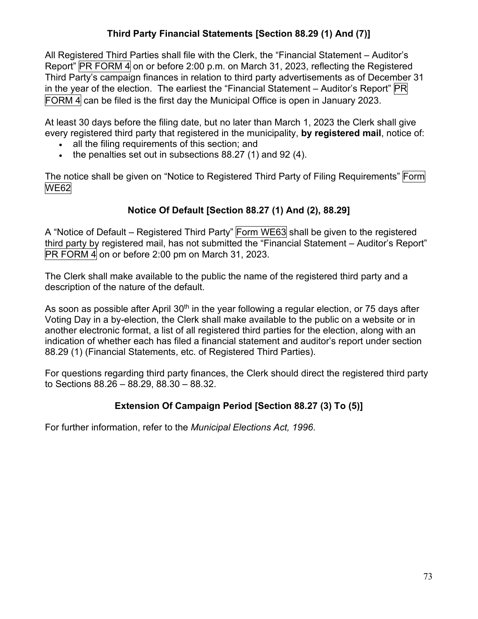### **Third Party Financial Statements [Section 88.29 (1) And (7)]**

All Registered Third Parties shall file with the Clerk, the "Financial Statement – Auditor's Report" PR FORM 4 on or before 2:00 p.m. on March 31, 2023, reflecting the Registered Third Party's campaign finances in relation to third party advertisements as of December 31 in the year of the election. The earliest the "Financial Statement – Auditor's Report" PR FORM 4 can be filed is the first day the Municipal Office is open in January 2023.

At least 30 days before the filing date, but no later than March 1, 2023 the Clerk shall give every registered third party that registered in the municipality, **by registered mail**, notice of:

- all the filing requirements of this section; and
- the penalties set out in subsections 88.27 (1) and 92 (4).

The notice shall be given on "Notice to Registered Third Party of Filing Requirements" Form WE62

### **Notice Of Default [Section 88.27 (1) And (2), 88.29]**

A "Notice of Default – Registered Third Party" Form WE63 shall be given to the registered third party by registered mail, has not submitted the "Financial Statement – Auditor's Report"  $PR$  FORM 4 on or before 2:00 pm on March 31, 2023.

The Clerk shall make available to the public the name of the registered third party and a description of the nature of the default.

As soon as possible after April  $30<sup>th</sup>$  in the year following a regular election, or 75 days after Voting Day in a by-election, the Clerk shall make available to the public on a website or in another electronic format, a list of all registered third parties for the election, along with an indication of whether each has filed a financial statement and auditor's report under section 88.29 (1) (Financial Statements, etc. of Registered Third Parties).

For questions regarding third party finances, the Clerk should direct the registered third party to Sections 88.26 – 88.29, 88.30 – 88.32.

#### **Extension Of Campaign Period [Section 88.27 (3) To (5)]**

For further information, refer to the *Municipal Elections Act, 1996*.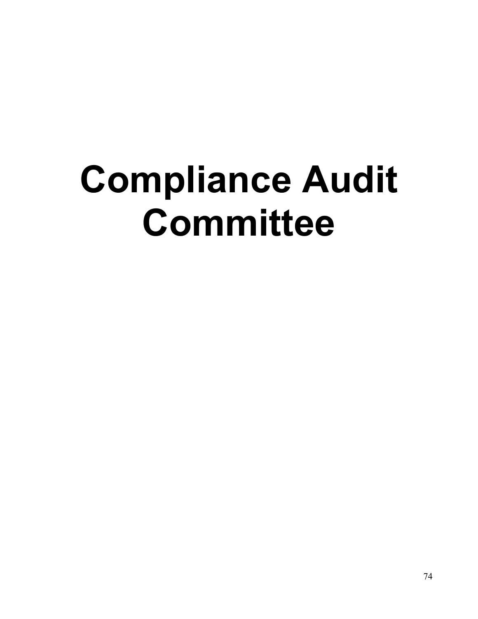# **Compliance Audit Committee**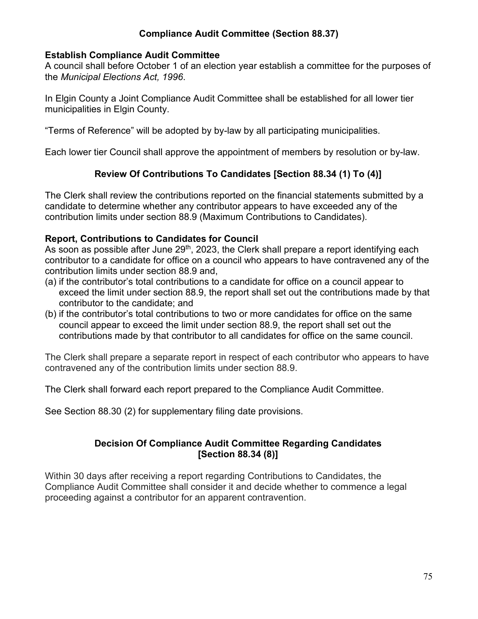#### **Compliance Audit Committee (Section 88.37)**

#### **Establish Compliance Audit Committee**

A council shall before October 1 of an election year establish a committee for the purposes of the *Municipal Elections Act, 1996*.

In Elgin County a Joint Compliance Audit Committee shall be established for all lower tier municipalities in Elgin County.

"Terms of Reference" will be adopted by by-law by all participating municipalities.

Each lower tier Council shall approve the appointment of members by resolution or by-law.

#### **Review Of Contributions To Candidates [Section 88.34 (1) To (4)]**

The Clerk shall review the contributions reported on the financial statements submitted by a candidate to determine whether any contributor appears to have exceeded any of the contribution limits under section 88.9 (Maximum Contributions to Candidates).

#### **Report, Contributions to Candidates for Council**

As soon as possible after June  $29<sup>th</sup>$ , 2023, the Clerk shall prepare a report identifying each contributor to a candidate for office on a council who appears to have contravened any of the contribution limits under section 88.9 and,

- (a) if the contributor's total contributions to a candidate for office on a council appear to exceed the limit under section 88.9, the report shall set out the contributions made by that contributor to the candidate; and
- (b) if the contributor's total contributions to two or more candidates for office on the same council appear to exceed the limit under section 88.9, the report shall set out the contributions made by that contributor to all candidates for office on the same council.

The Clerk shall prepare a separate report in respect of each contributor who appears to have contravened any of the contribution limits under section 88.9.

The Clerk shall forward each report prepared to the Compliance Audit Committee.

See Section 88.30 (2) for supplementary filing date provisions.

#### **Decision Of Compliance Audit Committee Regarding Candidates [Section 88.34 (8)]**

Within 30 days after receiving a report regarding Contributions to Candidates, the Compliance Audit Committee shall consider it and decide whether to commence a legal proceeding against a contributor for an apparent contravention.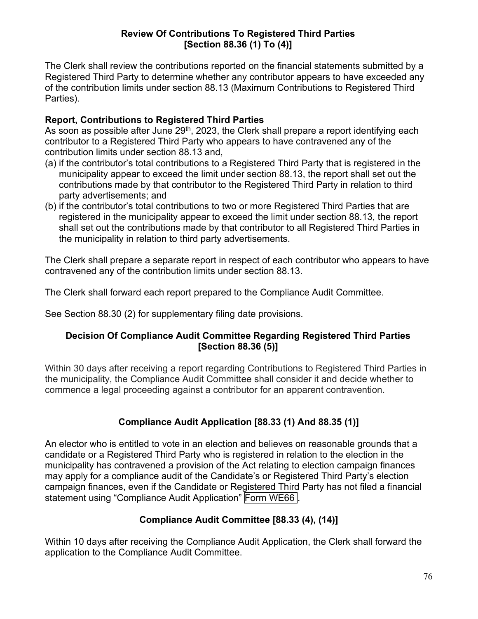#### **Review Of Contributions To Registered Third Parties [Section 88.36 (1) To (4)]**

The Clerk shall review the contributions reported on the financial statements submitted by a Registered Third Party to determine whether any contributor appears to have exceeded any of the contribution limits under section 88.13 (Maximum Contributions to Registered Third Parties).

#### **Report, Contributions to Registered Third Parties**

As soon as possible after June  $29<sup>th</sup>$ , 2023, the Clerk shall prepare a report identifying each contributor to a Registered Third Party who appears to have contravened any of the contribution limits under section 88.13 and,

- (a) if the contributor's total contributions to a Registered Third Party that is registered in the municipality appear to exceed the limit under section 88.13, the report shall set out the contributions made by that contributor to the Registered Third Party in relation to third party advertisements; and
- (b) if the contributor's total contributions to two or more Registered Third Parties that are registered in the municipality appear to exceed the limit under section 88.13, the report shall set out the contributions made by that contributor to all Registered Third Parties in the municipality in relation to third party advertisements.

The Clerk shall prepare a separate report in respect of each contributor who appears to have contravened any of the contribution limits under section 88.13.

The Clerk shall forward each report prepared to the Compliance Audit Committee.

See Section 88.30 (2) for supplementary filing date provisions.

#### **Decision Of Compliance Audit Committee Regarding Registered Third Parties [Section 88.36 (5)]**

Within 30 days after receiving a report regarding Contributions to Registered Third Parties in the municipality, the Compliance Audit Committee shall consider it and decide whether to commence a legal proceeding against a contributor for an apparent contravention.

#### **Compliance Audit Application [88.33 (1) And 88.35 (1)]**

An elector who is entitled to vote in an election and believes on reasonable grounds that a candidate or a Registered Third Party who is registered in relation to the election in the municipality has contravened a provision of the Act relating to election campaign finances may apply for a compliance audit of the Candidate's or Registered Third Party's election campaign finances, even if the Candidate or Registered Third Party has not filed a financial statement using "Compliance Audit Application" Form WE66 .

#### **Compliance Audit Committee [88.33 (4), (14)]**

Within 10 days after receiving the Compliance Audit Application, the Clerk shall forward the application to the Compliance Audit Committee.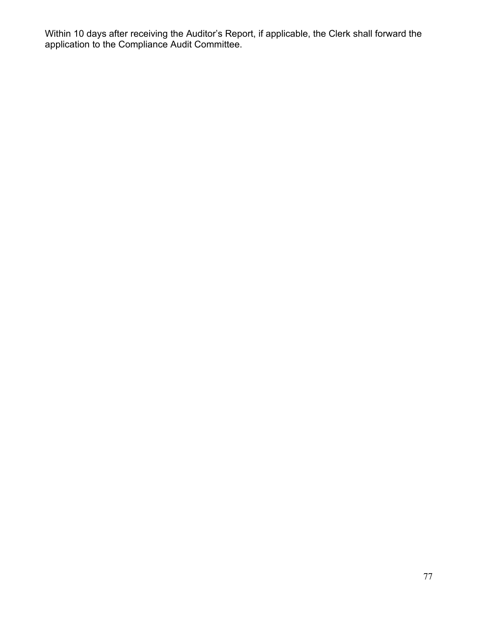Within 10 days after receiving the Auditor's Report, if applicable, the Clerk shall forward the application to the Compliance Audit Committee.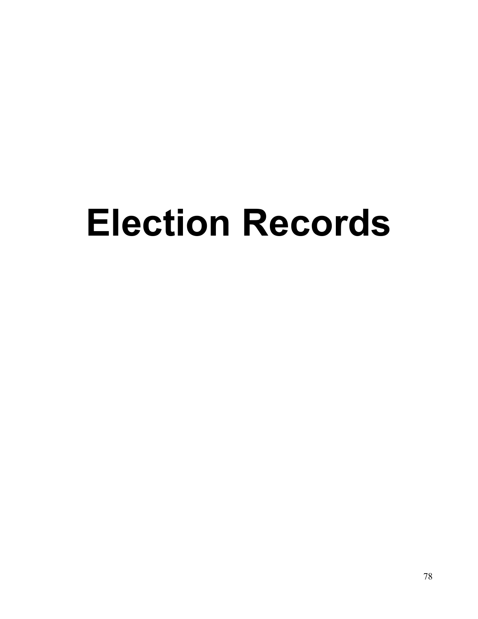# **Election Records**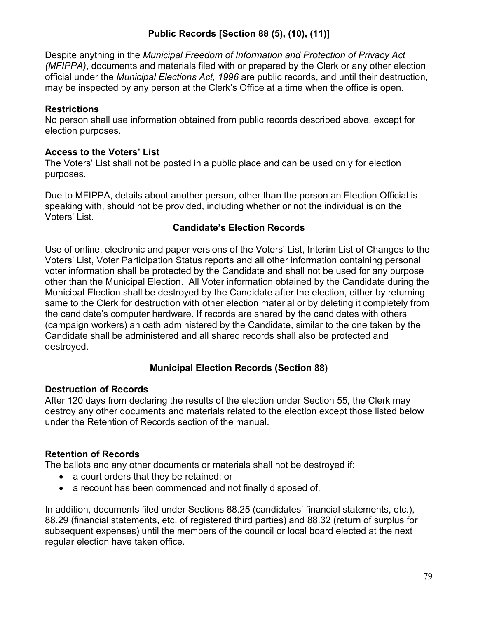### **Public Records [Section 88 (5), (10), (11)]**

Despite anything in the *Municipal Freedom of Information and Protection of Privacy Act (MFIPPA)*, documents and materials filed with or prepared by the Clerk or any other election official under the *Municipal Elections Act, 1996* are public records, and until their destruction, may be inspected by any person at the Clerk's Office at a time when the office is open.

#### **Restrictions**

No person shall use information obtained from public records described above, except for election purposes.

#### **Access to the Voters' List**

The Voters' List shall not be posted in a public place and can be used only for election purposes.

Due to MFIPPA, details about another person, other than the person an Election Official is speaking with, should not be provided, including whether or not the individual is on the Voters' List.

#### **Candidate's Election Records**

Use of online, electronic and paper versions of the Voters' List, Interim List of Changes to the Voters' List, Voter Participation Status reports and all other information containing personal voter information shall be protected by the Candidate and shall not be used for any purpose other than the Municipal Election. All Voter information obtained by the Candidate during the Municipal Election shall be destroyed by the Candidate after the election, either by returning same to the Clerk for destruction with other election material or by deleting it completely from the candidate's computer hardware. If records are shared by the candidates with others (campaign workers) an oath administered by the Candidate, similar to the one taken by the Candidate shall be administered and all shared records shall also be protected and destroyed.

#### **Municipal Election Records (Section 88)**

#### **Destruction of Records**

After 120 days from declaring the results of the election under Section 55, the Clerk may destroy any other documents and materials related to the election except those listed below under the Retention of Records section of the manual.

#### **Retention of Records**

The ballots and any other documents or materials shall not be destroyed if:

- a court orders that they be retained; or
- a recount has been commenced and not finally disposed of.

In addition, documents filed under Sections 88.25 (candidates' financial statements, etc.), 88.29 (financial statements, etc. of registered third parties) and 88.32 (return of surplus for subsequent expenses) until the members of the council or local board elected at the next regular election have taken office.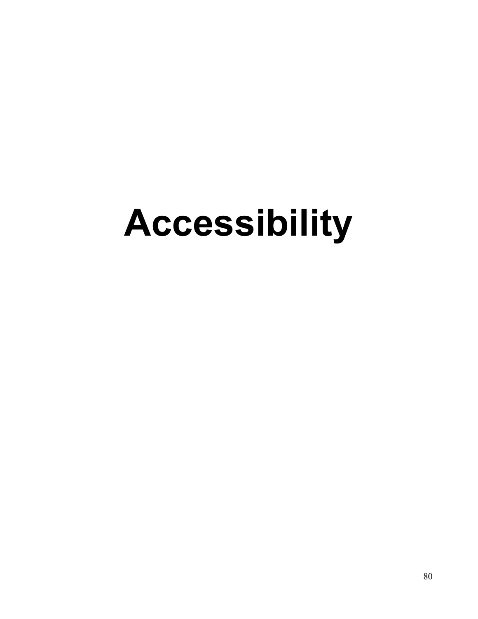# **Accessibility**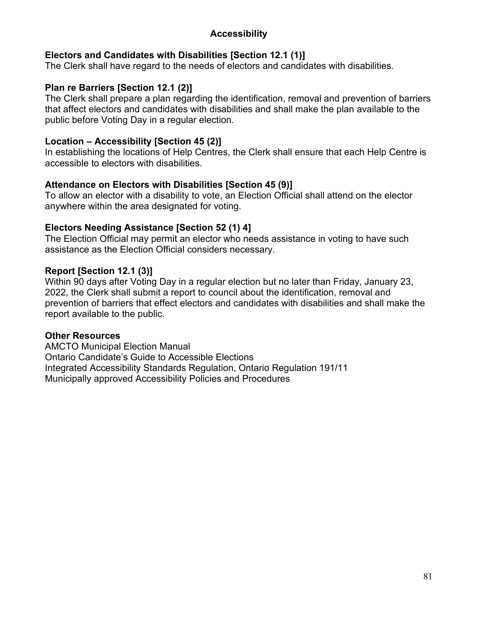#### **Accessibility**

#### **Electors and Candidates with Disabilities [Section 12.1 (1)]**

The Clerk shall have regard to the needs of electors and candidates with disabilities.

#### **Plan re Barriers [Section 12.1 (2)]**

The Clerk shall prepare a plan regarding the identification, removal and prevention of barriers that affect electors and candidates with disabilities and shall make the plan available to the public before Voting Day in a regular election.

#### **Location – Accessibility [Section 45 (2)]**

In establishing the locations of Help Centres, the Clerk shall ensure that each Help Centre is accessible to electors with disabilities.

#### **Attendance on Electors with Disabilities [Section 45 (9)]**

To allow an elector with a disability to vote, an Election Official shall attend on the elector anywhere within the area designated for voting.

#### **Electors Needing Assistance [Section 52 (1) 4]**

The Election Official may permit an elector who needs assistance in voting to have such assistance as the Election Official considers necessary.

#### **Report [Section 12.1 (3)]**

Within 90 days after Voting Day in a regular election but no later than Friday, January 23, 2022, the Clerk shall submit a report to council about the identification, removal and prevention of barriers that effect electors and candidates with disabilities and shall make the report available to the public.

#### **Other Resources**

AMCTO Municipal Election Manual Ontario Candidate's Guide to Accessible Elections Integrated Accessibility Standards Regulation, Ontario Regulation 191/11 Municipally approved Accessibility Policies and Procedures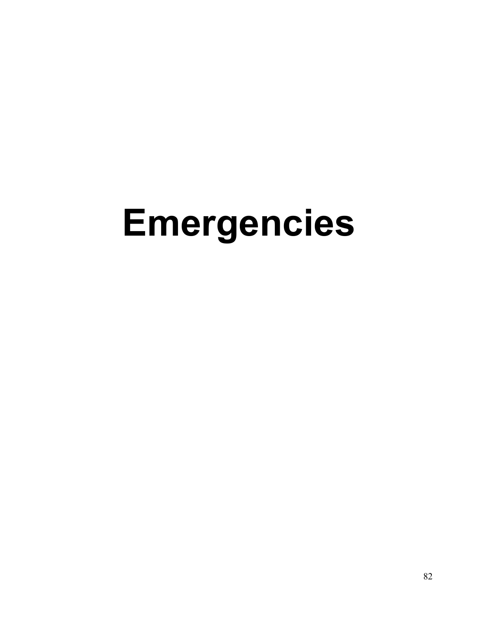# **Emergencies**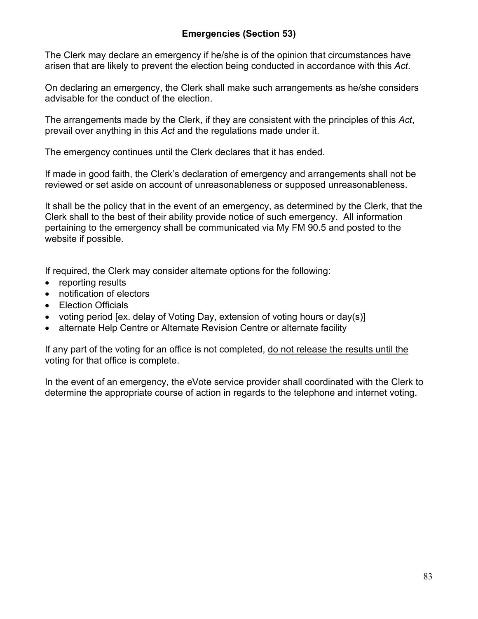#### **Emergencies (Section 53)**

The Clerk may declare an emergency if he/she is of the opinion that circumstances have arisen that are likely to prevent the election being conducted in accordance with this *Act*.

On declaring an emergency, the Clerk shall make such arrangements as he/she considers advisable for the conduct of the election.

The arrangements made by the Clerk, if they are consistent with the principles of this *Act*, prevail over anything in this *Act* and the regulations made under it.

The emergency continues until the Clerk declares that it has ended.

If made in good faith, the Clerk's declaration of emergency and arrangements shall not be reviewed or set aside on account of unreasonableness or supposed unreasonableness.

It shall be the policy that in the event of an emergency, as determined by the Clerk, that the Clerk shall to the best of their ability provide notice of such emergency. All information pertaining to the emergency shall be communicated via My FM 90.5 and posted to the website if possible.

If required, the Clerk may consider alternate options for the following:

- reporting results
- notification of electors
- Election Officials
- voting period [ex. delay of Voting Day, extension of voting hours or day(s)]
- alternate Help Centre or Alternate Revision Centre or alternate facility

If any part of the voting for an office is not completed, do not release the results until the voting for that office is complete.

In the event of an emergency, the eVote service provider shall coordinated with the Clerk to determine the appropriate course of action in regards to the telephone and internet voting.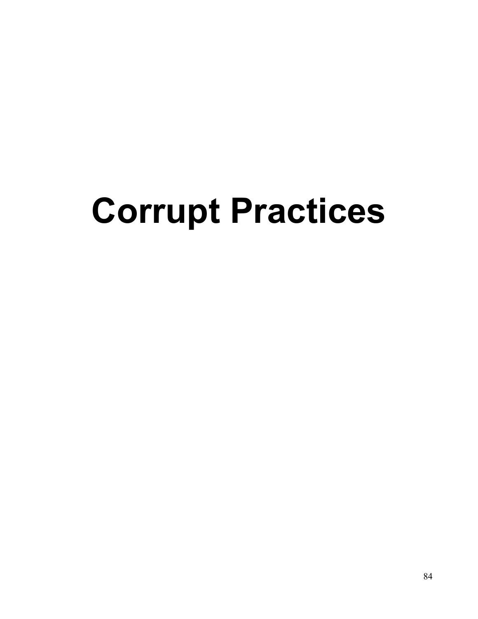# **Corrupt Practices**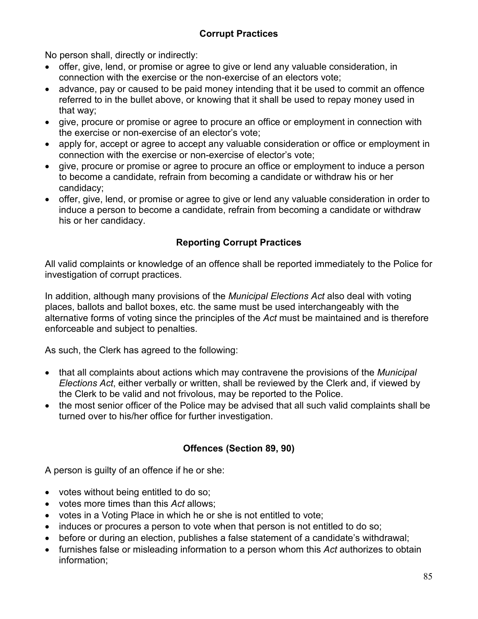No person shall, directly or indirectly:

- offer, give, lend, or promise or agree to give or lend any valuable consideration, in connection with the exercise or the non-exercise of an electors vote;
- advance, pay or caused to be paid money intending that it be used to commit an offence referred to in the bullet above, or knowing that it shall be used to repay money used in that way;
- give, procure or promise or agree to procure an office or employment in connection with the exercise or non-exercise of an elector's vote;
- apply for, accept or agree to accept any valuable consideration or office or employment in connection with the exercise or non-exercise of elector's vote;
- give, procure or promise or agree to procure an office or employment to induce a person to become a candidate, refrain from becoming a candidate or withdraw his or her candidacy;
- offer, give, lend, or promise or agree to give or lend any valuable consideration in order to induce a person to become a candidate, refrain from becoming a candidate or withdraw his or her candidacy.

## **Reporting Corrupt Practices**

All valid complaints or knowledge of an offence shall be reported immediately to the Police for investigation of corrupt practices.

In addition, although many provisions of the *Municipal Elections Act* also deal with voting places, ballots and ballot boxes, etc. the same must be used interchangeably with the alternative forms of voting since the principles of the *Act* must be maintained and is therefore enforceable and subject to penalties.

As such, the Clerk has agreed to the following:

- that all complaints about actions which may contravene the provisions of the *Municipal Elections Act*, either verbally or written, shall be reviewed by the Clerk and, if viewed by the Clerk to be valid and not frivolous, may be reported to the Police.
- the most senior officer of the Police may be advised that all such valid complaints shall be turned over to his/her office for further investigation.

### **Offences (Section 89, 90)**

A person is guilty of an offence if he or she:

- votes without being entitled to do so;
- votes more times than this *Act* allows;
- votes in a Voting Place in which he or she is not entitled to vote;
- induces or procures a person to vote when that person is not entitled to do so;
- before or during an election, publishes a false statement of a candidate's withdrawal;
- furnishes false or misleading information to a person whom this *Act* authorizes to obtain information;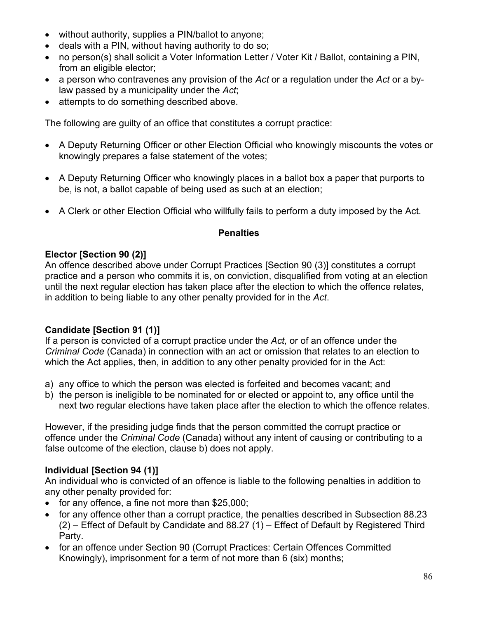- without authority, supplies a PIN/ballot to anyone;
- deals with a PIN, without having authority to do so;
- no person(s) shall solicit a Voter Information Letter / Voter Kit / Ballot, containing a PIN, from an eligible elector;
- a person who contravenes any provision of the *Act* or a regulation under the *Act* or a bylaw passed by a municipality under the *Act*;
- attempts to do something described above.

The following are guilty of an office that constitutes a corrupt practice:

- A Deputy Returning Officer or other Election Official who knowingly miscounts the votes or knowingly prepares a false statement of the votes;
- A Deputy Returning Officer who knowingly places in a ballot box a paper that purports to be, is not, a ballot capable of being used as such at an election;
- A Clerk or other Election Official who willfully fails to perform a duty imposed by the Act.

#### **Penalties**

#### **Elector [Section 90 (2)]**

An offence described above under Corrupt Practices [Section 90 (3)] constitutes a corrupt practice and a person who commits it is, on conviction, disqualified from voting at an election until the next regular election has taken place after the election to which the offence relates, in addition to being liable to any other penalty provided for in the *Act*.

#### **Candidate [Section 91 (1)]**

If a person is convicted of a corrupt practice under the *Act,* or of an offence under the *Criminal Code* (Canada) in connection with an act or omission that relates to an election to which the Act applies, then, in addition to any other penalty provided for in the Act:

- a) any office to which the person was elected is forfeited and becomes vacant; and
- b) the person is ineligible to be nominated for or elected or appoint to, any office until the next two regular elections have taken place after the election to which the offence relates.

However, if the presiding judge finds that the person committed the corrupt practice or offence under the *Criminal Code* (Canada) without any intent of causing or contributing to a false outcome of the election, clause b) does not apply.

#### **Individual [Section 94 (1)]**

An individual who is convicted of an offence is liable to the following penalties in addition to any other penalty provided for:

- for any offence, a fine not more than \$25,000;
- for any offence other than a corrupt practice, the penalties described in Subsection 88.23 (2) – Effect of Default by Candidate and 88.27 (1) – Effect of Default by Registered Third Party.
- for an offence under Section 90 (Corrupt Practices: Certain Offences Committed Knowingly), imprisonment for a term of not more than 6 (six) months;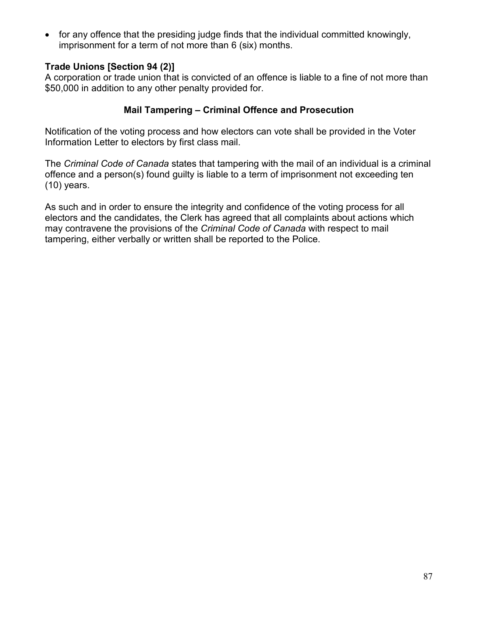• for any offence that the presiding judge finds that the individual committed knowingly, imprisonment for a term of not more than 6 (six) months.

#### **Trade Unions [Section 94 (2)]**

A corporation or trade union that is convicted of an offence is liable to a fine of not more than \$50,000 in addition to any other penalty provided for.

#### **Mail Tampering – Criminal Offence and Prosecution**

Notification of the voting process and how electors can vote shall be provided in the Voter Information Letter to electors by first class mail.

The *Criminal Code of Canada* states that tampering with the mail of an individual is a criminal offence and a person(s) found guilty is liable to a term of imprisonment not exceeding ten (10) years.

As such and in order to ensure the integrity and confidence of the voting process for all electors and the candidates, the Clerk has agreed that all complaints about actions which may contravene the provisions of the *Criminal Code of Canada* with respect to mail tampering, either verbally or written shall be reported to the Police.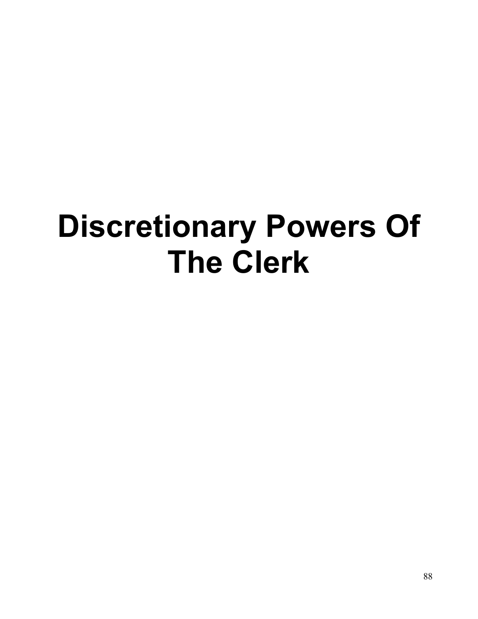# **Discretionary Powers Of The Clerk**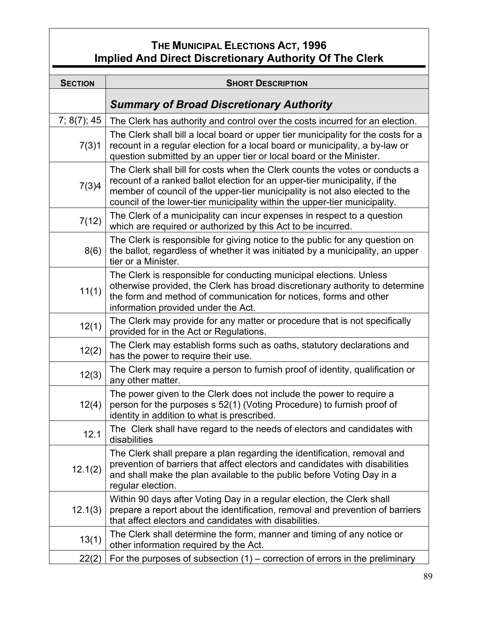## **THE MUNICIPAL ELECTIONS ACT, 1996 Implied And Direct Discretionary Authority Of The Clerk**

| <b>SECTION</b> | <b>SHORT DESCRIPTION</b>                                                                                                                                                                                                                                                                                                 |
|----------------|--------------------------------------------------------------------------------------------------------------------------------------------------------------------------------------------------------------------------------------------------------------------------------------------------------------------------|
|                | <b>Summary of Broad Discretionary Authority</b>                                                                                                                                                                                                                                                                          |
| 7; 8(7); 45    |                                                                                                                                                                                                                                                                                                                          |
| 7(3)1          | The Clerk has authority and control over the costs incurred for an election.<br>The Clerk shall bill a local board or upper tier municipality for the costs for a<br>recount in a regular election for a local board or municipality, a by-law or<br>question submitted by an upper tier or local board or the Minister. |
| 7(3)4          | The Clerk shall bill for costs when the Clerk counts the votes or conducts a<br>recount of a ranked ballot election for an upper-tier municipality, if the<br>member of council of the upper-tier municipality is not also elected to the<br>council of the lower-tier municipality within the upper-tier municipality.  |
| 7(12)          | The Clerk of a municipality can incur expenses in respect to a question<br>which are required or authorized by this Act to be incurred.                                                                                                                                                                                  |
| 8(6)           | The Clerk is responsible for giving notice to the public for any question on<br>the ballot, regardless of whether it was initiated by a municipality, an upper<br>tier or a Minister.                                                                                                                                    |
| 11(1)          | The Clerk is responsible for conducting municipal elections. Unless<br>otherwise provided, the Clerk has broad discretionary authority to determine<br>the form and method of communication for notices, forms and other<br>information provided under the Act.                                                          |
| 12(1)          | The Clerk may provide for any matter or procedure that is not specifically<br>provided for in the Act or Regulations.                                                                                                                                                                                                    |
| 12(2)          | The Clerk may establish forms such as oaths, statutory declarations and<br>has the power to require their use.                                                                                                                                                                                                           |
| 12(3)          | The Clerk may require a person to furnish proof of identity, qualification or<br>any other matter.                                                                                                                                                                                                                       |
| 12(4)          | The power given to the Clerk does not include the power to require a<br>person for the purposes s 52(1) (Voting Procedure) to furnish proof of<br>identity in addition to what is prescribed.                                                                                                                            |
| 12.1           | The Clerk shall have regard to the needs of electors and candidates with<br>disabilities                                                                                                                                                                                                                                 |
| 12.1(2)        | The Clerk shall prepare a plan regarding the identification, removal and<br>prevention of barriers that affect electors and candidates with disabilities<br>and shall make the plan available to the public before Voting Day in a<br>regular election.                                                                  |
| 12.1(3)        | Within 90 days after Voting Day in a regular election, the Clerk shall<br>prepare a report about the identification, removal and prevention of barriers<br>that affect electors and candidates with disabilities.                                                                                                        |
| 13(1)          | The Clerk shall determine the form, manner and timing of any notice or<br>other information required by the Act.                                                                                                                                                                                                         |
| 22(2)          | For the purposes of subsection $(1)$ – correction of errors in the preliminary                                                                                                                                                                                                                                           |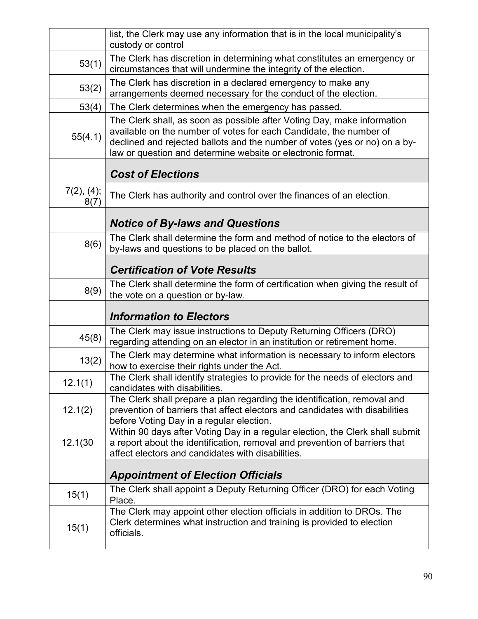|                    | list, the Clerk may use any information that is in the local municipality's<br>custody or control                                                                                                                                                                                          |
|--------------------|--------------------------------------------------------------------------------------------------------------------------------------------------------------------------------------------------------------------------------------------------------------------------------------------|
| 53(1)              | The Clerk has discretion in determining what constitutes an emergency or<br>circumstances that will undermine the integrity of the election.                                                                                                                                               |
| 53(2)              | The Clerk has discretion in a declared emergency to make any<br>arrangements deemed necessary for the conduct of the election.                                                                                                                                                             |
| 53(4)              | The Clerk determines when the emergency has passed.                                                                                                                                                                                                                                        |
| 55(4.1)            | The Clerk shall, as soon as possible after Voting Day, make information<br>available on the number of votes for each Candidate, the number of<br>declined and rejected ballots and the number of votes (yes or no) on a by-<br>law or question and determine website or electronic format. |
|                    | <b>Cost of Elections</b>                                                                                                                                                                                                                                                                   |
| 7(2), (4);<br>8(7) | The Clerk has authority and control over the finances of an election.                                                                                                                                                                                                                      |
|                    | <b>Notice of By-laws and Questions</b>                                                                                                                                                                                                                                                     |
| 8(6)               | The Clerk shall determine the form and method of notice to the electors of<br>by-laws and questions to be placed on the ballot.                                                                                                                                                            |
|                    | <b>Certification of Vote Results</b>                                                                                                                                                                                                                                                       |
| 8(9)               | The Clerk shall determine the form of certification when giving the result of<br>the vote on a question or by-law.                                                                                                                                                                         |
|                    |                                                                                                                                                                                                                                                                                            |
|                    | <b>Information to Electors</b>                                                                                                                                                                                                                                                             |
| 45(8)              | The Clerk may issue instructions to Deputy Returning Officers (DRO)<br>regarding attending on an elector in an institution or retirement home.                                                                                                                                             |
| 13(2)              | The Clerk may determine what information is necessary to inform electors<br>how to exercise their rights under the Act.                                                                                                                                                                    |
| 12.1(1)            | The Clerk shall identify strategies to provide for the needs of electors and<br>candidates with disabilities.                                                                                                                                                                              |
| 12.1(2)            | The Clerk shall prepare a plan regarding the identification, removal and<br>prevention of barriers that affect electors and candidates with disabilities<br>before Voting Day in a regular election.                                                                                       |
| 12.1(30            | Within 90 days after Voting Day in a regular election, the Clerk shall submit<br>a report about the identification, removal and prevention of barriers that<br>affect electors and candidates with disabilities.                                                                           |
|                    | <b>Appointment of Election Officials</b>                                                                                                                                                                                                                                                   |
| 15(1)              | The Clerk shall appoint a Deputy Returning Officer (DRO) for each Voting<br>Place.                                                                                                                                                                                                         |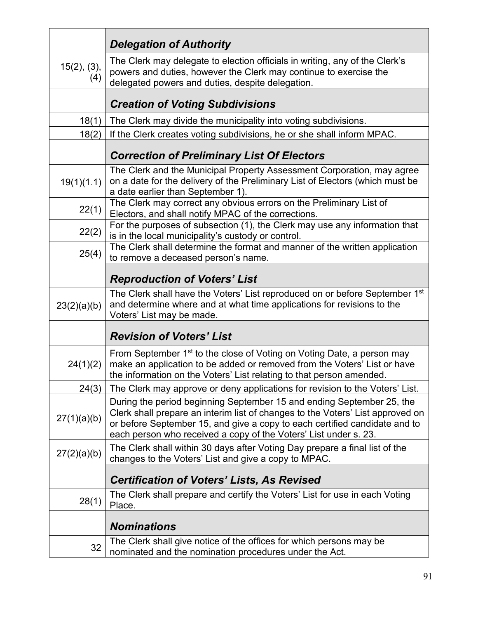|                          | <b>Delegation of Authority</b>                                                                                                                                                                                                                                                                            |
|--------------------------|-----------------------------------------------------------------------------------------------------------------------------------------------------------------------------------------------------------------------------------------------------------------------------------------------------------|
| $15(2)$ , $(3)$ ,<br>(4) | The Clerk may delegate to election officials in writing, any of the Clerk's<br>powers and duties, however the Clerk may continue to exercise the<br>delegated powers and duties, despite delegation.                                                                                                      |
|                          | <b>Creation of Voting Subdivisions</b>                                                                                                                                                                                                                                                                    |
| 18(1)                    | The Clerk may divide the municipality into voting subdivisions.                                                                                                                                                                                                                                           |
| 18(2)                    | If the Clerk creates voting subdivisions, he or she shall inform MPAC.                                                                                                                                                                                                                                    |
|                          | <b>Correction of Preliminary List Of Electors</b>                                                                                                                                                                                                                                                         |
| 19(1)(1.1)               | The Clerk and the Municipal Property Assessment Corporation, may agree<br>on a date for the delivery of the Preliminary List of Electors (which must be<br>a date earlier than September 1)                                                                                                               |
| 22(1)                    | The Clerk may correct any obvious errors on the Preliminary List of<br>Electors, and shall notify MPAC of the corrections.                                                                                                                                                                                |
| 22(2)                    | For the purposes of subsection (1), the Clerk may use any information that<br>is in the local municipality's custody or control.                                                                                                                                                                          |
| 25(4)                    | The Clerk shall determine the format and manner of the written application<br>to remove a deceased person's name.                                                                                                                                                                                         |
|                          | <b>Reproduction of Voters' List</b>                                                                                                                                                                                                                                                                       |
| 23(2)(a)(b)              | The Clerk shall have the Voters' List reproduced on or before September 1 <sup>st</sup><br>and determine where and at what time applications for revisions to the<br>Voters' List may be made.                                                                                                            |
|                          | <b>Revision of Voters' List</b>                                                                                                                                                                                                                                                                           |
| 24(1)(2)                 | From September 1 <sup>st</sup> to the close of Voting on Voting Date, a person may<br>make an application to be added or removed from the Voters' List or have<br>the information on the Voters' List relating to that person amended.                                                                    |
| 24(3)                    | The Clerk may approve or deny applications for revision to the Voters' List.                                                                                                                                                                                                                              |
| 27(1)(a)(b)              | During the period beginning September 15 and ending September 25, the<br>Clerk shall prepare an interim list of changes to the Voters' List approved on<br>or before September 15, and give a copy to each certified candidate and to<br>each person who received a copy of the Voters' List under s. 23. |
| 27(2)(a)(b)              | The Clerk shall within 30 days after Voting Day prepare a final list of the<br>changes to the Voters' List and give a copy to MPAC.                                                                                                                                                                       |
|                          | <b>Certification of Voters' Lists, As Revised</b>                                                                                                                                                                                                                                                         |
| 28(1)                    | The Clerk shall prepare and certify the Voters' List for use in each Voting<br>Place.                                                                                                                                                                                                                     |
|                          | <b>Nominations</b>                                                                                                                                                                                                                                                                                        |
| 32                       | The Clerk shall give notice of the offices for which persons may be<br>nominated and the nomination procedures under the Act.                                                                                                                                                                             |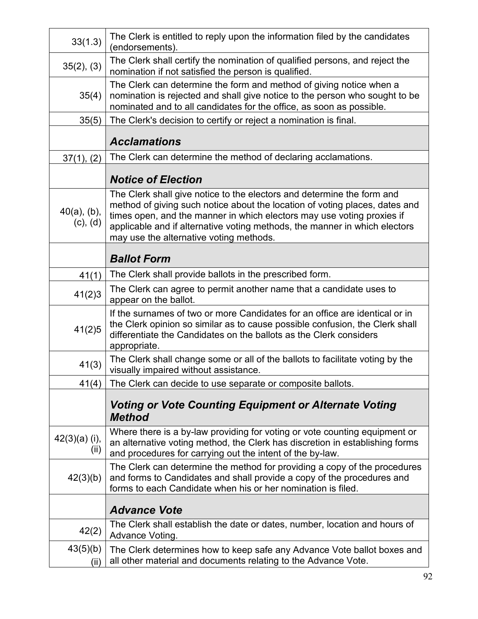| 33(1.3)                         | The Clerk is entitled to reply upon the information filed by the candidates<br>(endorsements).                                                                                                                                                                                                                                                           |
|---------------------------------|----------------------------------------------------------------------------------------------------------------------------------------------------------------------------------------------------------------------------------------------------------------------------------------------------------------------------------------------------------|
| 35(2), (3)                      | The Clerk shall certify the nomination of qualified persons, and reject the<br>nomination if not satisfied the person is qualified.                                                                                                                                                                                                                      |
| 35(4)                           | The Clerk can determine the form and method of giving notice when a<br>nomination is rejected and shall give notice to the person who sought to be<br>nominated and to all candidates for the office, as soon as possible.                                                                                                                               |
| 35(5)                           | The Clerk's decision to certify or reject a nomination is final.                                                                                                                                                                                                                                                                                         |
|                                 | <b>Acclamations</b>                                                                                                                                                                                                                                                                                                                                      |
| 37(1), (2)                      | The Clerk can determine the method of declaring acclamations.                                                                                                                                                                                                                                                                                            |
|                                 | <b>Notice of Election</b>                                                                                                                                                                                                                                                                                                                                |
| $40(a)$ , (b),<br>$(c)$ , $(d)$ | The Clerk shall give notice to the electors and determine the form and<br>method of giving such notice about the location of voting places, dates and<br>times open, and the manner in which electors may use voting proxies if<br>applicable and if alternative voting methods, the manner in which electors<br>may use the alternative voting methods. |
|                                 | <b>Ballot Form</b>                                                                                                                                                                                                                                                                                                                                       |
| 41(1)                           | The Clerk shall provide ballots in the prescribed form.                                                                                                                                                                                                                                                                                                  |
| 41(2)3                          | The Clerk can agree to permit another name that a candidate uses to<br>appear on the ballot.                                                                                                                                                                                                                                                             |
| 41(2)5                          | If the surnames of two or more Candidates for an office are identical or in<br>the Clerk opinion so similar as to cause possible confusion, the Clerk shall<br>differentiate the Candidates on the ballots as the Clerk considers<br>appropriate.                                                                                                        |
| 41(3)                           | The Clerk shall change some or all of the ballots to facilitate voting by the<br>visually impaired without assistance.                                                                                                                                                                                                                                   |
| 41(4)                           | The Clerk can decide to use separate or composite ballots.                                                                                                                                                                                                                                                                                               |
|                                 | <b>Voting or Vote Counting Equipment or Alternate Voting</b><br><b>Method</b>                                                                                                                                                                                                                                                                            |
| $42(3)(a)$ (i),<br>(ii)         | Where there is a by-law providing for voting or vote counting equipment or<br>an alternative voting method, the Clerk has discretion in establishing forms<br>and procedures for carrying out the intent of the by-law.                                                                                                                                  |
| 42(3)(b)                        | The Clerk can determine the method for providing a copy of the procedures<br>and forms to Candidates and shall provide a copy of the procedures and<br>forms to each Candidate when his or her nomination is filed.                                                                                                                                      |
|                                 | <b>Advance Vote</b>                                                                                                                                                                                                                                                                                                                                      |
| 42(2)                           | The Clerk shall establish the date or dates, number, location and hours of<br>Advance Voting.                                                                                                                                                                                                                                                            |
| 43(5)(b)<br>(ii)                | The Clerk determines how to keep safe any Advance Vote ballot boxes and<br>all other material and documents relating to the Advance Vote.                                                                                                                                                                                                                |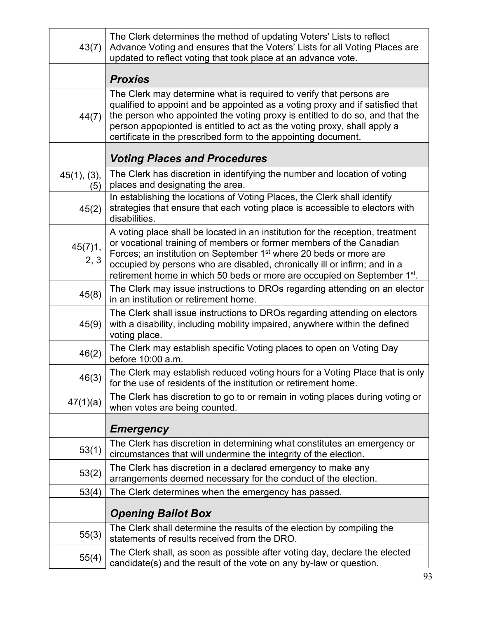| 43(7)              | The Clerk determines the method of updating Voters' Lists to reflect<br>Advance Voting and ensures that the Voters' Lists for all Voting Places are<br>updated to reflect voting that took place at an advance vote.                                                                                                                                                                                        |
|--------------------|-------------------------------------------------------------------------------------------------------------------------------------------------------------------------------------------------------------------------------------------------------------------------------------------------------------------------------------------------------------------------------------------------------------|
|                    | <b>Proxies</b>                                                                                                                                                                                                                                                                                                                                                                                              |
| 44(7)              | The Clerk may determine what is required to verify that persons are<br>qualified to appoint and be appointed as a voting proxy and if satisfied that<br>the person who appointed the voting proxy is entitled to do so, and that the<br>person appopionted is entitled to act as the voting proxy, shall apply a<br>certificate in the prescribed form to the appointing document.                          |
|                    | <b>Voting Places and Procedures</b>                                                                                                                                                                                                                                                                                                                                                                         |
| 45(1), (3),<br>(5) | The Clerk has discretion in identifying the number and location of voting<br>places and designating the area.                                                                                                                                                                                                                                                                                               |
| 45(2)              | In establishing the locations of Voting Places, the Clerk shall identify<br>strategies that ensure that each voting place is accessible to electors with<br>disabilities.                                                                                                                                                                                                                                   |
| 45(7)1,<br>2, 3    | A voting place shall be located in an institution for the reception, treatment<br>or vocational training of members or former members of the Canadian<br>Forces; an institution on September 1 <sup>st</sup> where 20 beds or more are<br>occupied by persons who are disabled, chronically ill or infirm; and in a<br>retirement home in which 50 beds or more are occupied on September 1 <sup>st</sup> . |
| 45(8)              | The Clerk may issue instructions to DROs regarding attending on an elector<br>in an institution or retirement home.                                                                                                                                                                                                                                                                                         |
| 45(9)              | The Clerk shall issue instructions to DROs regarding attending on electors<br>with a disability, including mobility impaired, anywhere within the defined<br>voting place.                                                                                                                                                                                                                                  |
| 46(2)              | The Clerk may establish specific Voting places to open on Voting Day<br>before 10:00 a.m.                                                                                                                                                                                                                                                                                                                   |
| 46(3)              | The Clerk may establish reduced voting hours for a Voting Place that is only<br>for the use of residents of the institution or retirement home.                                                                                                                                                                                                                                                             |
| 47(1)(a)           | The Clerk has discretion to go to or remain in voting places during voting or<br>when votes are being counted.                                                                                                                                                                                                                                                                                              |
|                    | <b>Emergency</b>                                                                                                                                                                                                                                                                                                                                                                                            |
| 53(1)              | The Clerk has discretion in determining what constitutes an emergency or<br>circumstances that will undermine the integrity of the election.                                                                                                                                                                                                                                                                |
| 53(2)              | The Clerk has discretion in a declared emergency to make any<br>arrangements deemed necessary for the conduct of the election.                                                                                                                                                                                                                                                                              |
| 53(4)              | The Clerk determines when the emergency has passed.                                                                                                                                                                                                                                                                                                                                                         |
|                    | <b>Opening Ballot Box</b>                                                                                                                                                                                                                                                                                                                                                                                   |
| 55(3)              | The Clerk shall determine the results of the election by compiling the<br>statements of results received from the DRO.                                                                                                                                                                                                                                                                                      |
| 55(4)              | The Clerk shall, as soon as possible after voting day, declare the elected<br>candidate(s) and the result of the vote on any by-law or question.                                                                                                                                                                                                                                                            |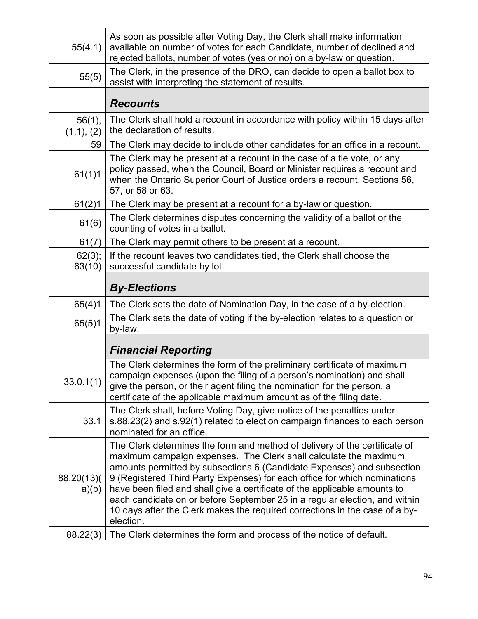| 55(4.1)                 | As soon as possible after Voting Day, the Clerk shall make information<br>available on number of votes for each Candidate, number of declined and<br>rejected ballots, number of votes (yes or no) on a by-law or question.                                                                                                                                                                                                                                                                                                                                  |
|-------------------------|--------------------------------------------------------------------------------------------------------------------------------------------------------------------------------------------------------------------------------------------------------------------------------------------------------------------------------------------------------------------------------------------------------------------------------------------------------------------------------------------------------------------------------------------------------------|
| 55(5)                   | The Clerk, in the presence of the DRO, can decide to open a ballot box to<br>assist with interpreting the statement of results.                                                                                                                                                                                                                                                                                                                                                                                                                              |
|                         | <b>Recounts</b>                                                                                                                                                                                                                                                                                                                                                                                                                                                                                                                                              |
| $56(1)$ ,<br>(1.1), (2) | The Clerk shall hold a recount in accordance with policy within 15 days after<br>the declaration of results.                                                                                                                                                                                                                                                                                                                                                                                                                                                 |
| 59                      | The Clerk may decide to include other candidates for an office in a recount.                                                                                                                                                                                                                                                                                                                                                                                                                                                                                 |
| 61(1)1                  | The Clerk may be present at a recount in the case of a tie vote, or any<br>policy passed, when the Council, Board or Minister requires a recount and<br>when the Ontario Superior Court of Justice orders a recount. Sections 56,<br>57, or 58 or 63.                                                                                                                                                                                                                                                                                                        |
| 61(2)1                  | The Clerk may be present at a recount for a by-law or question.                                                                                                                                                                                                                                                                                                                                                                                                                                                                                              |
| 61(6)                   | The Clerk determines disputes concerning the validity of a ballot or the<br>counting of votes in a ballot.                                                                                                                                                                                                                                                                                                                                                                                                                                                   |
| 61(7)                   | The Clerk may permit others to be present at a recount.                                                                                                                                                                                                                                                                                                                                                                                                                                                                                                      |
| 62(3);<br>63(10)        | If the recount leaves two candidates tied, the Clerk shall choose the<br>successful candidate by lot.                                                                                                                                                                                                                                                                                                                                                                                                                                                        |
|                         | <b>By-Elections</b>                                                                                                                                                                                                                                                                                                                                                                                                                                                                                                                                          |
| 65(4)1                  | The Clerk sets the date of Nomination Day, in the case of a by-election.                                                                                                                                                                                                                                                                                                                                                                                                                                                                                     |
| 65(5)1                  | The Clerk sets the date of voting if the by-election relates to a question or<br>by-law.                                                                                                                                                                                                                                                                                                                                                                                                                                                                     |
|                         | <b>Financial Reporting</b>                                                                                                                                                                                                                                                                                                                                                                                                                                                                                                                                   |
| 33.0.1(1)               | The Clerk determines the form of the preliminary certificate of maximum<br>campaign expenses (upon the filing of a person's nomination) and shall<br>give the person, or their agent filing the nomination for the person, a<br>certificate of the applicable maximum amount as of the filing date.                                                                                                                                                                                                                                                          |
| 33.1                    | The Clerk shall, before Voting Day, give notice of the penalties under<br>s.88.23(2) and s.92(1) related to election campaign finances to each person<br>nominated for an office.                                                                                                                                                                                                                                                                                                                                                                            |
| 88.20(13)(<br>a)(b)     | The Clerk determines the form and method of delivery of the certificate of<br>maximum campaign expenses. The Clerk shall calculate the maximum<br>amounts permitted by subsections 6 (Candidate Expenses) and subsection<br>9 (Registered Third Party Expenses) for each office for which nominations<br>have been filed and shall give a certificate of the applicable amounts to<br>each candidate on or before September 25 in a regular election, and within<br>10 days after the Clerk makes the required corrections in the case of a by-<br>election. |
| 88.22(3)                | The Clerk determines the form and process of the notice of default.                                                                                                                                                                                                                                                                                                                                                                                                                                                                                          |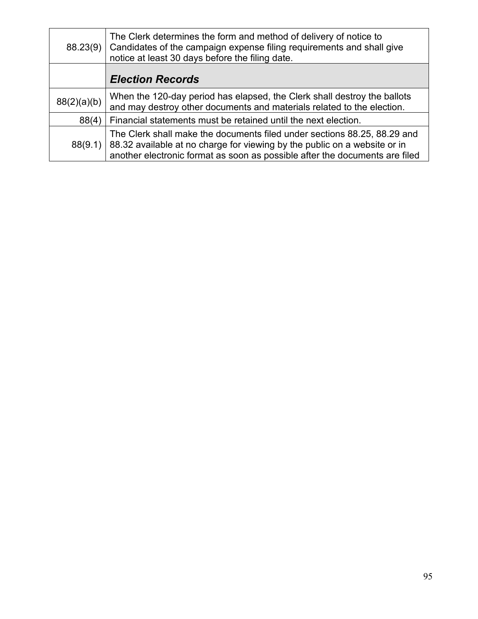| 88.23(9)    | The Clerk determines the form and method of delivery of notice to<br>Candidates of the campaign expense filing requirements and shall give<br>notice at least 30 days before the filing date.                                        |
|-------------|--------------------------------------------------------------------------------------------------------------------------------------------------------------------------------------------------------------------------------------|
|             | <b>Election Records</b>                                                                                                                                                                                                              |
| 88(2)(a)(b) | When the 120-day period has elapsed, the Clerk shall destroy the ballots<br>and may destroy other documents and materials related to the election.                                                                                   |
| 88(4)       | Financial statements must be retained until the next election.                                                                                                                                                                       |
| 88(9.1)     | The Clerk shall make the documents filed under sections 88.25, 88.29 and<br>88.32 available at no charge for viewing by the public on a website or in<br>another electronic format as soon as possible after the documents are filed |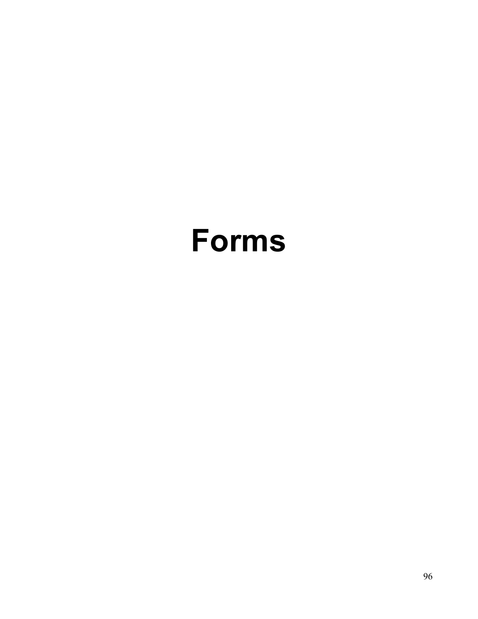# **Forms**